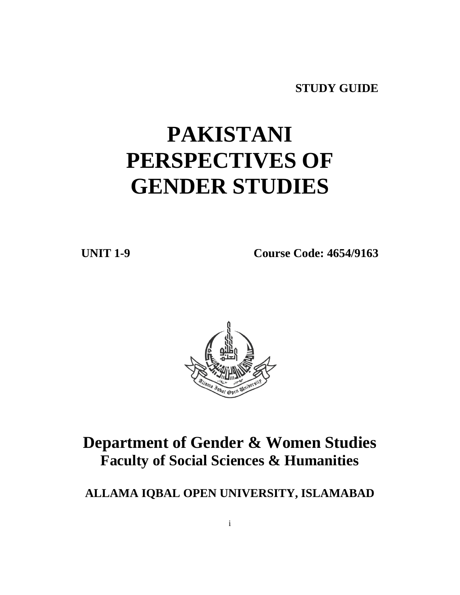**STUDY GUIDE** 

# **PAKISTANI PERSPECTIVES OF GENDER STUDIES**

**UNIT 1-9 Course Code: 4654/9163** 



# **Department of Gender & Women Studies Faculty of Social Sciences & Humanities**

**ALLAMA IQBAL OPEN UNIVERSITY, ISLAMABAD**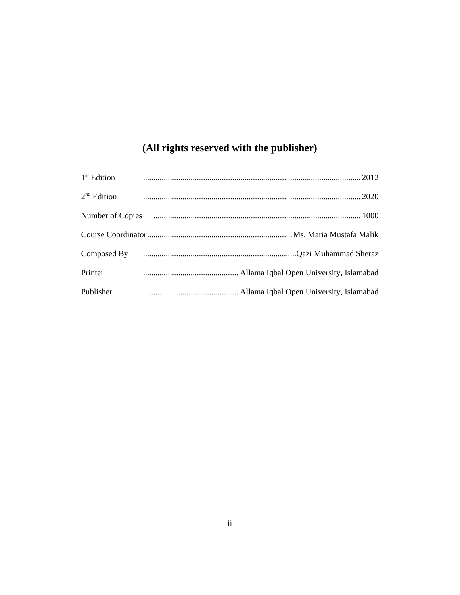# (All rights reserved with the publisher)

| $1st$ Edition |  |
|---------------|--|
| $2nd$ Edition |  |
|               |  |
|               |  |
|               |  |
| Printer       |  |
| Publisher     |  |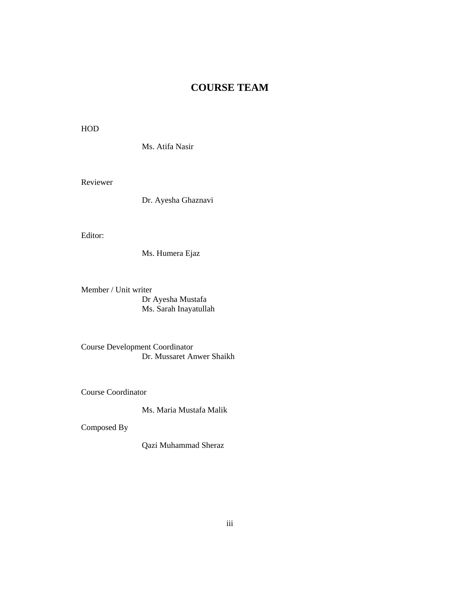# **COURSE TEAM**

HOD

Ms. Atifa Nasir

Reviewer

Dr. Ayesha Ghaznavi

Editor:

Ms. Humera Ejaz

Member / Unit writer Dr Ayesha Mustafa Ms. Sarah Inayatullah

Course Development Coordinator Dr. Mussaret Anwer Shaikh

Course Coordinator

Ms. Maria Mustafa Malik

Composed By

Qazi Muhammad Sheraz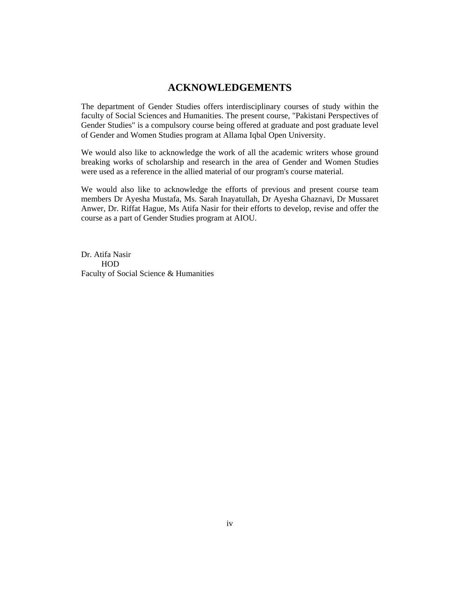## **ACKNOWLEDGEMENTS**

The department of Gender Studies offers interdisciplinary courses of study within the faculty of Social Sciences and Humanities. The present course, "Pakistani Perspectives of Gender Studies" is a compulsory course being offered at graduate and post graduate level of Gender and Women Studies program at Allama Iqbal Open University.

We would also like to acknowledge the work of all the academic writers whose ground breaking works of scholarship and research in the area of Gender and Women Studies were used as a reference in the allied material of our program's course material.

We would also like to acknowledge the efforts of previous and present course team members Dr Ayesha Mustafa, Ms. Sarah Inayatullah, Dr Ayesha Ghaznavi, Dr Mussaret Anwer, Dr. Riffat Hague, Ms Atifa Nasir for their efforts to develop, revise and offer the course as a part of Gender Studies program at AIOU.

Dr. Atifa Nasir HOD Faculty of Social Science & Humanities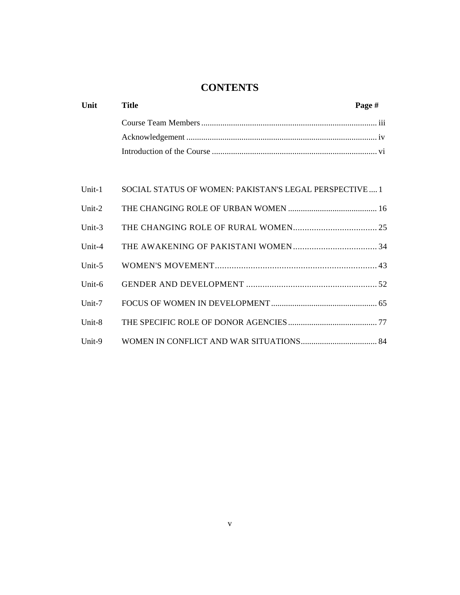# **CONTENTS**

| Unit      | <b>Title</b>                                           | Page # |
|-----------|--------------------------------------------------------|--------|
|           |                                                        |        |
|           |                                                        |        |
|           |                                                        |        |
|           |                                                        |        |
| Unit-1    | SOCIAL STATUS OF WOMEN: PAKISTAN'S LEGAL PERSPECTIVE 1 |        |
| Unit- $2$ |                                                        |        |
| Unit- $3$ |                                                        |        |
| Unit-4    |                                                        |        |
| Unit- $5$ |                                                        |        |
| Unit-6    |                                                        |        |
| Unit-7    |                                                        |        |
| Unit-8    |                                                        |        |
| Unit-9    |                                                        |        |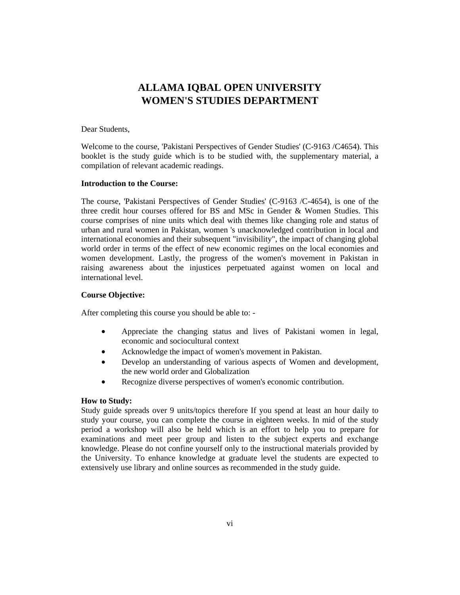# **ALLAMA IQBAL OPEN UNIVERSITY WOMEN'S STUDIES DEPARTMENT**

#### Dear Students,

Welcome to the course, 'Pakistani Perspectives of Gender Studies' (C-9163 /C4654). This booklet is the study guide which is to be studied with, the supplementary material, a compilation of relevant academic readings.

#### **Introduction to the Course:**

The course, 'Pakistani Perspectives of Gender Studies' (C-9163 /C-4654), is one of the three credit hour courses offered for BS and MSc in Gender & Women Studies. This course comprises of nine units which deal with themes like changing role and status of urban and rural women in Pakistan, women 's unacknowledged contribution in local and international economies and their subsequent "invisibility", the impact of changing global world order in terms of the effect of new economic regimes on the local economies and women development. Lastly, the progress of the women's movement in Pakistan in raising awareness about the injustices perpetuated against women on local and international level.

#### **Course Objective:**

After completing this course you should be able to: -

- Appreciate the changing status and lives of Pakistani women in legal, economic and sociocultural context
- Acknowledge the impact of women's movement in Pakistan.
- Develop an understanding of various aspects of Women and development, the new world order and Globalization
- Recognize diverse perspectives of women's economic contribution.

#### **How to Study:**

Study guide spreads over 9 units/topics therefore If you spend at least an hour daily to study your course, you can complete the course in eighteen weeks. In mid of the study period a workshop will also be held which is an effort to help you to prepare for examinations and meet peer group and listen to the subject experts and exchange knowledge. Please do not confine yourself only to the instructional materials provided by the University. To enhance knowledge at graduate level the students are expected to extensively use library and online sources as recommended in the study guide.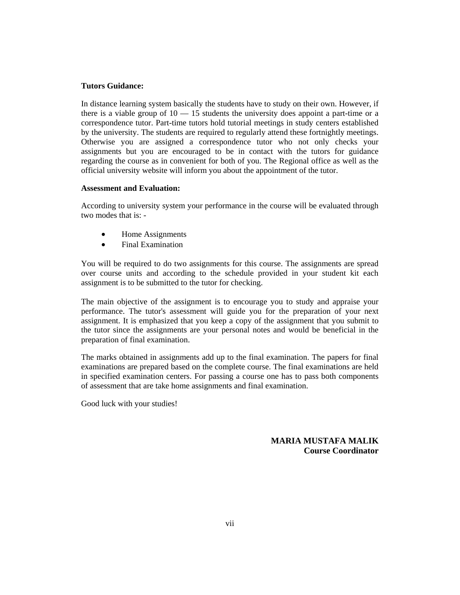#### **Tutors Guidance:**

In distance learning system basically the students have to study on their own. However, if there is a viable group of  $10 - 15$  students the university does appoint a part-time or a correspondence tutor. Part-time tutors hold tutorial meetings in study centers established by the university. The students are required to regularly attend these fortnightly meetings. Otherwise you are assigned a correspondence tutor who not only checks your assignments but you are encouraged to be in contact with the tutors for guidance regarding the course as in convenient for both of you. The Regional office as well as the official university website will inform you about the appointment of the tutor.

#### **Assessment and Evaluation:**

According to university system your performance in the course will be evaluated through two modes that is: -

- Home Assignments
- Final Examination

You will be required to do two assignments for this course. The assignments are spread over course units and according to the schedule provided in your student kit each assignment is to be submitted to the tutor for checking.

The main objective of the assignment is to encourage you to study and appraise your performance. The tutor's assessment will guide you for the preparation of your next assignment. It is emphasized that you keep a copy of the assignment that you submit to the tutor since the assignments are your personal notes and would be beneficial in the preparation of final examination.

The marks obtained in assignments add up to the final examination. The papers for final examinations are prepared based on the complete course. The final examinations are held in specified examination centers. For passing a course one has to pass both components of assessment that are take home assignments and final examination.

Good luck with your studies!

#### **MARIA MUSTAFA MALIK Course Coordinator**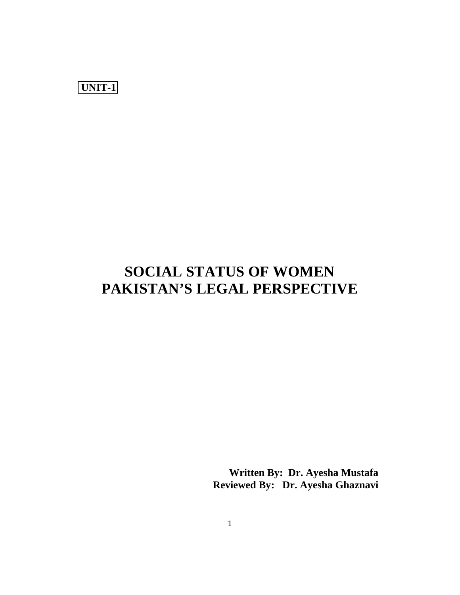**UNIT-1** 

# **SOCIAL STATUS OF WOMEN PAKISTAN'S LEGAL PERSPECTIVE**

**Written By: Dr. Ayesha Mustafa Reviewed By: Dr. Ayesha Ghaznavi**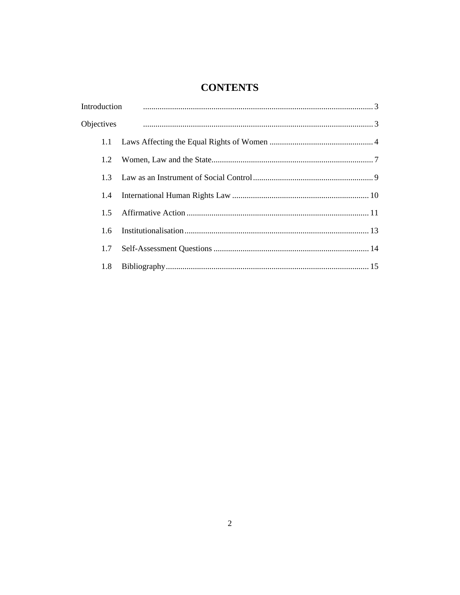# **CONTENTS**

| Objectives    |  |  |
|---------------|--|--|
| 1.1           |  |  |
|               |  |  |
| $1.2^{\circ}$ |  |  |
| 1.3           |  |  |
| $1.4^{\circ}$ |  |  |
| 1.5           |  |  |
| 1.6           |  |  |
| 1.7           |  |  |
| 1.8           |  |  |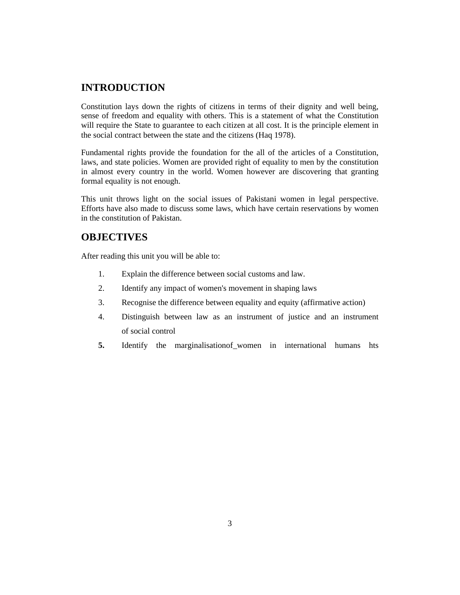# **INTRODUCTION**

Constitution lays down the rights of citizens in terms of their dignity and well being, sense of freedom and equality with others. This is a statement of what the Constitution will require the State to guarantee to each citizen at all cost. It is the principle element in the social contract between the state and the citizens (Haq 1978).

Fundamental rights provide the foundation for the all of the articles of a Constitution, laws, and state policies. Women are provided right of equality to men by the constitution in almost every country in the world. Women however are discovering that granting formal equality is not enough.

This unit throws light on the social issues of Pakistani women in legal perspective. Efforts have also made to discuss some laws, which have certain reservations by women in the constitution of Pakistan.

# **OBJECTIVES**

After reading this unit you will be able to:

- 1. Explain the difference between social customs and law.
- 2. Identify any impact of women's movement in shaping laws
- 3. Recognise the difference between equality and equity (affirmative action)
- 4. Distinguish between law as an instrument of justice and an instrument of social control
- **5.** Identify the marginalisation of women in international humans hts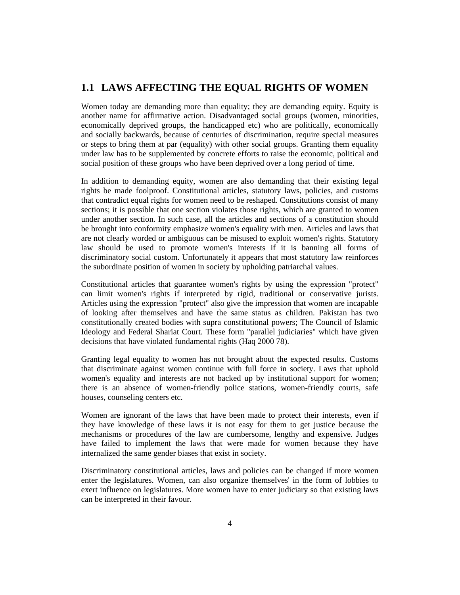## **1.1 LAWS AFFECTING THE EQUAL RIGHTS OF WOMEN**

Women today are demanding more than equality; they are demanding equity. Equity is another name for affirmative action. Disadvantaged social groups (women, minorities, economically deprived groups, the handicapped etc) who are politically, economically and socially backwards, because of centuries of discrimination, require special measures or steps to bring them at par (equality) with other social groups. Granting them equality under law has to be supplemented by concrete efforts to raise the economic, political and social position of these groups who have been deprived over a long period of time.

In addition to demanding equity, women are also demanding that their existing legal rights be made foolproof. Constitutional articles, statutory laws, policies, and customs that contradict equal rights for women need to be reshaped. Constitutions consist of many sections; it is possible that one section violates those rights, which are granted to women under another section. In such case, all the articles and sections of a constitution should be brought into conformity emphasize women's equality with men. Articles and laws that are not clearly worded or ambiguous can be misused to exploit women's rights. Statutory law should be used to promote women's interests if it is banning all forms of discriminatory social custom. Unfortunately it appears that most statutory law reinforces the subordinate position of women in society by upholding patriarchal values.

Constitutional articles that guarantee women's rights by using the expression "protect" can limit women's rights if interpreted by rigid, traditional or conservative jurists. Articles using the expression "protect" also give the impression that women are incapable of looking after themselves and have the same status as children. Pakistan has two constitutionally created bodies with supra constitutional powers; The Council of Islamic Ideology and Federal Shariat Court. These form "parallel judiciaries" which have given decisions that have violated fundamental rights (Haq 2000 78).

Granting legal equality to women has not brought about the expected results. Customs that discriminate against women continue with full force in society. Laws that uphold women's equality and interests are not backed up by institutional support for women; there is an absence of women-friendly police stations, women-friendly courts, safe houses, counseling centers etc.

Women are ignorant of the laws that have been made to protect their interests, even if they have knowledge of these laws it is not easy for them to get justice because the mechanisms or procedures of the law are cumbersome, lengthy and expensive. Judges have failed to implement the laws that were made for women because they have internalized the same gender biases that exist in society.

Discriminatory constitutional articles, laws and policies can be changed if more women enter the legislatures. Women, can also organize themselves' in the form of lobbies to exert influence on legislatures. More women have to enter judiciary so that existing laws can be interpreted in their favour.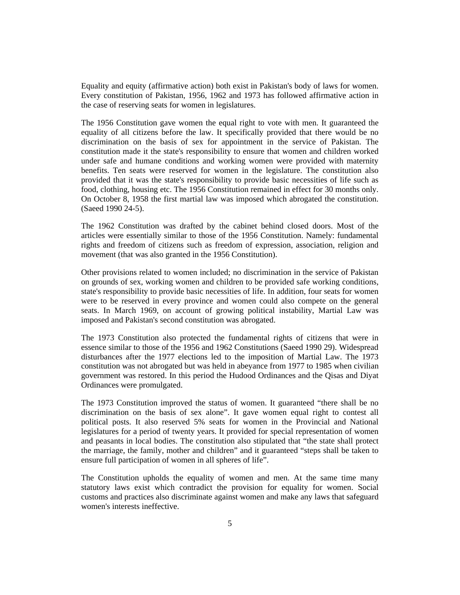Equality and equity (affirmative action) both exist in Pakistan's body of laws for women. Every constitution of Pakistan, 1956, 1962 and 1973 has followed affirmative action in the case of reserving seats for women in legislatures.

The 1956 Constitution gave women the equal right to vote with men. It guaranteed the equality of all citizens before the law. It specifically provided that there would be no discrimination on the basis of sex for appointment in the service of Pakistan. The constitution made it the state's responsibility to ensure that women and children worked under safe and humane conditions and working women were provided with maternity benefits. Ten seats were reserved for women in the legislature. The constitution also provided that it was the state's responsibility to provide basic necessities of life such as food, clothing, housing etc. The 1956 Constitution remained in effect for 30 months only. On October 8, 1958 the first martial law was imposed which abrogated the constitution. (Saeed 1990 24-5).

The 1962 Constitution was drafted by the cabinet behind closed doors. Most of the articles were essentially similar to those of the 1956 Constitution. Namely: fundamental rights and freedom of citizens such as freedom of expression, association, religion and movement (that was also granted in the 1956 Constitution).

Other provisions related to women included; no discrimination in the service of Pakistan on grounds of sex, working women and children to be provided safe working conditions, state's responsibility to provide basic necessities of life. In addition, four seats for women were to be reserved in every province and women could also compete on the general seats. In March 1969, on account of growing political instability, Martial Law was imposed and Pakistan's second constitution was abrogated.

The 1973 Constitution also protected the fundamental rights of citizens that were in essence similar to those of the 1956 and 1962 Constitutions (Saeed 1990 29). Widespread disturbances after the 1977 elections led to the imposition of Martial Law. The 1973 constitution was not abrogated but was held in abeyance from 1977 to 1985 when civilian government was restored. In this period the Hudood Ordinances and the Qisas and Diyat Ordinances were promulgated.

The 1973 Constitution improved the status of women. It guaranteed "there shall be no discrimination on the basis of sex alone". It gave women equal right to contest all political posts. It also reserved 5% seats for women in the Provincial and National legislatures for a period of twenty years. It provided for special representation of women and peasants in local bodies. The constitution also stipulated that "the state shall protect the marriage, the family, mother and children" and it guaranteed "steps shall be taken to ensure full participation of women in all spheres of life".

The Constitution upholds the equality of women and men. At the same time many statutory laws exist which contradict the provision for equality for women. Social customs and practices also discriminate against women and make any laws that safeguard women's interests ineffective.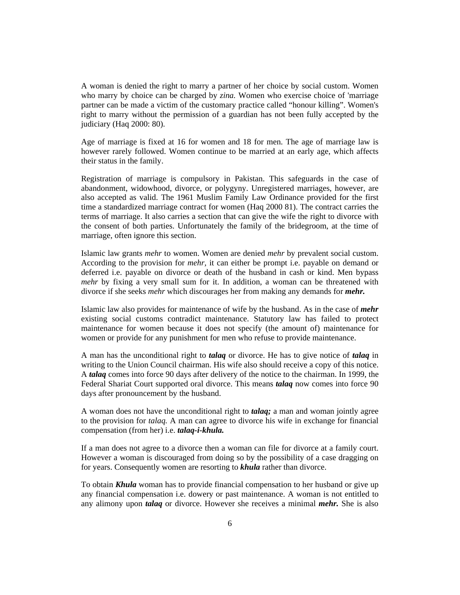A woman is denied the right to marry a partner of her choice by social custom. Women who marry by choice can be charged by *zina.* Women who exercise choice of 'marriage partner can be made a victim of the customary practice called "honour killing". Women's right to marry without the permission of a guardian has not been fully accepted by the judiciary (Haq 2000: 80).

Age of marriage is fixed at 16 for women and 18 for men. The age of marriage law is however rarely followed. Women continue to be married at an early age, which affects their status in the family.

Registration of marriage is compulsory in Pakistan. This safeguards in the case of abandonment, widowhood, divorce, or polygyny. Unregistered marriages, however, are also accepted as valid. The 1961 Muslim Family Law Ordinance provided for the first time a standardized marriage contract for women (Haq 2000 81). The contract carries the terms of marriage. It also carries a section that can give the wife the right to divorce with the consent of both parties. Unfortunately the family of the bridegroom, at the time of marriage, often ignore this section.

Islamic law grants *mehr* to women. Women are denied *mehr* by prevalent social custom. According to the provision for *mehr,* it can either be prompt i.e. payable on demand or deferred i.e. payable on divorce or death of the husband in cash or kind. Men bypass *mehr* by fixing a very small sum for it. In addition, a woman can be threatened with divorce if she seeks *mehr* which discourages her from making any demands for *mehr.* 

Islamic law also provides for maintenance of wife by the husband. As in the case of *mehr*  existing social customs contradict maintenance. Statutory law has failed to protect maintenance for women because it does not specify (the amount of) maintenance for women or provide for any punishment for men who refuse to provide maintenance.

A man has the unconditional right to *talaq* or divorce. He has to give notice of *talaq* in writing to the Union Council chairman. His wife also should receive a copy of this notice. A *talaq* comes into force 90 days after delivery of the notice to the chairman. In 1999, the Federal Shariat Court supported oral divorce. This means *talaq* now comes into force 90 days after pronouncement by the husband.

A woman does not have the unconditional right to *talaq;* a man and woman jointly agree to the provision for *talaq.* A man can agree to divorce his wife in exchange for financial compensation (from her) i.e. *talaq-i-khula.* 

If a man does not agree to a divorce then a woman can file for divorce at a family court. However a woman is discouraged from doing so by the possibility of a case dragging on for years. Consequently women are resorting to *khula* rather than divorce.

To obtain *Khula* woman has to provide financial compensation to her husband or give up any financial compensation i.e. dowery or past maintenance. A woman is not entitled to any alimony upon *talaq* or divorce. However she receives a minimal *mehr.* She is also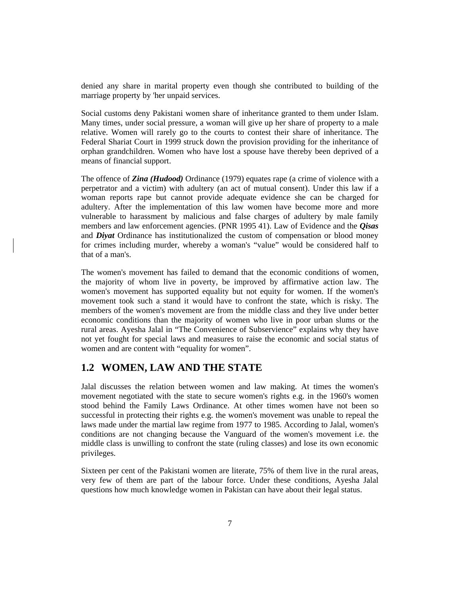denied any share in marital property even though she contributed to building of the marriage property by 'her unpaid services.

Social customs deny Pakistani women share of inheritance granted to them under Islam. Many times, under social pressure, a woman will give up her share of property to a male relative. Women will rarely go to the courts to contest their share of inheritance. The Federal Shariat Court in 1999 struck down the provision providing for the inheritance of orphan grandchildren. Women who have lost a spouse have thereby been deprived of a means of financial support.

The offence of *Zina (Hudood)* Ordinance (1979) equates rape (a crime of violence with a perpetrator and a victim) with adultery (an act of mutual consent). Under this law if a woman reports rape but cannot provide adequate evidence she can be charged for adultery. After the implementation of this law women have become more and more vulnerable to harassment by malicious and false charges of adultery by male family members and law enforcement agencies. (PNR 1995 41). Law of Evidence and the *Qisas*  and *Diyat* Ordinance has institutionalized the custom of compensation or blood money for crimes including murder, whereby a woman's "value" would be considered half to that of a man's.

The women's movement has failed to demand that the economic conditions of women, the majority of whom live in poverty, be improved by affirmative action law. The women's movement has supported equality but not equity for women. If the women's movement took such a stand it would have to confront the state, which is risky. The members of the women's movement are from the middle class and they live under better economic conditions than the majority of women who live in poor urban slums or the rural areas. Ayesha Jalal in "The Convenience of Subservience" explains why they have not yet fought for special laws and measures to raise the economic and social status of women and are content with "equality for women".

# **1.2 WOMEN, LAW AND THE STATE**

Jalal discusses the relation between women and law making. At times the women's movement negotiated with the state to secure women's rights e.g. in the 1960's women stood behind the Family Laws Ordinance. At other times women have not been so successful in protecting their rights e.g. the women's movement was unable to repeal the laws made under the martial law regime from 1977 to 1985. According to Jalal, women's conditions are not changing because the Vanguard of the women's movement i.e. the middle class is unwilling to confront the state (ruling classes) and lose its own economic privileges.

Sixteen per cent of the Pakistani women are literate, 75% of them live in the rural areas, very few of them are part of the labour force. Under these conditions, Ayesha Jalal questions how much knowledge women in Pakistan can have about their legal status.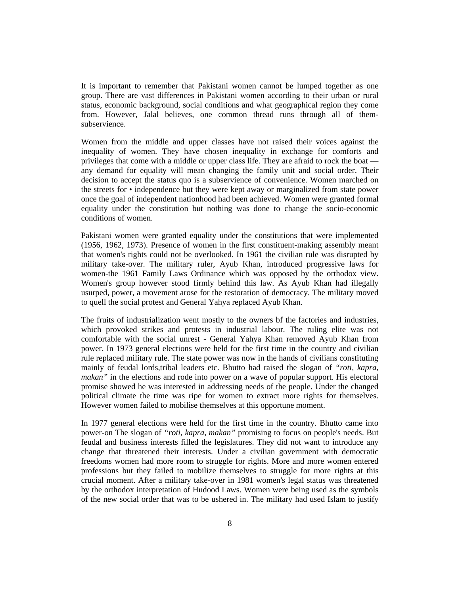It is important to remember that Pakistani women cannot be lumped together as one group. There are vast differences in Pakistani women according to their urban or rural status, economic background, social conditions and what geographical region they come from. However, Jalal believes, one common thread runs through all of themsubservience.

Women from the middle and upper classes have not raised their voices against the inequality of women. They have chosen inequality in exchange for comforts and privileges that come with a middle or upper class life. They are afraid to rock the boat any demand for equality will mean changing the family unit and social order. Their decision to accept the status quo is a subservience of convenience. Women marched on the streets for • independence but they were kept away or marginalized from state power once the goal of independent nationhood had been achieved. Women were granted formal equality under the constitution but nothing was done to change the socio-economic conditions of women.

Pakistani women were granted equality under the constitutions that were implemented (1956, 1962, 1973). Presence of women in the first constituent-making assembly meant that women's rights could not be overlooked. In 1961 the civilian rule was disrupted by military take-over. The military ruler, Ayub Khan, introduced progressive laws for women-the 1961 Family Laws Ordinance which was opposed by the orthodox view. Women's group however stood firmly behind this law. As Ayub Khan had illegally usurped, power, a movement arose for the restoration of democracy. The military moved to quell the social protest and General Yahya replaced Ayub Khan.

The fruits of industrialization went mostly to the owners bf the factories and industries, which provoked strikes and protests in industrial labour. The ruling elite was not comfortable with the social unrest - General Yahya Khan removed Ayub Khan from power. In 1973 general elections were held for the first time in the country and civilian rule replaced military rule. The state power was now in the hands of civilians constituting mainly of feudal lords,tribal leaders etc. Bhutto had raised the slogan of *"roti, kapra, makan"* in the elections and rode into power on a wave of popular support. His electoral promise showed he was interested in addressing needs of the people. Under the changed political climate the time was ripe for women to extract more rights for themselves. However women failed to mobilise themselves at this opportune moment.

In 1977 general elections were held for the first time in the country. Bhutto came into power-on The slogan of *"roti, kapra, makan"* promising to focus on people's needs. But feudal and business interests filled the legislatures. They did not want to introduce any change that threatened their interests. Under a civilian government with democratic freedoms women had more room to struggle for rights. More and more women entered professions but they failed to mobilize themselves to struggle for more rights at this crucial moment. After a military take-over in 1981 women's legal status was threatened by the orthodox interpretation of Hudood Laws. Women were being used as the symbols of the new social order that was to be ushered in. The military had used Islam to justify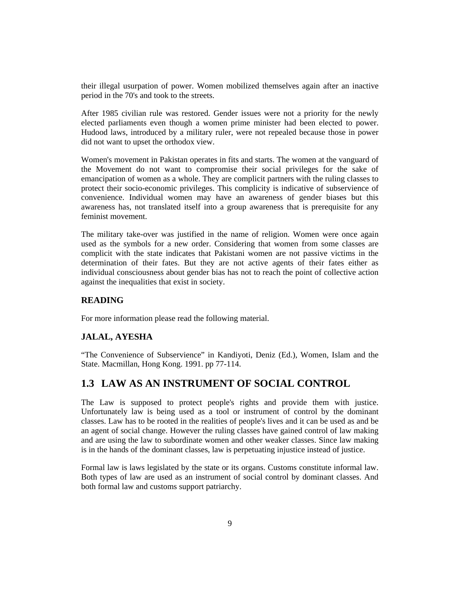their illegal usurpation of power. Women mobilized themselves again after an inactive period in the 70's and took to the streets.

After 1985 civilian rule was restored. Gender issues were not a priority for the newly elected parliaments even though a women prime minister had been elected to power. Hudood laws, introduced by a military ruler, were not repealed because those in power did not want to upset the orthodox view.

Women's movement in Pakistan operates in fits and starts. The women at the vanguard of the Movement do not want to compromise their social privileges for the sake of emancipation of women as a whole. They are complicit partners with the ruling classes to protect their socio-economic privileges. This complicity is indicative of subservience of convenience. Individual women may have an awareness of gender biases but this awareness has, not translated itself into a group awareness that is prerequisite for any feminist movement.

The military take-over was justified in the name of religion. Women were once again used as the symbols for a new order. Considering that women from some classes are complicit with the state indicates that Pakistani women are not passive victims in the determination of their fates. But they are not active agents of their fates either as individual consciousness about gender bias has not to reach the point of collective action against the inequalities that exist in society.

#### **READING**

For more information please read the following material.

#### **JALAL, AYESHA**

"The Convenience of Subservience" in Kandiyoti, Deniz (Ed.), Women, Islam and the State. Macmillan, Hong Kong. 1991. pp 77-114.

#### **1.3 LAW AS AN INSTRUMENT OF SOCIAL CONTROL**

The Law is supposed to protect people's rights and provide them with justice. Unfortunately law is being used as a tool or instrument of control by the dominant classes. Law has to be rooted in the realities of people's lives and it can be used as and be an agent of social change. However the ruling classes have gained control of law making and are using the law to subordinate women and other weaker classes. Since law making is in the hands of the dominant classes, law is perpetuating injustice instead of justice.

Formal law is laws legislated by the state or its organs. Customs constitute informal law. Both types of law are used as an instrument of social control by dominant classes. And both formal law and customs support patriarchy.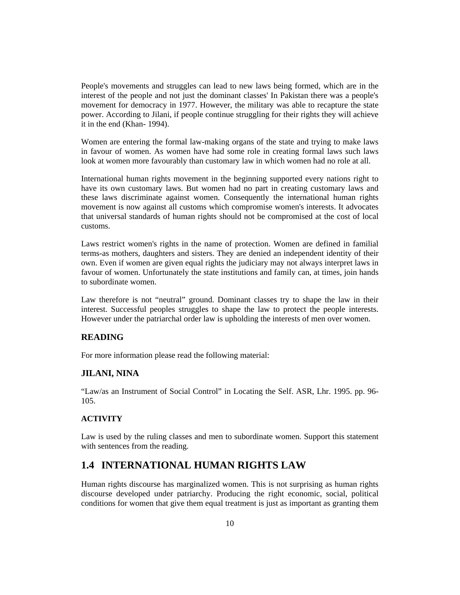People's movements and struggles can lead to new laws being formed, which are in the interest of the people and not just the dominant classes' In Pakistan there was a people's movement for democracy in 1977. However, the military was able to recapture the state power. According to Jilani, if people continue struggling for their rights they will achieve it in the end (Khan- 1994).

Women are entering the formal law-making organs of the state and trying to make laws in favour of women. As women have had some role in creating formal laws such laws look at women more favourably than customary law in which women had no role at all.

International human rights movement in the beginning supported every nations right to have its own customary laws. But women had no part in creating customary laws and these laws discriminate against women. Consequently the international human rights movement is now against all customs which compromise women's interests. It advocates that universal standards of human rights should not be compromised at the cost of local customs.

Laws restrict women's rights in the name of protection. Women are defined in familial terms-as mothers, daughters and sisters. They are denied an independent identity of their own. Even if women are given equal rights the judiciary may not always interpret laws in favour of women. Unfortunately the state institutions and family can, at times, join hands to subordinate women.

Law therefore is not "neutral" ground. Dominant classes try to shape the law in their interest. Successful peoples struggles to shape the law to protect the people interests. However under the patriarchal order law is upholding the interests of men over women.

#### **READING**

For more information please read the following material:

#### **JILANI, NINA**

"Law/as an Instrument of Social Control" in Locating the Self. ASR, Lhr. 1995. pp. 96- 105.

#### **ACTIVITY**

Law is used by the ruling classes and men to subordinate women. Support this statement with sentences from the reading.

## **1.4 INTERNATIONAL HUMAN RIGHTS LAW**

Human rights discourse has marginalized women. This is not surprising as human rights discourse developed under patriarchy. Producing the right economic, social, political conditions for women that give them equal treatment is just as important as granting them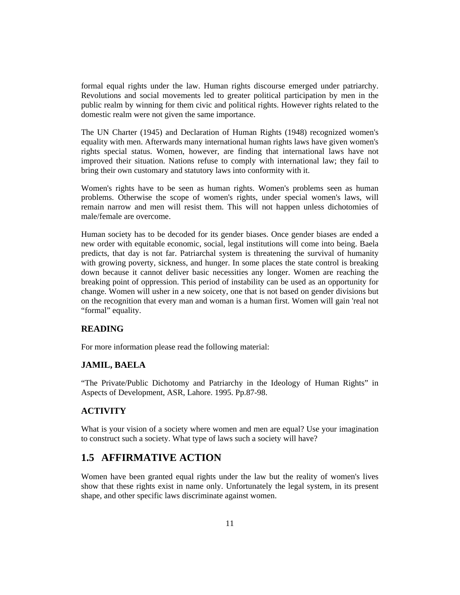formal equal rights under the law. Human rights discourse emerged under patriarchy. Revolutions and social movements led to greater political participation by men in the public realm by winning for them civic and political rights. However rights related to the domestic realm were not given the same importance.

The UN Charter (1945) and Declaration of Human Rights (1948) recognized women's equality with men. Afterwards many international human rights laws have given women's rights special status. Women, however, are finding that international laws have not improved their situation. Nations refuse to comply with international law; they fail to bring their own customary and statutory laws into conformity with it.

Women's rights have to be seen as human rights. Women's problems seen as human problems. Otherwise the scope of women's rights, under special women's laws, will remain narrow and men will resist them. This will not happen unless dichotomies of male/female are overcome.

Human society has to be decoded for its gender biases. Once gender biases are ended a new order with equitable economic, social, legal institutions will come into being. Baela predicts, that day is not far. Patriarchal system is threatening the survival of humanity with growing poverty, sickness, and hunger. In some places the state control is breaking down because it cannot deliver basic necessities any longer. Women are reaching the breaking point of oppression. This period of instability can be used as an opportunity for change. Women will usher in a new soicety, one that is not based on gender divisions but on the recognition that every man and woman is a human first. Women will gain 'real not "formal" equality.

#### **READING**

For more information please read the following material:

#### **JAMIL, BAELA**

"The Private/Public Dichotomy and Patriarchy in the Ideology of Human Rights" in Aspects of Development, ASR, Lahore. 1995. Pp.87-98.

#### **ACTIVITY**

What is your vision of a society where women and men are equal? Use your imagination to construct such a society. What type of laws such a society will have?

#### **1.5 AFFIRMATIVE ACTION**

Women have been granted equal rights under the law but the reality of women's lives show that these rights exist in name only. Unfortunately the legal system, in its present shape, and other specific laws discriminate against women.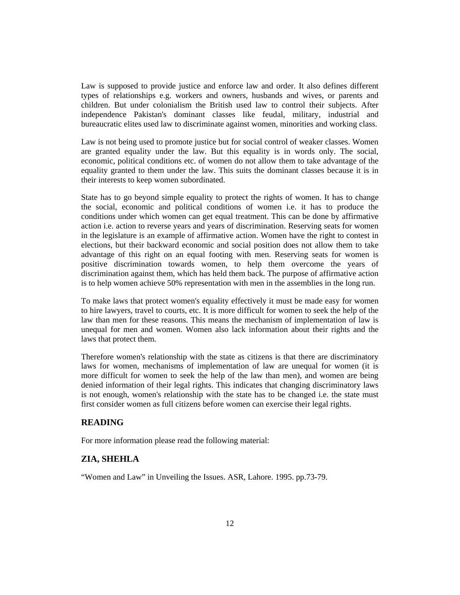Law is supposed to provide justice and enforce law and order. It also defines different types of relationships e.g. workers and owners, husbands and wives, or parents and children. But under colonialism the British used law to control their subjects. After independence Pakistan's dominant classes like feudal, military, industrial and bureaucratic elites used law to discriminate against women, minorities and working class.

Law is not being used to promote justice but for social control of weaker classes. Women are granted equality under the law. But this equality is in words only. The social, economic, political conditions etc. of women do not allow them to take advantage of the equality granted to them under the law. This suits the dominant classes because it is in their interests to keep women subordinated.

State has to go beyond simple equality to protect the rights of women. It has to change the social, economic and political conditions of women i.e. it has to produce the conditions under which women can get equal treatment. This can be done by affirmative action i.e. action to reverse years and years of discrimination. Reserving seats for women in the legislature is an example of affirmative action. Women have the right to contest in elections, but their backward economic and social position does not allow them to take advantage of this right on an equal footing with men. Reserving seats for women is positive discrimination towards women, to help them overcome the years of discrimination against them, which has held them back. The purpose of affirmative action is to help women achieve 50% representation with men in the assemblies in the long run.

To make laws that protect women's equality effectively it must be made easy for women to hire lawyers, travel to courts, etc. It is more difficult for women to seek the help of the law than men for these reasons. This means the mechanism of implementation of law is unequal for men and women. Women also lack information about their rights and the laws that protect them.

Therefore women's relationship with the state as citizens is that there are discriminatory laws for women, mechanisms of implementation of law are unequal for women (it is more difficult for women to seek the help of the law than men), and women are being denied information of their legal rights. This indicates that changing discriminatory laws is not enough, women's relationship with the state has to be changed i.e. the state must first consider women as full citizens before women can exercise their legal rights.

#### **READING**

For more information please read the following material:

#### **ZIA, SHEHLA**

"Women and Law" in Unveiling the Issues. ASR, Lahore. 1995. pp.73-79.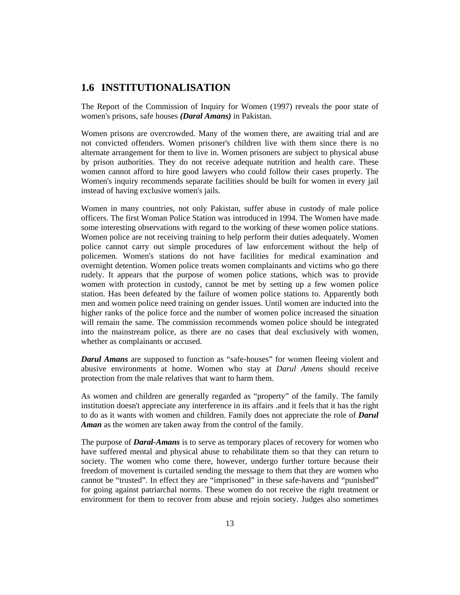# **1.6 INSTITUTIONALISATION**

The Report of the Commission of Inquiry for Women (1997) reveals the poor state of women's prisons, safe houses *(Daral Amans)* in Pakistan.

Women prisons are overcrowded. Many of the women there, are awaiting trial and are not convicted offenders. Women prisoner's children live with them since there is no alternate arrangement for them to live in. Women prisoners are subject to physical abuse by prison authorities. They do not receive adequate nutrition and health care. These women cannot afford to hire good lawyers who could follow their cases properly. The Women's inquiry recommends separate facilities should be built for women in every jail instead of having exclusive women's jails.

Women in many countries, not only Pakistan, suffer abuse in custody of male police officers. The first Woman Police Station was introduced in 1994. The Women have made some interesting observations with regard to the working of these women police stations. Women police are not receiving training to help perform their duties adequately. Women police cannot carry out simple procedures of law enforcement without the help of policemen. Women's stations do not have facilities for medical examination and overnight detention. Women police treats women complainants and victims who go there rudely. It appears that the purpose of women police stations, which was to provide women with protection in custody, cannot be met by setting up a few women police station. Has been defeated by the failure of women police stations to. Apparently both men and women police need training on gender issues. Until women are inducted into the higher ranks of the police force and the number of women police increased the situation will remain the same. The commission recommends women police should be integrated into the mainstream police, as there are no cases that deal exclusively with women, whether as complainants or accused.

*Darul Amans* are supposed to function as "safe-houses" for women fleeing violent and abusive environments at home. Women who stay at *Darul Amens* should receive protection from the male relatives that want to harm them.

As women and children are generally regarded as "property" of the family. The family institution doesn't appreciate any interference in its affairs .and it feels that it has the right to do as it wants with women and children. Family does not appreciate the role of *Darul Aman* as the women are taken away from the control of the family.

The purpose of *Daral-Amans* is to serve as temporary places of recovery for women who have suffered mental and physical abuse to rehabilitate them so that they can return to society. The women who come there, however, undergo further torture because their freedom of movement is curtailed sending the message to them that they are women who cannot be "trusted". In effect they are "imprisoned" in these safe-havens and "punished" for going against patriarchal norms. These women do not receive the right treatment or environment for them to recover from abuse and rejoin society. Judges also sometimes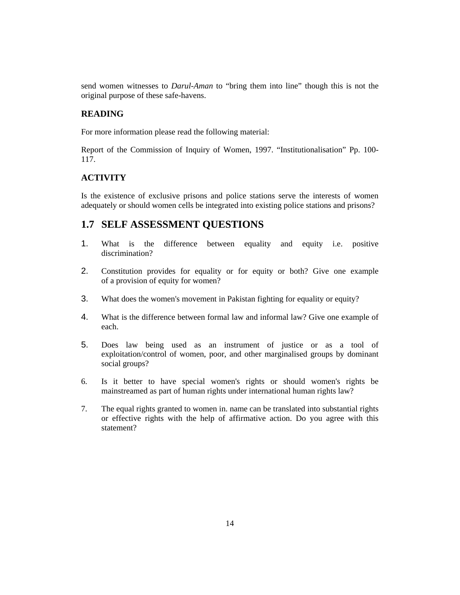send women witnesses to *Darul-Aman* to "bring them into line" though this is not the original purpose of these safe-havens.

#### **READING**

For more information please read the following material:

Report of the Commission of Inquiry of Women, 1997. "Institutionalisation" Pp. 100- 117.

#### **ACTIVITY**

Is the existence of exclusive prisons and police stations serve the interests of women adequately or should women cells be integrated into existing police stations and prisons?

### **1.7 SELF ASSESSMENT QUESTIONS**

- 1. What is the difference between equality and equity i.e. positive discrimination?
- 2. Constitution provides for equality or for equity or both? Give one example of a provision of equity for women?
- 3. What does the women's movement in Pakistan fighting for equality or equity?
- 4. What is the difference between formal law and informal law? Give one example of each.
- 5. Does law being used as an instrument of justice or as a tool of exploitation/control of women, poor, and other marginalised groups by dominant social groups?
- 6. Is it better to have special women's rights or should women's rights be mainstreamed as part of human rights under international human rights law?
- 7. The equal rights granted to women in. name can be translated into substantial rights or effective rights with the help of affirmative action. Do you agree with this statement?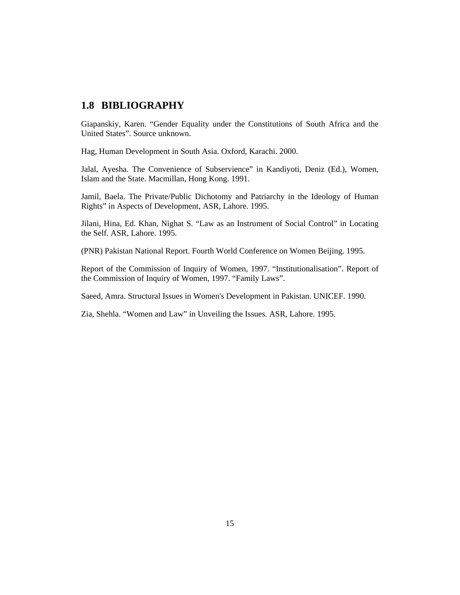### **1.8 BIBLIOGRAPHY**

Giapanskiy, Karen. "Gender Equality under the Constitutions of South Africa and the United States". Source unknown.

Hag, Human Development in South Asia. Oxford, Karachi. 2000.

Jalal, Ayesha. The Convenience of Subservience" in Kandiyoti, Deniz (Ed.), Women, Islam and the State. Macmillan, Hong Kong. 1991.

Jamil, Baela. The Private/Public Dichotomy and Patriarchy in the Ideology of Human Rights" in Aspects of Development, ASR, Lahore. 1995.

Jilani, Hina, Ed. Khan, Nighat S. "Law as an Instrument of Social Control" in Locating the Self. ASR, Lahore. 1995.

(PNR) Pakistan National Report. Fourth World Conference on Women Beijing. 1995.

Report of the Commission of Inquiry of Women, 1997. "Institutionalisation". Report of the Commission of Inquiry of Women, 1997. "Family Laws".

Saeed, Amra. Structural Issues in Women's Development in Pakistan. UNICEF. 1990.

Zia, Shehla. "Women and Law" in Unveiling the Issues. ASR, Lahore. 1995.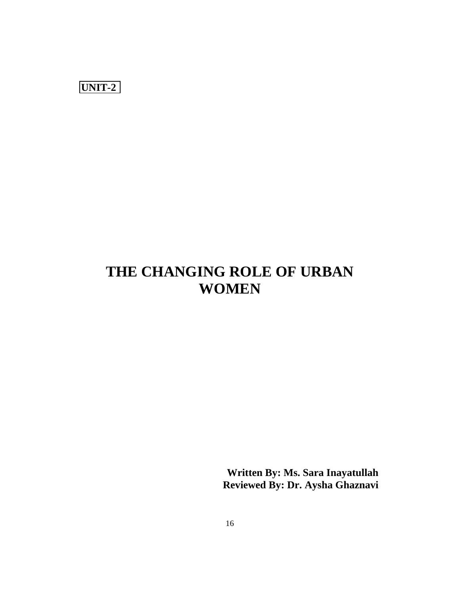**UNIT-2** 

# **THE CHANGING ROLE OF URBAN WOMEN**

**Written By: Ms. Sara Inayatullah Reviewed By: Dr. Aysha Ghaznavi**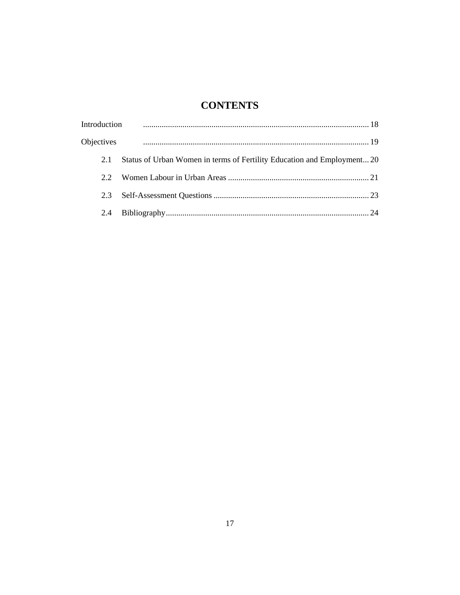# **CONTENTS**

| Introduction |                                                                         |
|--------------|-------------------------------------------------------------------------|
| Objectives   |                                                                         |
| 2.1          | Status of Urban Women in terms of Fertility Education and Employment 20 |
| 22           |                                                                         |
| 2.3          |                                                                         |
| 2.4          |                                                                         |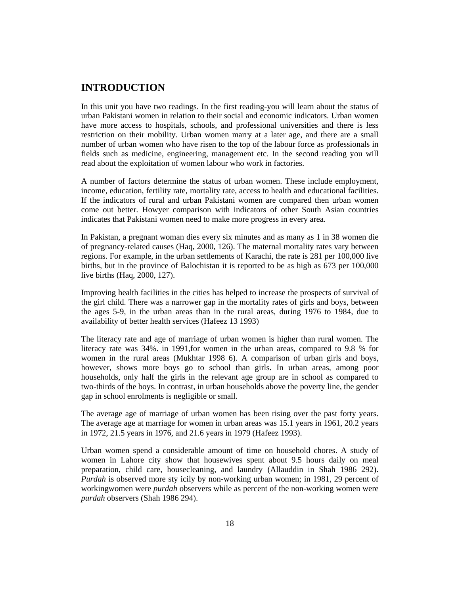# **INTRODUCTION**

In this unit you have two readings. In the first reading-you will learn about the status of urban Pakistani women in relation to their social and economic indicators. Urban women have more access to hospitals, schools, and professional universities and there is less restriction on their mobility. Urban women marry at a later age, and there are a small number of urban women who have risen to the top of the labour force as professionals in fields such as medicine, engineering, management etc. In the second reading you will read about the exploitation of women labour who work in factories.

A number of factors determine the status of urban women. These include employment, income, education, fertility rate, mortality rate, access to health and educational facilities. If the indicators of rural and urban Pakistani women are compared then urban women come out better. Howyer comparison with indicators of other South Asian countries indicates that Pakistani women need to make more progress in every area.

In Pakistan, a pregnant woman dies every six minutes and as many as 1 in 38 women die of pregnancy-related causes (Haq, 2000, 126). The maternal mortality rates vary between regions. For example, in the urban settlements of Karachi, the rate is 281 per 100,000 live births, but in the province of Balochistan it is reported to be as high as 673 per 100,000 live births (Haq, 2000, 127).

Improving health facilities in the cities has helped to increase the prospects of survival of the girl child. There was a narrower gap in the mortality rates of girls and boys, between the ages 5-9, in the urban areas than in the rural areas, during 1976 to 1984, due to availability of better health services (Hafeez 13 1993)

The literacy rate and age of marriage of urban women is higher than rural women. The literacy rate was 34%. in 1991,for women in the urban areas, compared to 9.8 % for women in the rural areas (Mukhtar 1998 6). A comparison of urban girls and boys, however, shows more boys go to school than girls. In urban areas, among poor households, only half the girls in the relevant age group are in school as compared to two-thirds of the boys. In contrast, in urban households above the poverty line, the gender gap in school enrolments is negligible or small.

The average age of marriage of urban women has been rising over the past forty years. The average age at marriage for women in urban areas was 15.1 years in 1961, 20.2 years in 1972, 21.5 years in 1976, and 21.6 years in 1979 (Hafeez 1993).

Urban women spend a considerable amount of time on household chores. A study of women in Lahore city show that housewives spent about 9.5 hours daily on meal preparation, child care, housecleaning, and laundry (Allauddin in Shah 1986 292). *Purdah* is observed more sty icily by non-working urban women; in 1981, 29 percent of workingwomen were *purdah* observers while as percent of the non-working women were *purdah* observers (Shah 1986 294).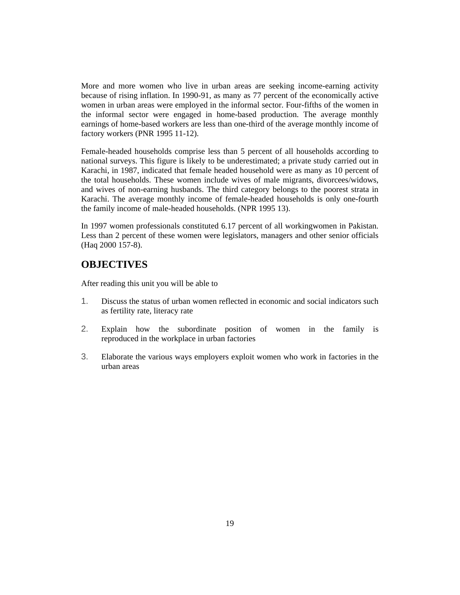More and more women who live in urban areas are seeking income-earning activity because of rising inflation. In 1990-91, as many as 77 percent of the economically active women in urban areas were employed in the informal sector. Four-fifths of the women in the informal sector were engaged in home-based production. The average monthly earnings of home-based workers are less than one-third of the average monthly income of factory workers (PNR 1995 11-12).

Female-headed households comprise less than 5 percent of all households according to national surveys. This figure is likely to be underestimated; a private study carried out in Karachi, in 1987, indicated that female headed household were as many as 10 percent of the total households. These women include wives of male migrants, divorcees/widows, and wives of non-earning husbands. The third category belongs to the poorest strata in Karachi. The average monthly income of female-headed households is only one-fourth the family income of male-headed households. (NPR 1995 13).

In 1997 women professionals constituted 6.17 percent of all workingwomen in Pakistan. Less than 2 percent of these women were legislators, managers and other senior officials (Haq 2000 157-8).

## **OBJECTIVES**

After reading this unit you will be able to

- 1. Discuss the status of urban women reflected in economic and social indicators such as fertility rate, literacy rate
- 2. Explain how the subordinate position of women in the family is reproduced in the workplace in urban factories
- 3. Elaborate the various ways employers exploit women who work in factories in the urban areas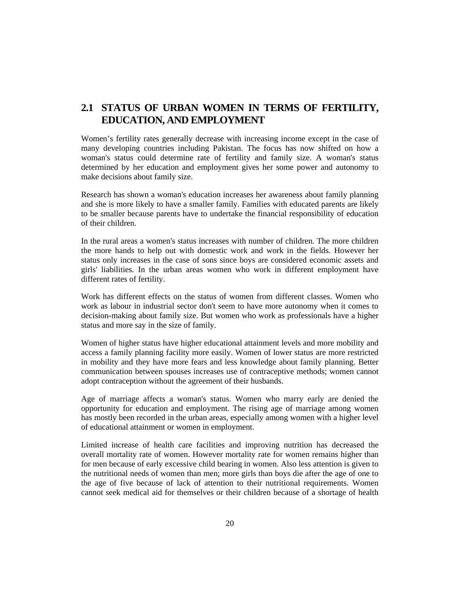# **2.1 STATUS OF URBAN WOMEN IN TERMS OF FERTILITY, EDUCATION, AND EMPLOYMENT**

Women's fertility rates generally decrease with increasing income except in the case of many developing countries including Pakistan. The focus has now shifted on how a woman's status could determine rate of fertility and family size. A woman's status determined by her education and employment gives her some power and autonomy to make decisions about family size.

Research has shown a woman's education increases her awareness about family planning and she is more likely to have a smaller family. Families with educated parents are likely to be smaller because parents have to undertake the financial responsibility of education of their children.

In the rural areas a women's status increases with number of children. The more children the more hands to help out with domestic work and work in the fields. However her status only increases in the case of sons since boys are considered economic assets and girls' liabilities. In the urban areas women who work in different employment have different rates of fertility.

Work has different effects on the status of women from different classes. Women who work as labour in industrial sector don't seem to have more autonomy when it comes to decision-making about family size. But women who work as professionals have a higher status and more say in the size of family.

Women of higher status have higher educational attainment levels and more mobility and access a family planning facility more easily. Women of lower status are more restricted in mobility and they have more fears and less knowledge about family planning. Better communication between spouses increases use of contraceptive methods; women cannot adopt contraception without the agreement of their husbands.

Age of marriage affects a woman's status. Women who marry early are denied the opportunity for education and employment. The rising age of marriage among women has mostly been recorded in the urban areas, especially among women with a higher level of educational attainment or women in employment.

Limited increase of health care facilities and improving nutrition has decreased the overall mortality rate of women. However mortality rate for women remains higher than for men because of early excessive child bearing in women. Also less attention is given to the nutritional needs of women than men; more girls than boys die after the age of one to the age of five because of lack of attention to their nutritional requirements. Women cannot seek medical aid for themselves or their children because of a shortage of health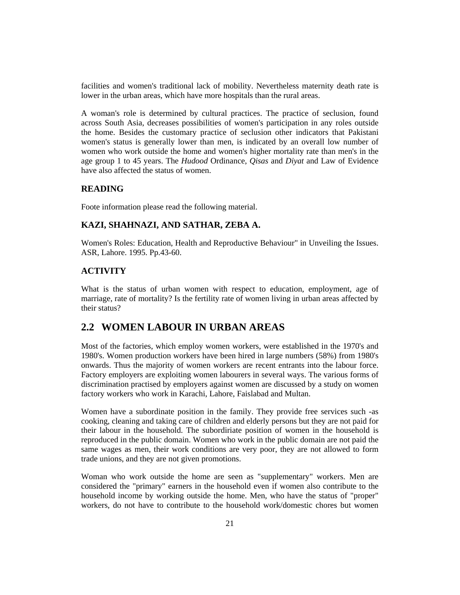facilities and women's traditional lack of mobility. Nevertheless maternity death rate is lower in the urban areas, which have more hospitals than the rural areas.

A woman's role is determined by cultural practices. The practice of seclusion, found across South Asia, decreases possibilities of women's participation in any roles outside the home. Besides the customary practice of seclusion other indicators that Pakistani women's status is generally lower than men, is indicated by an overall low number of women who work outside the home and women's higher mortality rate than men's in the age group 1 to 45 years. The *Hudood* Ordinance, *Qisas* and *Diyat* and Law of Evidence have also affected the status of women.

#### **READING**

Foote information please read the following material.

#### **KAZI, SHAHNAZI, AND SATHAR, ZEBA A.**

Women's Roles: Education, Health and Reproductive Behaviour" in Unveiling the Issues. ASR, Lahore. 1995. Pp.43-60.

#### **ACTIVITY**

What is the status of urban women with respect to education, employment, age of marriage, rate of mortality? Is the fertility rate of women living in urban areas affected by their status?

# **2.2 WOMEN LABOUR IN URBAN AREAS**

Most of the factories, which employ women workers, were established in the 1970's and 1980's. Women production workers have been hired in large numbers (58%) from 1980's onwards. Thus the majority of women workers are recent entrants into the labour force. Factory employers are exploiting women labourers in several ways. The various forms of discrimination practised by employers against women are discussed by a study on women factory workers who work in Karachi, Lahore, Faislabad and Multan.

Women have a subordinate position in the family. They provide free services such -as cooking, cleaning and taking care of children and elderly persons but they are not paid for their labour in the household. The subordiriate position of women in the household is reproduced in the public domain. Women who work in the public domain are not paid the same wages as men, their work conditions are very poor, they are not allowed to form trade unions, and they are not given promotions.

Woman who work outside the home are seen as "supplementary" workers. Men are considered the "primary" earners in the household even if women also contribute to the household income by working outside the home. Men, who have the status of "proper" workers, do not have to contribute to the household work/domestic chores but women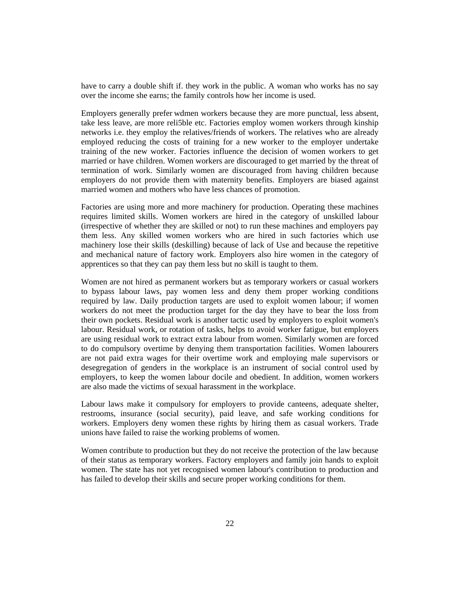have to carry a double shift if. they work in the public. A woman who works has no say over the income she earns; the family controls how her income is used.

Employers generally prefer wdmen workers because they are more punctual, less absent, take less leave, are more reli5ble etc. Factories employ women workers through kinship networks i.e. they employ the relatives/friends of workers. The relatives who are already employed reducing the costs of training for a new worker to the employer undertake training of the new worker. Factories influence the decision of women workers to get married or have children. Women workers are discouraged to get married by the threat of termination of work. Similarly women are discouraged from having children because employers do not provide them with maternity benefits. Employers are biased against married women and mothers who have less chances of promotion.

Factories are using more and more machinery for production. Operating these machines requires limited skills. Women workers are hired in the category of unskilled labour (irrespective of whether they are skilled or not) to run these machines and employers pay them less. Any skilled women workers who are hired in such factories which use machinery lose their skills (deskilling) because of lack of Use and because the repetitive and mechanical nature of factory work. Employers also hire women in the category of apprentices so that they can pay them less but no skill is taught to them.

Women are not hired as permanent workers but as temporary workers or casual workers to bypass labour laws, pay women less and deny them proper working conditions required by law. Daily production targets are used to exploit women labour; if women workers do not meet the production target for the day they have to bear the loss from their own pockets. Residual work is another tactic used by employers to exploit women's labour. Residual work, or rotation of tasks, helps to avoid worker fatigue, but employers are using residual work to extract extra labour from women. Similarly women are forced to do compulsory overtime by denying them transportation facilities. Women labourers are not paid extra wages for their overtime work and employing male supervisors or desegregation of genders in the workplace is an instrument of social control used by employers, to keep the women labour docile and obedient. In addition, women workers are also made the victims of sexual harassment in the workplace.

Labour laws make it compulsory for employers to provide canteens, adequate shelter, restrooms, insurance (social security), paid leave, and safe working conditions for workers. Employers deny women these rights by hiring them as casual workers. Trade unions have failed to raise the working problems of women.

Women contribute to production but they do not receive the protection of the law because of their status as temporary workers. Factory employers and family join hands to exploit women. The state has not yet recognised women labour's contribution to production and has failed to develop their skills and secure proper working conditions for them.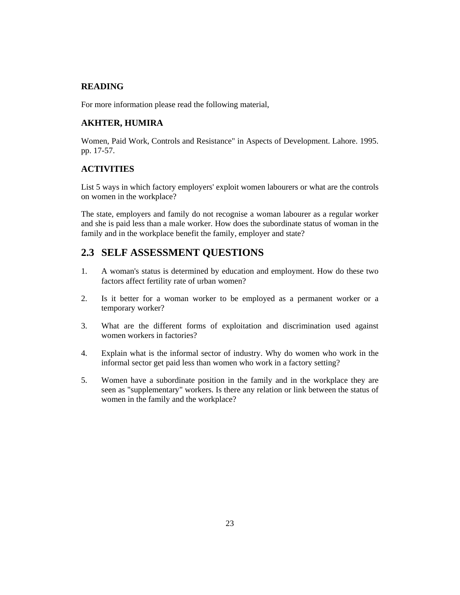#### **READING**

For more information please read the following material,

#### **AKHTER, HUMIRA**

Women, Paid Work, Controls and Resistance" in Aspects of Development. Lahore. 1995. pp. 17-57.

#### **ACTIVITIES**

List 5 ways in which factory employers' exploit women labourers or what are the controls on women in the workplace?

The state, employers and family do not recognise a woman labourer as a regular worker and she is paid less than a male worker. How does the subordinate status of woman in the family and in the workplace benefit the family, employer and state?

# **2.3 SELF ASSESSMENT QUESTIONS**

- 1. A woman's status is determined by education and employment. How do these two factors affect fertility rate of urban women?
- 2. Is it better for a woman worker to be employed as a permanent worker or a temporary worker?
- 3. What are the different forms of exploitation and discrimination used against women workers in factories?
- 4. Explain what is the informal sector of industry. Why do women who work in the informal sector get paid less than women who work in a factory setting?
- 5. Women have a subordinate position in the family and in the workplace they are seen as "supplementary" workers. Is there any relation or link between the status of women in the family and the workplace?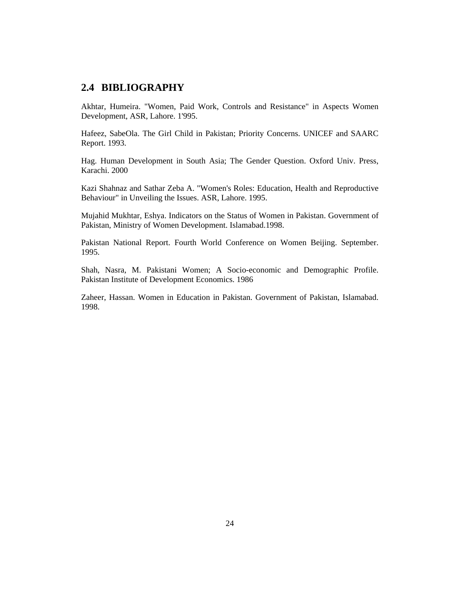# **2.4 BIBLIOGRAPHY**

Akhtar, Humeira. "Women, Paid Work, Controls and Resistance" in Aspects Women Development, ASR, Lahore. 1'995.

Hafeez, SabeOla. The Girl Child in Pakistan; Priority Concerns. UNICEF and SAARC Report. 1993.

Hag. Human Development in South Asia; The Gender Question. Oxford Univ. Press, Karachi. 2000

Kazi Shahnaz and Sathar Zeba A. "Women's Roles: Education, Health and Reproductive Behaviour" in Unveiling the Issues. ASR, Lahore. 1995.

Mujahid Mukhtar, Eshya. Indicators on the Status of Women in Pakistan. Government of Pakistan, Ministry of Women Development. Islamabad.1998.

Pakistan National Report. Fourth World Conference on Women Beijing. September. 1995.

Shah, Nasra, M. Pakistani Women; A Socio-economic and Demographic Profile. Pakistan Institute of Development Economics. 1986

Zaheer, Hassan. Women in Education in Pakistan. Government of Pakistan, Islamabad. 1998.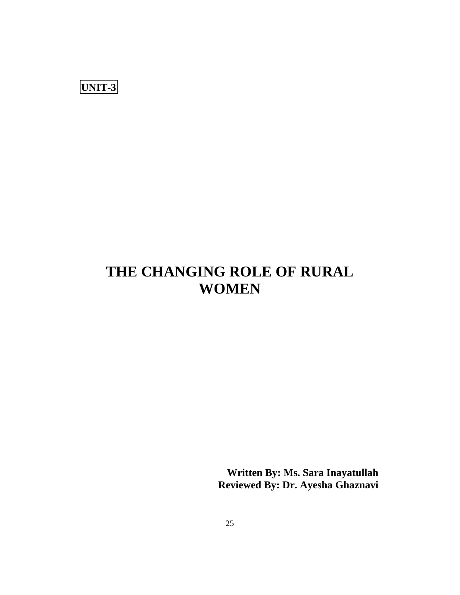**UNIT-3** 

# **THE CHANGING ROLE OF RURAL WOMEN**

**Written By: Ms. Sara Inayatullah Reviewed By: Dr. Ayesha Ghaznavi**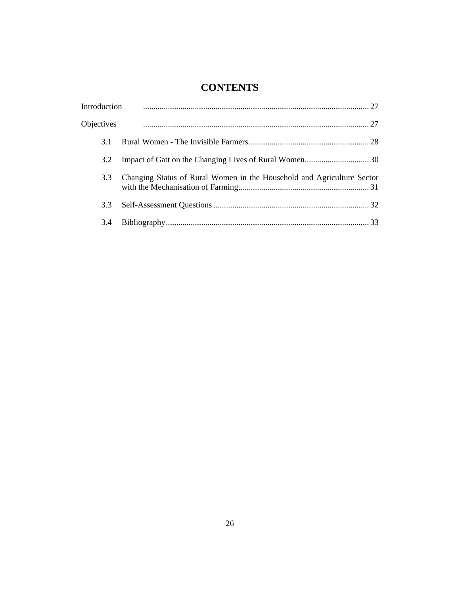# **CONTENTS**

| Introduction |                                                                        |
|--------------|------------------------------------------------------------------------|
| Objectives   |                                                                        |
| 3.1          |                                                                        |
| 3.2          |                                                                        |
| 3.3          | Changing Status of Rural Women in the Household and Agriculture Sector |
| $3.3 -$      |                                                                        |
| 3.4          |                                                                        |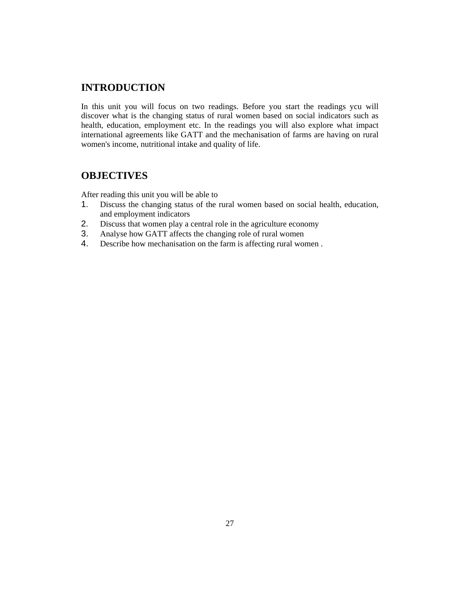# **INTRODUCTION**

In this unit you will focus on two readings. Before you start the readings ycu will discover what is the changing status of rural women based on social indicators such as health, education, employment etc. In the readings you will also explore what impact international agreements like GATT and the mechanisation of farms are having on rural women's income, nutritional intake and quality of life.

## **OBJECTIVES**

After reading this unit you will be able to

- 1. Discuss the changing status of the rural women based on social health, education, and employment indicators
- 2. Discuss that women play a central role in the agriculture economy
- 3. Analyse how GATT affects the changing role of rural women
- 4. Describe how mechanisation on the farm is affecting rural women .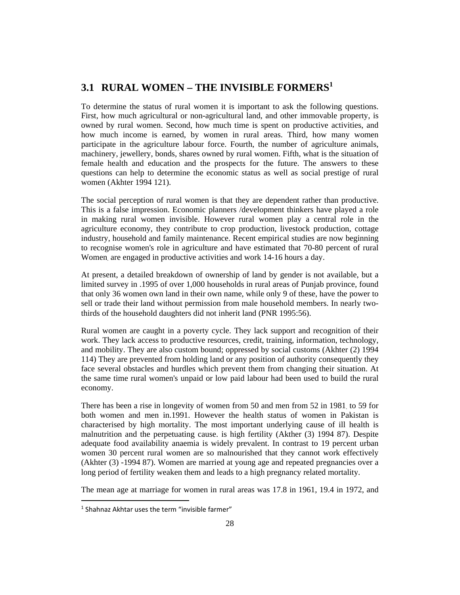# **3.1 RURAL WOMEN – THE INVISIBLE FORMERS<sup>1</sup>**

To determine the status of rural women it is important to ask the following questions. First, how much agricultural or non-agricultural land, and other immovable property, is owned by rural women. Second, how much time is spent on productive activities, and how much income is earned, by women in rural areas. Third, how many women participate in the agriculture labour force. Fourth, the number of agriculture animals, machinery, jewellery, bonds, shares owned by rural women. Fifth, what is the situation of female health and education and the prospects for the future. The answers to these questions can help to determine the economic status as well as social prestige of rural women (Akhter 1994 121).

The social perception of rural women is that they are dependent rather than productive. This is a false impression. Economic planners /development thinkers have played a role in making rural women invisible. However rural women play a central role in the agriculture economy, they contribute to crop production, livestock production, cottage industry, household and family maintenance. Recent empirical studies are now beginning to recognise women's role in agriculture and have estimated that 70-80 percent of rural Women. are engaged in productive activities and work 14-16 hours a day.

At present, a detailed breakdown of ownership of land by gender is not available, but a limited survey in .1995 of over 1,000 households in rural areas of Punjab province, found that only 36 women own land in their own name, while only 9 of these, have the power to sell or trade their land without permission from male household members. In nearly twothirds of the household daughters did not inherit land (PNR 1995:56).

Rural women are caught in a poverty cycle. They lack support and recognition of their work. They lack access to productive resources, credit, training, information, technology, and mobility. They are also custom bound; oppressed by social customs (Akhter (2) 1994 114) They are prevented from holding land or any position of authority consequently they face several obstacles and hurdles which prevent them from changing their situation. At the same time rural women's unpaid or low paid labour had been used to build the rural economy.

There has been a rise in longevity of women from 50 and men from 52 in 1981. to 59 for both women and men in.1991. However the health status of women in Pakistan is characterised by high mortality. The most important underlying cause of ill health is malnutrition and the perpetuating cause. is high fertility (Akther (3) 1994 87). Despite adequate food availability anaemia is widely prevalent. In contrast to 19 percent urban women 30 percent rural women are so malnourished that they cannot work effectively (Akhter (3) -1994 87). Women are married at young age and repeated pregnancies over a long period of fertility weaken them and leads to a high pregnancy related mortality.

The mean age at marriage for women in rural areas was 17.8 in 1961, 19.4 in 1972, and

<sup>&</sup>lt;sup>1</sup> Shahnaz Akhtar uses the term "invisible farmer"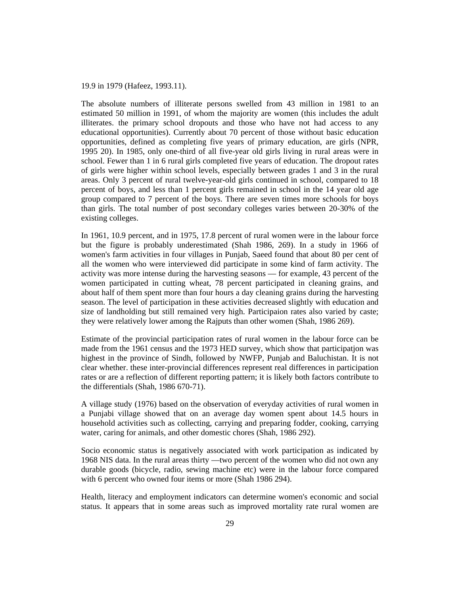19.9 in 1979 (Hafeez, 1993.11).

The absolute numbers of illiterate persons swelled from 43 million in 1981 to an estimated 50 million in 1991, of whom the majority are women (this includes the adult illiterates. the primary school dropouts and those who have not had access to any educational opportunities). Currently about 70 percent of those without basic education opportunities, defined as completing five years of primary education, are girls (NPR, 1995 20). In 1985, only one-third of all five-year old girls living in rural areas were in school. Fewer than 1 in 6 rural girls completed five years of education. The dropout rates of girls were higher within school levels, especially between grades 1 and 3 in the rural areas. Only 3 percent of rural twelve-year-old girls continued in school, compared to 18 percent of boys, and less than 1 percent girls remained in school in the 14 year old age group compared to 7 percent of the boys. There are seven times more schools for boys than girls. The total number of post secondary colleges varies between 20-30% of the existing colleges.

In 1961, 10.9 percent, and in 1975, 17.8 percent of rural women were in the labour force but the figure is probably underestimated (Shah 1986, 269). In a study in 1966 of women's farm activities in four villages in Punjab, Saeed found that about 80 per cent of all the women who were interviewed did participate in some kind of farm activity. The activity was more intense during the harvesting seasons — for example, 43 percent of the women participated in cutting wheat, 78 percent participated in cleaning grains, and about half of them spent more than four hours a day cleaning grains during the harvesting season. The level of participation in these activities decreased slightly with education and size of landholding but still remained very high. Participaion rates also varied by caste; they were relatively lower among the Rajputs than other women (Shah, 1986 269).

Estimate of the provincial participation rates of rural women in the labour force can be made from the 1961 census and the 1973 HED survey, which show that participatjon was highest in the province of Sindh, followed by NWFP, Punjab and Baluchistan. It is not clear whether. these inter-provincial differences represent real differences in participation rates or are a reflection of different reporting pattern; it is likely both factors contribute to the differentials (Shah, 1986 670-71).

A village study (1976) based on the observation of everyday activities of rural women in a Punjabi village showed that on an average day women spent about 14.5 hours in household activities such as collecting, carrying and preparing fodder, cooking, carrying water, caring for animals, and other domestic chores (Shah, 1986 292).

Socio economic status is negatively associated with work participation as indicated by 1968 NIS data. In the rural areas thirty —two percent of the women who did not own any durable goods (bicycle, radio, sewing machine etc) were in the labour force compared with 6 percent who owned four items or more (Shah 1986 294).

Health, literacy and employment indicators can determine women's economic and social status. It appears that in some areas such as improved mortality rate rural women are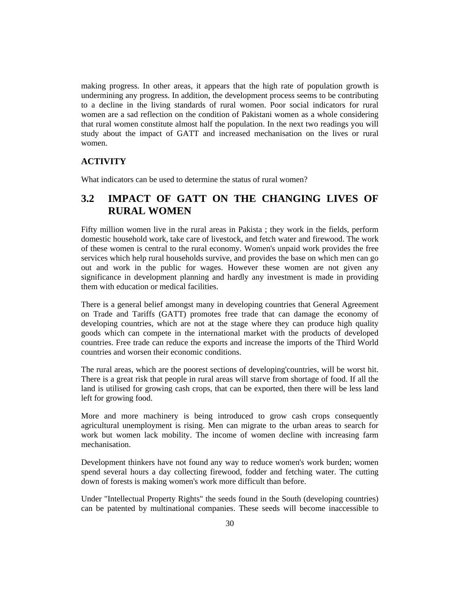making progress. In other areas, it appears that the high rate of population growth is undermining any progress. In addition, the development process seems to be contributing to a decline in the living standards of rural women. Poor social indicators for rural women are a sad reflection on the condition of Pakistani women as a whole considering that rural women constitute almost half the population. In the next two readings you will study about the impact of GATT and increased mechanisation on the lives or rural women.

## **ACTIVITY**

What indicators can be used to determine the status of rural women?

# **3.2 IMPACT OF GATT ON THE CHANGING LIVES OF RURAL WOMEN**

Fifty million women live in the rural areas in Pakista ; they work in the fields, perform domestic household work, take care of livestock, and fetch water and firewood. The work of these women is central to the rural economy. Women's unpaid work provides the free services which help rural households survive, and provides the base on which men can go out and work in the public for wages. However these women are not given any significance in development planning and hardly any investment is made in providing them with education or medical facilities.

There is a general belief amongst many in developing countries that General Agreement on Trade and Tariffs (GATT) promotes free trade that can damage the economy of developing countries, which are not at the stage where they can produce high quality goods which can compete in the international market with the products of developed countries. Free trade can reduce the exports and increase the imports of the Third World countries and worsen their economic conditions.

The rural areas, which are the poorest sections of developing'countries, will be worst hit. There is a great risk that people in rural areas will starve from shortage of food. If all the land is utilised for growing cash crops, that can be exported, then there will be less land left for growing food.

More and more machinery is being introduced to grow cash crops consequently agricultural unemployment is rising. Men can migrate to the urban areas to search for work but women lack mobility. The income of women decline with increasing farm mechanisation.

Development thinkers have not found any way to reduce women's work burden; women spend several hours a day collecting firewood, fodder and fetching water. The cutting down of forests is making women's work more difficult than before.

Under "Intellectual Property Rights" the seeds found in the South (developing countries) can be patented by multinational companies. These seeds will become inaccessible to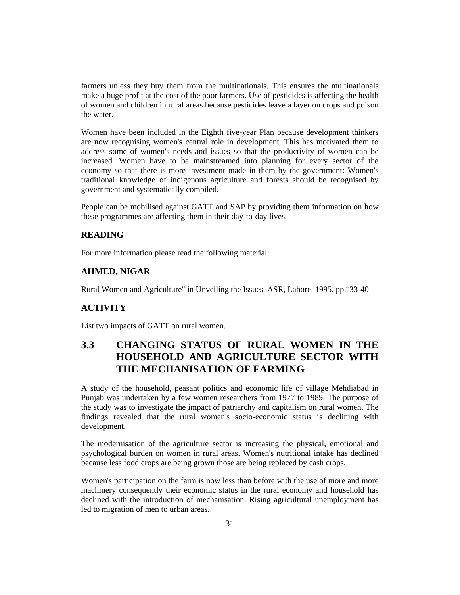farmers unless they buy them from the multinationals. This ensures the multinationals make a huge profit at the cost of the poor farmers. Use of pesticides is affecting the health of women and children in rural areas because pesticides leave a layer on crops and poison the water.

Women have been included in the Eighth five-year Plan because development thinkers are now recognising women's central role in development. This has motivated them to address some of women's needs and issues so that the productivity of women can be increased. Women have to be mainstreamed into planning for every sector of the economy so that there is more investment made in them by the government: Women's traditional knowledge of indigenous agriculture and forests should be recognised by government and systematically compiled.

People can be mobilised against GATT and SAP by providing them information on how these programmes are affecting them in their day-to-day lives.

## **READING**

For more information please read the following material:

#### **AHMED, NIGAR**

Rural Women and Agriculture" in Unveiling the Issues. ASR, Lahore. 1995. pp. - 33-40

## **ACTIVITY**

List two impacts of GATT on rural women.

# **3.3 CHANGING STATUS OF RURAL WOMEN IN THE HOUSEHOLD AND AGRICULTURE SECTOR WITH THE MECHANISATION OF FARMING**

A study of the household, peasant politics and economic life of village Mehdiabad in Punjab was undertaken by a few women researchers from 1977 to 1989. The purpose of the study was to investigate the impact of patriarchy and capitalism on rural women. The findings revealed that the rural women's socio-economic status is declining with development.

The modernisation of the agriculture sector is increasing the physical, emotional and psychological burden on women in rural areas. Women's nutritional intake has declined because less food crops are being grown those are being replaced by cash crops.

Women's participation on the farm is now less than before with the use of more and more machinery consequently their economic status in the rural economy and household has declined with the introduction of mechanisation. Rising agricultural unemployment has led to migration of men to urban areas.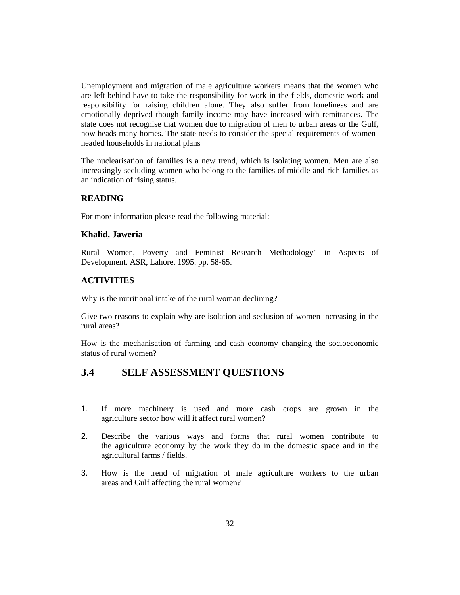Unemployment and migration of male agriculture workers means that the women who are left behind have to take the responsibility for work in the fields, domestic work and responsibility for raising children alone. They also suffer from loneliness and are emotionally deprived though family income may have increased with remittances. The state does not recognise that women due to migration of men to urban areas or the Gulf, now heads many homes. The state needs to consider the special requirements of womenheaded households in national plans

The nuclearisation of families is a new trend, which is isolating women. Men are also increasingly secluding women who belong to the families of middle and rich families as an indication of rising status.

## **READING**

For more information please read the following material:

### **Khalid, Jaweria**

Rural Women, Poverty and Feminist Research Methodology" in Aspects of Development. ASR, Lahore. 1995. pp. 58-65.

### **ACTIVITIES**

Why is the nutritional intake of the rural woman declining?

Give two reasons to explain why are isolation and seclusion of women increasing in the rural areas?

How is the mechanisation of farming and cash economy changing the socioeconomic status of rural women?

# **3.4 SELF ASSESSMENT QUESTIONS**

- 1. If more machinery is used and more cash crops are grown in the agriculture sector how will it affect rural women?
- 2. Describe the various ways and forms that rural women contribute to the agriculture economy by the work they do in the domestic space and in the agricultural farms / fields.
- 3. How is the trend of migration of male agriculture workers to the urban areas and Gulf affecting the rural women?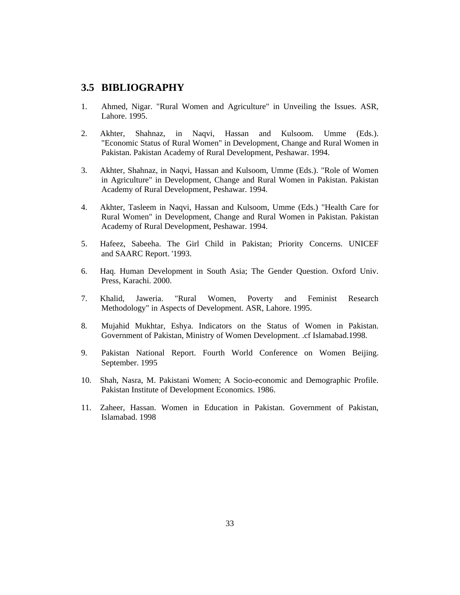## **3.5 BIBLIOGRAPHY**

- 1. Ahmed, Nigar. "Rural Women and Agriculture" in Unveiling the Issues. ASR, Lahore. 1995.
- 2. Akhter, Shahnaz, in Naqvi, Hassan and Kulsoom. Umme (Eds.). "Economic Status of Rural Women" in Development, Change and Rural Women in Pakistan. Pakistan Academy of Rural Development, Peshawar. 1994.
- 3. Akhter, Shahnaz, in Naqvi, Hassan and Kulsoom, Umme (Eds.). "Role of Women in Agriculture" in Development, Change and Rural Women in Pakistan. Pakistan Academy of Rural Development, Peshawar. 1994.
- 4. Akhter, Tasleem in Naqvi, Hassan and Kulsoom, Umme (Eds.) "Health Care for Rural Women" in Development, Change and Rural Women in Pakistan. Pakistan Academy of Rural Development, Peshawar. 1994.
- 5. Hafeez, Sabeeha. The Girl Child in Pakistan; Priority Concerns. UNICEF and SAARC Report. '1993.
- 6. Haq. Human Development in South Asia; The Gender Question. Oxford Univ. Press, Karachi. 2000.
- 7. Khalid, Jaweria. "Rural Women, Poverty and Feminist Research Methodology" in Aspects of Development. ASR, Lahore. 1995.
- 8. Mujahid Mukhtar, Eshya. Indicators on the Status of Women in Pakistan. Government of Pakistan, Ministry of Women Development. .cf Islamabad.1998.
- 9. Pakistan National Report. Fourth World Conference on Women Beijing. September. 1995
- 10. Shah, Nasra, M. Pakistani Women; A Socio-economic and Demographic Profile. Pakistan Institute of Development Economics. 1986.
- 11. Zaheer, Hassan. Women in Education in Pakistan. Government of Pakistan, Islamabad. 1998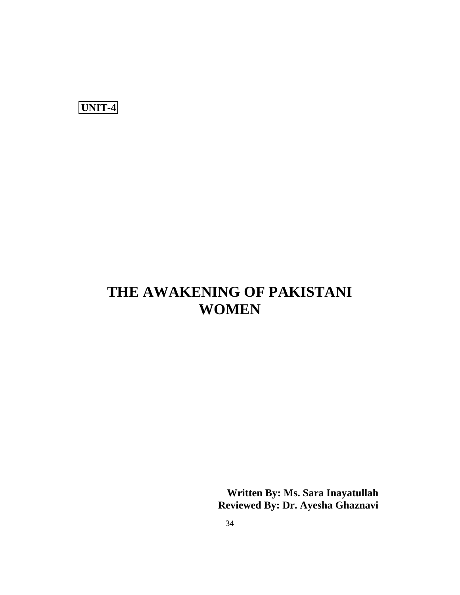

# **THE AWAKENING OF PAKISTANI WOMEN**

**Written By: Ms. Sara Inayatullah Reviewed By: Dr. Ayesha Ghaznavi**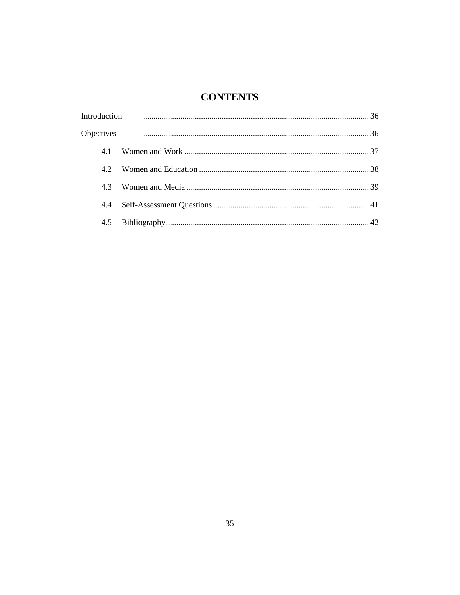# **CONTENTS**

| Introduction |  |
|--------------|--|
|              |  |
| 41           |  |
| 42           |  |
| 43           |  |
| 4.4          |  |
| 4.5          |  |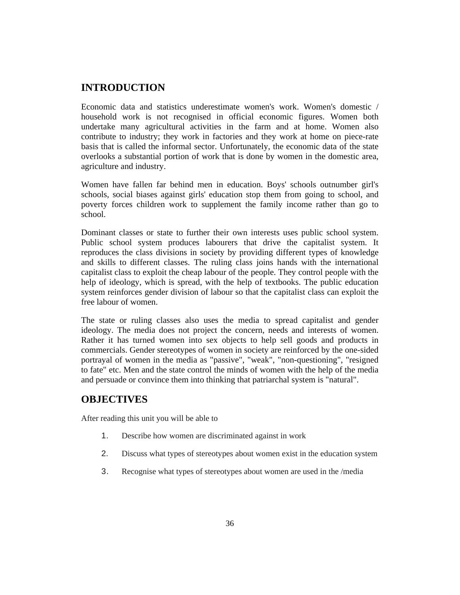# **INTRODUCTION**

Economic data and statistics underestimate women's work. Women's domestic / household work is not recognised in official economic figures. Women both undertake many agricultural activities in the farm and at home. Women also contribute to industry; they work in factories and they work at home on piece-rate basis that is called the informal sector. Unfortunately, the economic data of the state overlooks a substantial portion of work that is done by women in the domestic area, agriculture and industry.

Women have fallen far behind men in education. Boys' schools outnumber girl's schools, social biases against girls' education stop them from going to school, and poverty forces children work to supplement the family income rather than go to school.

Dominant classes or state to further their own interests uses public school system. Public school system produces labourers that drive the capitalist system. It reproduces the class divisions in society by providing different types of knowledge and skills to different classes. The ruling class joins hands with the international capitalist class to exploit the cheap labour of the people. They control people with the help of ideology, which is spread, with the help of textbooks. The public education system reinforces gender division of labour so that the capitalist class can exploit the free labour of women.

The state or ruling classes also uses the media to spread capitalist and gender ideology. The media does not project the concern, needs and interests of women. Rather it has turned women into sex objects to help sell goods and products in commercials. Gender stereotypes of women in society are reinforced by the one-sided portrayal of women in the media as "passive", "weak", "non-questioning", "resigned to fate" etc. Men and the state control the minds of women with the help of the media and persuade or convince them into thinking that patriarchal system is "natural".

## **OBJECTIVES**

After reading this unit you will be able to

- 1. Describe how women are discriminated against in work
- 2. Discuss what types of stereotypes about women exist in the education system
- 3. Recognise what types of stereotypes about women are used in the /media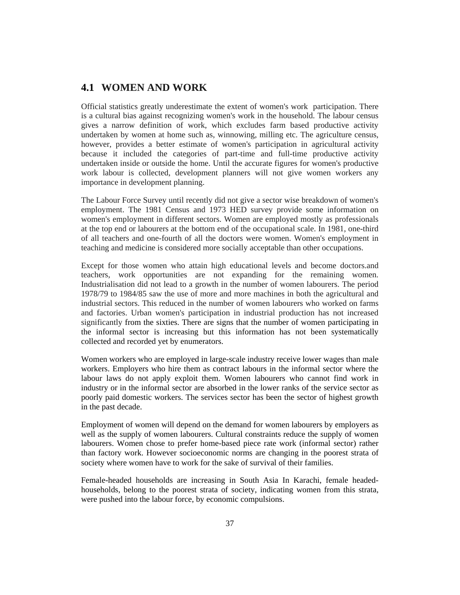# **4.1 WOMEN AND WORK**

Official statistics greatly underestimate the extent of women's work participation. There is a cultural bias against recognizing women's work in the household. The labour census gives a narrow definition of work, which excludes farm based productive activity undertaken by women at home such as, winnowing, milling etc. The agriculture census, however, provides a better estimate of women's participation in agricultural activity because it included the categories of part-time and full-time productive activity undertaken inside or outside the home. Until the accurate figures for women's productive work labour is collected, development planners will not give women workers any importance in development planning.

The Labour Force Survey until recently did not give a sector wise breakdown of women's employment. The 1981 Census and 1973 HED survey provide some information on women's employment in different sectors. Women are employed mostly as professionals at the top end or labourers at the bottom end of the occupational scale. In 1981, one-third of all teachers and one-fourth of all the doctors were women. Women's employment in teaching and medicine is considered more socially acceptable than other occupations.

Except for those women who attain high educational levels and become doctors.and teachers, work opportunities are not expanding for the remaining women. Industrialisation did not lead to a growth in the number of women labourers. The period 1978/79 to 1984/85 saw the use of more and more machines in both the agricultural and industrial sectors. This reduced in the number of women labourers who worked on farms and factories. Urban women's participation in industrial production has not increased significantly from the sixties. There are signs that the number of women participating in the informal sector is increasing but this information has not been systematically collected and recorded yet by enumerators.

Women workers who are employed in large-scale industry receive lower wages than male workers. Employers who hire them as contract labours in the informal sector where the labour laws do not apply exploit them. Women labourers who cannot find work in industry or in the informal sector are absorbed in the lower ranks of the service sector as poorly paid domestic workers. The services sector has been the sector of highest growth in the past decade.

Employment of women will depend on the demand for women labourers by employers as well as the supply of women labourers. Cultural constraints reduce the supply of women labourers. Women chose to prefer home-based piece rate work (informal sector) rather than factory work. However socioeconomic norms are changing in the poorest strata of society where women have to work for the sake of survival of their families.

Female-headed households are increasing in South Asia In Karachi, female headedhouseholds, belong to the poorest strata of society, indicating women from this strata, were pushed into the labour force, by economic compulsions.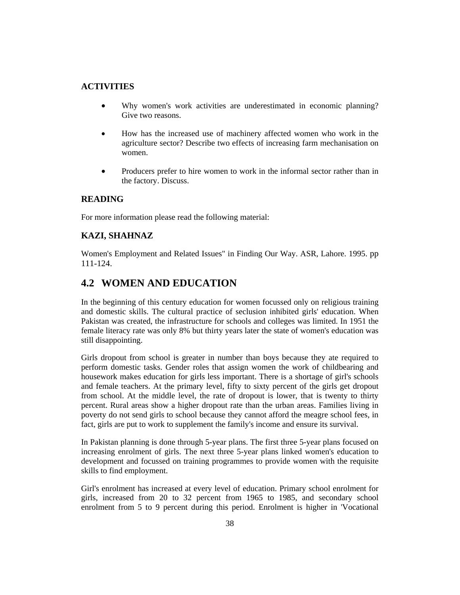## **ACTIVITIES**

- Why women's work activities are underestimated in economic planning? Give two reasons.
- How has the increased use of machinery affected women who work in the agriculture sector? Describe two effects of increasing farm mechanisation on women.
- Producers prefer to hire women to work in the informal sector rather than in the factory. Discuss.

## **READING**

For more information please read the following material:

## **KAZI, SHAHNAZ**

Women's Employment and Related Issues" in Finding Our Way. ASR, Lahore. 1995. pp 111-124.

# **4.2 WOMEN AND EDUCATION**

In the beginning of this century education for women focussed only on religious training and domestic skills. The cultural practice of seclusion inhibited girls' education. When Pakistan was created, the infrastructure for schools and colleges was limited. In 1951 the female literacy rate was only 8% but thirty years later the state of women's education was still disappointing.

Girls dropout from school is greater in number than boys because they ate required to perform domestic tasks. Gender roles that assign women the work of childbearing and housework makes education for girls less important. There is a shortage of girl's schools and female teachers. At the primary level, fifty to sixty percent of the girls get dropout from school. At the middle level, the rate of dropout is lower, that is twenty to thirty percent. Rural areas show a higher dropout rate than the urban areas. Families living in poverty do not send girls to school because they cannot afford the meagre school fees, in fact, girls are put to work to supplement the family's income and ensure its survival.

In Pakistan planning is done through 5-year plans. The first three 5-year plans focused on increasing enrolment of girls. The next three 5-year plans linked women's education to development and focussed on training programmes to provide women with the requisite skills to find employment.

Girl's enrolment has increased at every level of education. Primary school enrolment for girls, increased from 20 to 32 percent from 1965 to 1985, and secondary school enrolment from 5 to 9 percent during this period. Enrolment is higher in 'Vocational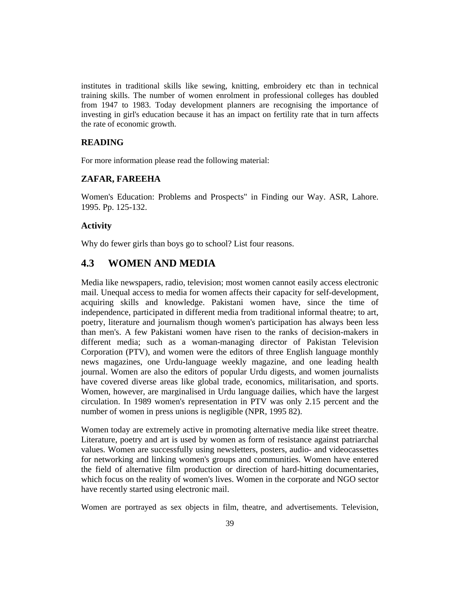institutes in traditional skills like sewing, knitting, embroidery etc than in technical training skills. The number of women enrolment in professional colleges has doubled from 1947 to 1983. Today development planners are recognising the importance of investing in girl's education because it has an impact on fertility rate that in turn affects the rate of economic growth.

#### **READING**

For more information please read the following material:

### **ZAFAR, FAREEHA**

Women's Education: Problems and Prospects" in Finding our Way. ASR, Lahore. 1995. Pp. 125-132.

#### **Activity**

Why do fewer girls than boys go to school? List four reasons.

## **4.3 WOMEN AND MEDIA**

Media like newspapers, radio, television; most women cannot easily access electronic mail. Unequal access to media for women affects their capacity for self-development, acquiring skills and knowledge. Pakistani women have, since the time of independence, participated in different media from traditional informal theatre; to art, poetry, literature and journalism though women's participation has always been less than men's. A few Pakistani women have risen to the ranks of decision-makers in different media; such as a woman-managing director of Pakistan Television Corporation (PTV), and women were the editors of three English language monthly news magazines, one Urdu-language weekly magazine, and one leading health journal. Women are also the editors of popular Urdu digests, and women journalists have covered diverse areas like global trade, economics, militarisation, and sports. Women, however, are marginalised in Urdu language dailies, which have the largest circulation. In 1989 women's representation in PTV was only 2.15 percent and the number of women in press unions is negligible (NPR, 1995 82).

Women today are extremely active in promoting alternative media like street theatre. Literature, poetry and art is used by women as form of resistance against patriarchal values. Women are successfully using newsletters, posters, audio- and videocassettes for networking and linking women's groups and communities. Women have entered the field of alternative film production or direction of hard-hitting documentaries, which focus on the reality of women's lives. Women in the corporate and NGO sector have recently started using electronic mail.

Women are portrayed as sex objects in film, theatre, and advertisements. Television,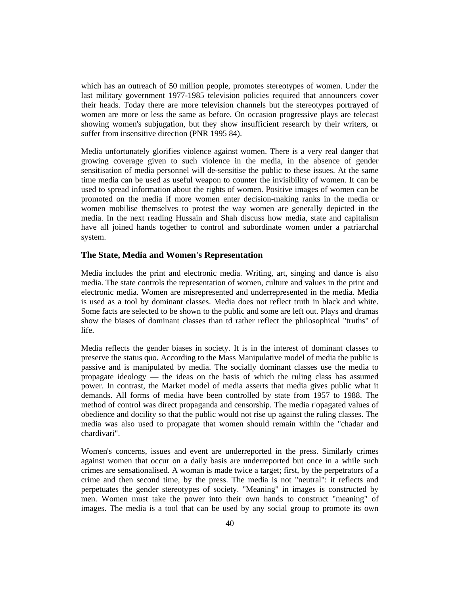which has an outreach of 50 million people, promotes stereotypes of women. Under the last military government 1977-1985 television policies required that announcers cover their heads. Today there are more television channels but the stereotypes portrayed of women are more or less the same as before. On occasion progressive plays are telecast showing women's subjugation, but they show insufficient research by their writers, or suffer from insensitive direction (PNR 1995 84).

Media unfortunately glorifies violence against women. There is a very real danger that growing coverage given to such violence in the media, in the absence of gender sensitisation of media personnel will de-sensitise the public to these issues. At the same time media can be used as useful weapon to counter the invisibility of women. It can be used to spread information about the rights of women. Positive images of women can be promoted on the media if more women enter decision-making ranks in the media or women mobilise themselves to protest the way women are generally depicted in the media. In the next reading Hussain and Shah discuss how media, state and capitalism have all joined hands together to control and subordinate women under a patriarchal system.

#### **The State, Media and Women's Representation**

Media includes the print and electronic media. Writing, art, singing and dance is also media. The state controls the representation of women, culture and values in the print and electronic media. Women are misrepresented and underrepresented in the media. Media is used as a tool by dominant classes. Media does not reflect truth in black and white. Some facts are selected to be shown to the public and some are left out. Plays and dramas show the biases of dominant classes than td rather reflect the philosophical "truths" of life.

Media reflects the gender biases in society. It is in the interest of dominant classes to preserve the status quo. According to the Mass Manipulative model of media the public is passive and is manipulated by media. The socially dominant classes use the media to propagate ideology — the ideas on the basis of which the ruling class has assumed power. In contrast, the Market model of media asserts that media gives public what it demands. All forms of media have been controlled by state from 1957 to 1988. The method of control was direct propaganda and censorship. The media r opagated values of obedience and docility so that the public would not rise up against the ruling classes. The media was also used to propagate that women should remain within the "chadar and chardivari".

Women's concerns, issues and event are underreported in the press. Similarly crimes against women that occur on a daily basis are underreported but once in a while such crimes are sensationalised. A woman is made twice a target; first, by the perpetrators of a crime and then second time, by the press. The media is not "neutral": it reflects and perpetuates the gender stereotypes of society. "Meaning" in images is constructed by men. Women must take the power into their own hands to construct "meaning" of images. The media is a tool that can be used by any social group to promote its own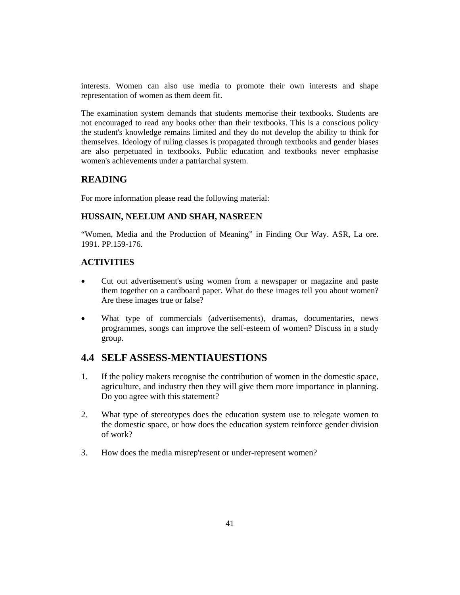interests. Women can also use media to promote their own interests and shape representation of women as them deem fit.

The examination system demands that students memorise their textbooks. Students are not encouraged to read any books other than their textbooks. This is a conscious policy the student's knowledge remains limited and they do not develop the ability to think for themselves. Ideology of ruling classes is propagated through textbooks and gender biases are also perpetuated in textbooks. Public education and textbooks never emphasise women's achievements under a patriarchal system.

## **READING**

For more information please read the following material:

## **HUSSAIN, NEELUM AND SHAH, NASREEN**

"Women, Media and the Production of Meaning" in Finding Our Way. ASR, La ore. 1991. PP.159-176.

## **ACTIVITIES**

- Cut out advertisement's using women from a newspaper or magazine and paste them together on a cardboard paper. What do these images tell you about women? Are these images true or false?
- What type of commercials (advertisements), dramas, documentaries, news programmes, songs can improve the self-esteem of women? Discuss in a study group.

## **4.4 SELF ASSESS-MENTIAUESTIONS**

- 1. If the policy makers recognise the contribution of women in the domestic space, agriculture, and industry then they will give them more importance in planning. Do you agree with this statement?
- 2. What type of stereotypes does the education system use to relegate women to the domestic space, or how does the education system reinforce gender division of work?
- 3. How does the media misrep'resent or under-represent women?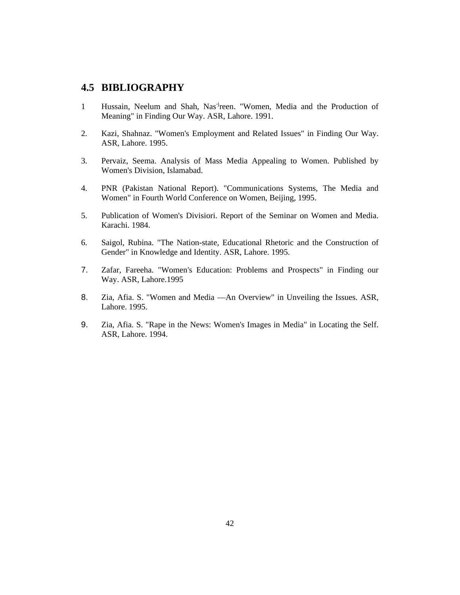# **4.5 BIBLIOGRAPHY**

- 1 Hussain, Neelum and Shah, Nas-jreen. "Women, Media and the Production of Meaning" in Finding Our Way. ASR, Lahore. 1991.
- 2. Kazi, Shahnaz. "Women's Employment and Related Issues" in Finding Our Way. ASR, Lahore. 1995.
- 3. Pervaiz, Seema. Analysis of Mass Media Appealing to Women. Published by Women's Division, Islamabad.
- 4. PNR (Pakistan National Report). "Communications Systems, The Media and Women" in Fourth World Conference on Women, Beijing, 1995.
- 5. Publication of Women's Divisiori. Report of the Seminar on Women and Media. Karachi. 1984.
- 6. Saigol, Rubina. "The Nation-state, Educational Rhetoric and the Construction of Gender" in Knowledge and Identity. ASR, Lahore. 1995.
- 7. Zafar, Fareeha. "Women's Education: Problems and Prospects" in Finding our Way. ASR, Lahore.1995
- 8. Zia, Afia. S. "Women and Media —An Overview" in Unveiling the Issues. ASR, Lahore. 1995.
- 9. Zia, Afia. S. "Rape in the News: Women's Images in Media" in Locating the Self. ASR, Lahore. 1994.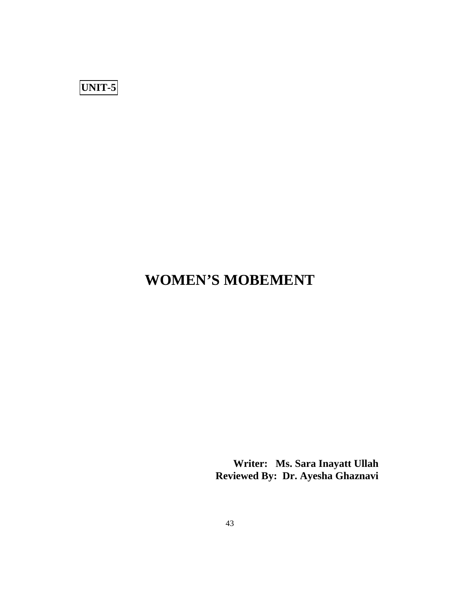

# **WOMEN'S MOBEMENT**

**Writer: Ms. Sara Inayatt Ullah Reviewed By: Dr. Ayesha Ghaznavi**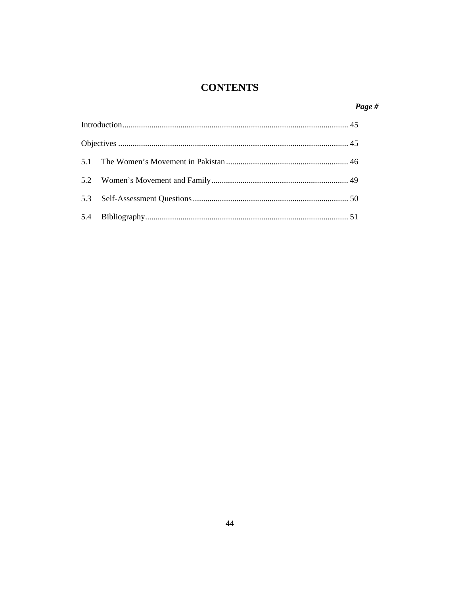# **CONTENTS**

# Page #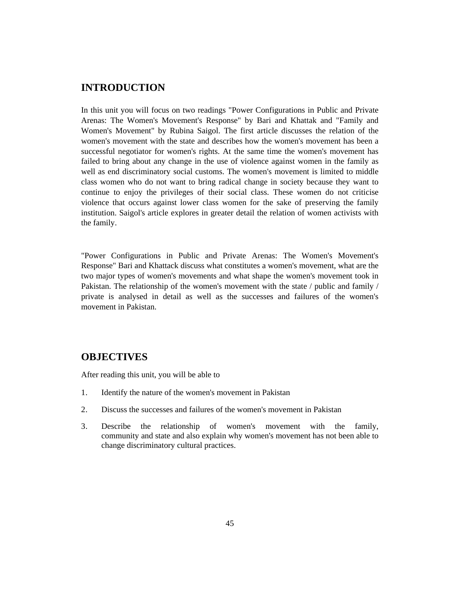# **INTRODUCTION**

In this unit you will focus on two readings "Power Configurations in Public and Private Arenas: The Women's Movement's Response" by Bari and Khattak and "Family and Women's Movement" by Rubina Saigol. The first article discusses the relation of the women's movement with the state and describes how the women's movement has been a successful negotiator for women's rights. At the same time the women's movement has failed to bring about any change in the use of violence against women in the family as well as end discriminatory social customs. The women's movement is limited to middle class women who do not want to bring radical change in society because they want to continue to enjoy the privileges of their social class. These women do not criticise violence that occurs against lower class women for the sake of preserving the family institution. Saigol's article explores in greater detail the relation of women activists with the family.

"Power Configurations in Public and Private Arenas: The Women's Movement's Response" Bari and Khattack discuss what constitutes a women's movement, what are the two major types of women's movements and what shape the women's movement took in Pakistan. The relationship of the women's movement with the state / public and family / private is analysed in detail as well as the successes and failures of the women's movement in Pakistan.

## **OBJECTIVES**

After reading this unit, you will be able to

- 1. Identify the nature of the women's movement in Pakistan
- 2. Discuss the successes and failures of the women's movement in Pakistan
- 3. Describe the relationship of women's movement with the family, community and state and also explain why women's movement has not been able to change discriminatory cultural practices.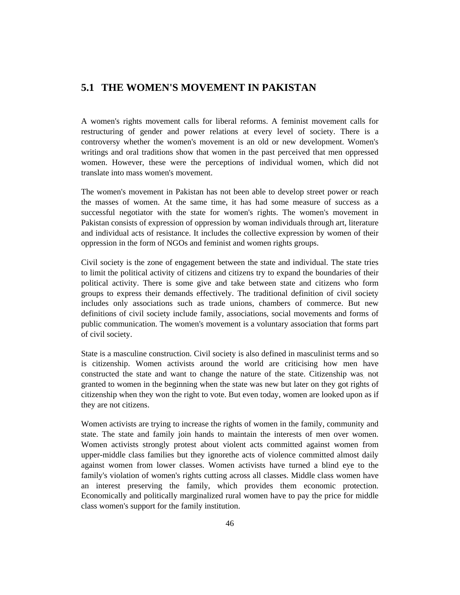# **5.1 THE WOMEN'S MOVEMENT IN PAKISTAN**

A women's rights movement calls for liberal reforms. A feminist movement calls for restructuring of gender and power relations at every level of society. There is a controversy whether the women's movement is an old or new development. Women's writings and oral traditions show that women in the past perceived that men oppressed women. However, these were the perceptions of individual women, which did not translate into mass women's movement.

The women's movement in Pakistan has not been able to develop street power or reach the masses of women. At the same time, it has had some measure of success as a successful negotiator with the state for women's rights. The women's movement in Pakistan consists of expression of oppression by woman individuals through art, literature and individual acts of resistance. It includes the collective expression by women of their oppression in the form of NGOs and feminist and women rights groups.

Civil society is the zone of engagement between the state and individual. The state tries to limit the political activity of citizens and citizens try to expand the boundaries of their political activity. There is some give and take between state and citizens who form groups to express their demands effectively. The traditional definition of civil society includes only associations such as trade unions, chambers of commerce. But new definitions of civil society include family, associations, social movements and forms of public communication. The women's movement is a voluntary association that forms part of civil society.

State is a masculine construction. Civil society is also defined in masculinist terms and so is citizenship. Women activists around the world are criticising how men have constructed the state and want to change the nature of the state. Citizenship was. not granted to women in the beginning when the state was new but later on they got rights of citizenship when they won the right to vote. But even today, women are looked upon as if they are not citizens.

Women activists are trying to increase the rights of women in the family, community and state. The state and family join hands to maintain the interests of men over women. Women activists strongly protest about violent acts committed against women from upper-middle class families but they ignorethe acts of violence committed almost daily against women from lower classes. Women activists have turned a blind eye to the family's violation of women's rights cutting across all classes. Middle class women have an interest preserving the family, which provides them economic protection. Economically and politically marginalized rural women have to pay the price for middle class women's support for the family institution.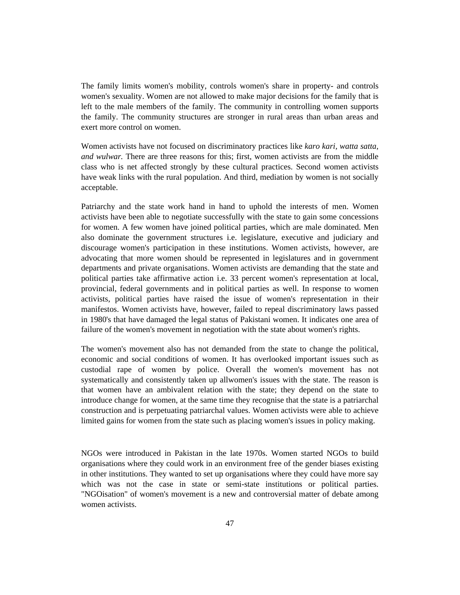The family limits women's mobility, controls women's share in property- and controls women's sexuality. Women are not allowed to make major decisions for the family that is left to the male members of the family. The community in controlling women supports the family. The community structures are stronger in rural areas than urban areas and exert more control on women.

Women activists have not focused on discriminatory practices like *karo kari, watta satta, and wulwar.* There are three reasons for this; first, women activists are from the middle class who is net affected strongly by these cultural practices. Second women activists have weak links with the rural population. And third, mediation by women is not socially acceptable.

Patriarchy and the state work hand in hand to uphold the interests of men. Women activists have been able to negotiate successfully with the state to gain some concessions for women. A few women have joined political parties, which are male dominated. Men also dominate the government structures i.e. legislature, executive and judiciary and discourage women's participation in these institutions. Women activists, however, are advocating that more women should be represented in legislatures and in government departments and private organisations. Women activists are demanding that the state and political parties take affirmative action i.e. 33 percent women's representation at local, provincial, federal governments and in political parties as well. In response to women activists, political parties have raised the issue of women's representation in their manifestos. Women activists have, however, failed to repeal discriminatory laws passed in 1980's that have damaged the legal status of Pakistani women. It indicates one area of failure of the women's movement in negotiation with the state about women's rights.

The women's movement also has not demanded from the state to change the political, economic and social conditions of women. It has overlooked important issues such as custodial rape of women by police. Overall the women's movement has not systematically and consistently taken up allwomen's issues with the state. The reason is that women have an ambivalent relation with the state; they depend on the state to introduce change for women, at the same time they recognise that the state is a patriarchal construction and is perpetuating patriarchal values. Women activists were able to achieve limited gains for women from the state such as placing women's issues in policy making.

NGOs were introduced in Pakistan in the late 1970s. Women started NGOs to build organisations where they could work in an environment free of the gender biases existing in other institutions. They wanted to set up organisations where they could have more say which was not the case in state or semi-state institutions or political parties. "NGOisation" of women's movement is a new and controversial matter of debate among women activists.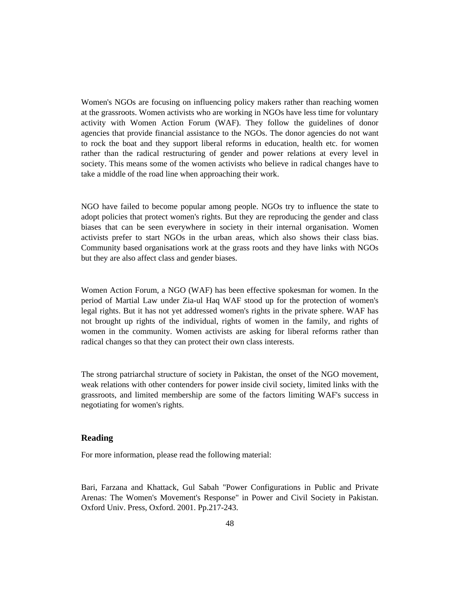Women's NGOs are focusing on influencing policy makers rather than reaching women at the grassroots. Women activists who are working in NGOs have less time for voluntary activity with Women Action Forum (WAF). They follow the guidelines of donor agencies that provide financial assistance to the NGOs. The donor agencies do not want to rock the boat and they support liberal reforms in education, health etc. for women rather than the radical restructuring of gender and power relations at every level in society. This means some of the women activists who believe in radical changes have to take a middle of the road line when approaching their work.

NGO have failed to become popular among people. NGOs try to influence the state to adopt policies that protect women's rights. But they are reproducing the gender and class biases that can be seen everywhere in society in their internal organisation. Women activists prefer to start NGOs in the urban areas, which also shows their class bias. Community based organisations work at the grass roots and they have links with NGOs but they are also affect class and gender biases.

Women Action Forum, a NGO (WAF) has been effective spokesman for women. In the period of Martial Law under Zia-ul Haq WAF stood up for the protection of women's legal rights. But it has not yet addressed women's rights in the private sphere. WAF has not brought up rights of the individual, rights of women in the family, and rights of women in the community. Women activists are asking for liberal reforms rather than radical changes so that they can protect their own class interests.

The strong patriarchal structure of society in Pakistan, the onset of the NGO movement, weak relations with other contenders for power inside civil society, limited links with the grassroots, and limited membership are some of the factors limiting WAF's success in negotiating for women's rights.

#### **Reading**

For more information, please read the following material:

Bari, Farzana and Khattack, Gul Sabah "Power Configurations in Public and Private Arenas: The Women's Movement's Response" in Power and Civil Society in Pakistan. Oxford Univ. Press, Oxford. 2001. Pp.217-243.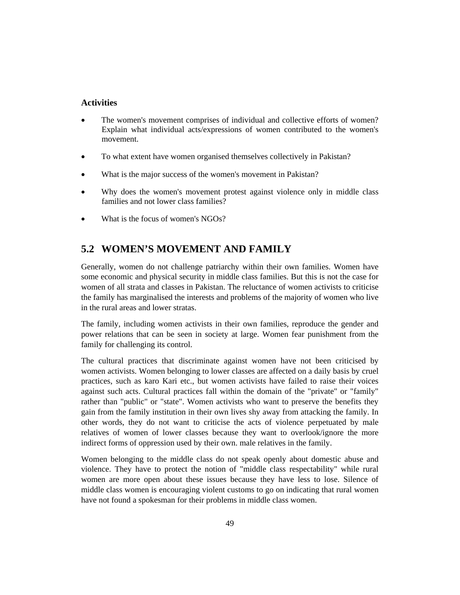### **Activities**

- The women's movement comprises of individual and collective efforts of women? Explain what individual acts/expressions of women contributed to the women's movement.
- To what extent have women organised themselves collectively in Pakistan?
- What is the major success of the women's movement in Pakistan?
- Why does the women's movement protest against violence only in middle class families and not lower class families?
- What is the focus of women's NGOs?

# **5.2 WOMEN'S MOVEMENT AND FAMILY**

Generally, women do not challenge patriarchy within their own families. Women have some economic and physical security in middle class families. But this is not the case for women of all strata and classes in Pakistan. The reluctance of women activists to criticise the family has marginalised the interests and problems of the majority of women who live in the rural areas and lower stratas.

The family, including women activists in their own families, reproduce the gender and power relations that can be seen in society at large. Women fear punishment from the family for challenging its control.

The cultural practices that discriminate against women have not been criticised by women activists. Women belonging to lower classes are affected on a daily basis by cruel practices, such as karo Kari etc., but women activists have failed to raise their voices against such acts. Cultural practices fall within the domain of the "private" or "family" rather than "public" or "state". Women activists who want to preserve the benefits they gain from the family institution in their own lives shy away from attacking the family. In other words, they do not want to criticise the acts of violence perpetuated by male relatives of women of lower classes because they want to overlook/ignore the more indirect forms of oppression used by their own. male relatives in the family.

Women belonging to the middle class do not speak openly about domestic abuse and violence. They have to protect the notion of "middle class respectability" while rural women are more open about these issues because they have less to lose. Silence of middle class women is encouraging violent customs to go on indicating that rural women have not found a spokesman for their problems in middle class women.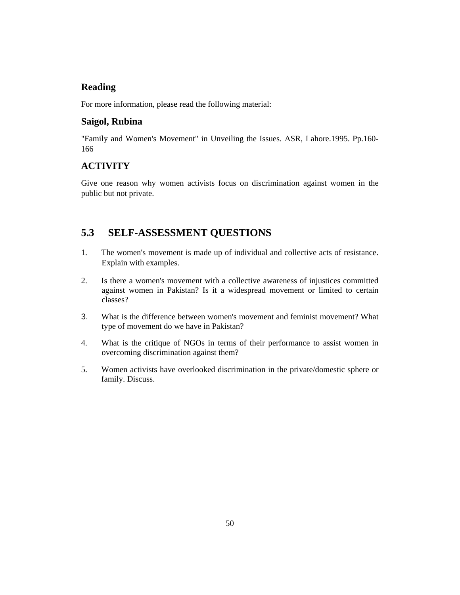## **Reading**

For more information, please read the following material:

## **Saigol, Rubina**

"Family and Women's Movement" in Unveiling the Issues. ASR, Lahore.1995. Pp.160- 166

## **ACTIVITY**

Give one reason why women activists focus on discrimination against women in the public but not private.

# **5.3 SELF-ASSESSMENT QUESTIONS**

- 1. The women's movement is made up of individual and collective acts of resistance. Explain with examples.
- 2. Is there a women's movement with a collective awareness of injustices committed against women in Pakistan? Is it a widespread movement or limited to certain classes?
- 3. What is the difference between women's movement and feminist movement? What type of movement do we have in Pakistan?
- 4. What is the critique of NGOs in terms of their performance to assist women in overcoming discrimination against them?
- 5. Women activists have overlooked discrimination in the private/domestic sphere or family. Discuss.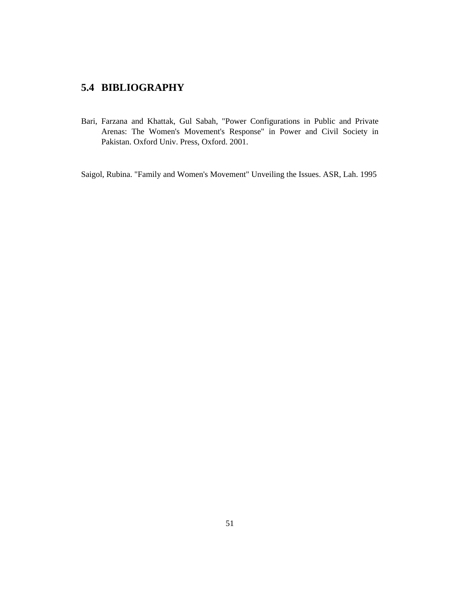# **5.4 BIBLIOGRAPHY**

Bari, Farzana and Khattak, Gul Sabah, "Power Configurations in Public and Private Arenas: The Women's Movement's Response" in Power and Civil Society in Pakistan. Oxford Univ. Press, Oxford. 2001.

Saigol, Rubina. "Family and Women's Movement" Unveiling the Issues. ASR, Lah. 1995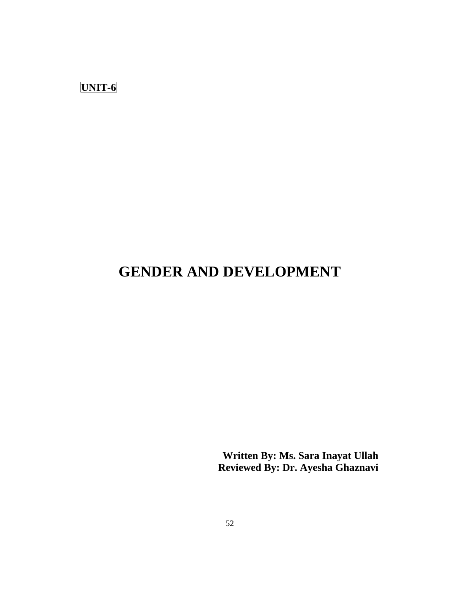**UNIT-6** 

# **GENDER AND DEVELOPMENT**

**Written By: Ms. Sara Inayat Ullah Reviewed By: Dr. Ayesha Ghaznavi**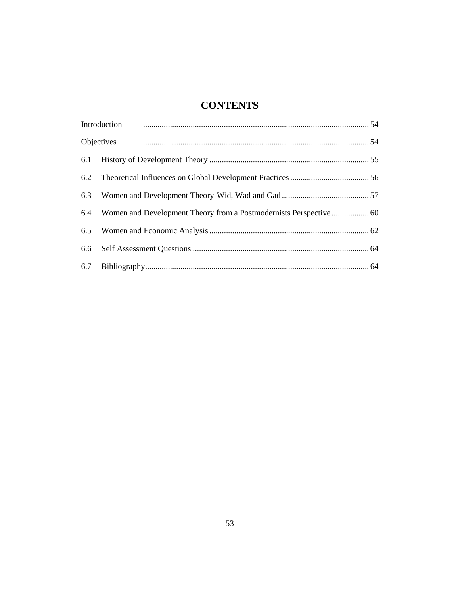# **CONTENTS**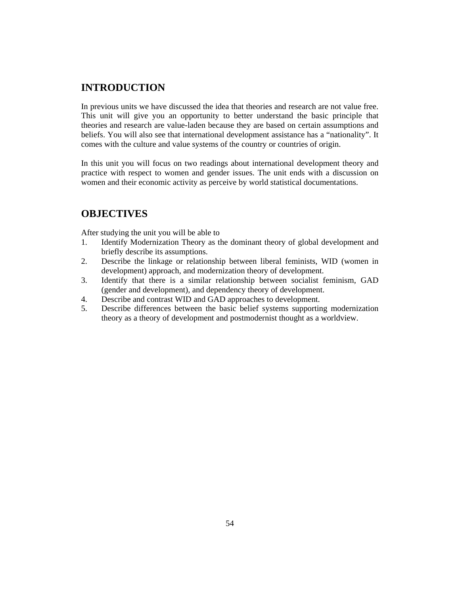# **INTRODUCTION**

In previous units we have discussed the idea that theories and research are not value free. This unit will give you an opportunity to better understand the basic principle that theories and research are value-laden because they are based on certain assumptions and beliefs. You will also see that international development assistance has a "nationality". It comes with the culture and value systems of the country or countries of origin.

In this unit you will focus on two readings about international development theory and practice with respect to women and gender issues. The unit ends with a discussion on women and their economic activity as perceive by world statistical documentations.

# **OBJECTIVES**

After studying the unit you will be able to

- 1. Identify Modernization Theory as the dominant theory of global development and briefly describe its assumptions.
- 2. Describe the linkage or relationship between liberal feminists, WID (women in development) approach, and modernization theory of development.
- 3. Identify that there is a similar relationship between socialist feminism, GAD (gender and development), and dependency theory of development.
- 4. Describe and contrast WID and GAD approaches to development.
- 5. Describe differences between the basic belief systems supporting modernization theory as a theory of development and postmodernist thought as a worldview.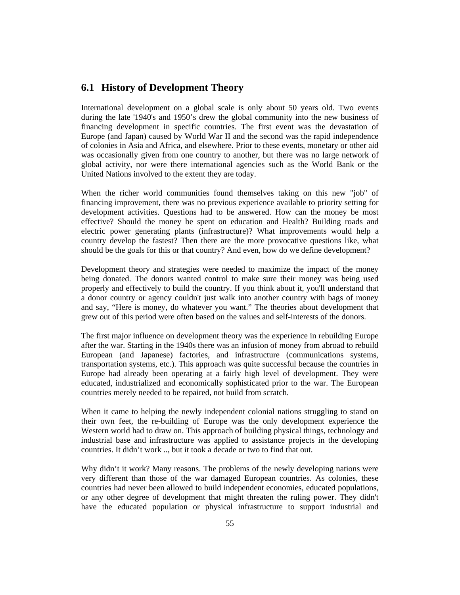## **6.1 History of Development Theory**

International development on a global scale is only about 50 years old. Two events during the late '1940's and 1950's drew the global community into the new business of financing development in specific countries. The first event was the devastation of Europe (and Japan) caused by World War II and the second was the rapid independence of colonies in Asia and Africa, and elsewhere. Prior to these events, monetary or other aid was occasionally given from one country to another, but there was no large network of global activity, nor were there international agencies such as the World Bank or the United Nations involved to the extent they are today.

When the richer world communities found themselves taking on this new "job" of financing improvement, there was no previous experience available to priority setting for development activities. Questions had to be answered. How can the money be most effective? Should the money be spent on education and Health? Building roads and electric power generating plants (infrastructure)? What improvements would help a country develop the fastest? Then there are the more provocative questions like, what should be the goals for this or that country? And even, how do we define development?

Development theory and strategies were needed to maximize the impact of the money being donated. The donors wanted control to make sure their money was being used properly and effectively to build the country. If you think about it, you'll understand that a donor country or agency couldn't just walk into another country with bags of money and say, "Here is money, do whatever you want." The theories about development that grew out of this period were often based on the values and self-interests of the donors.

The first major influence on development theory was the experience in rebuilding Europe after the war. Starting in the 1940s there was an infusion of money from abroad to rebuild European (and Japanese) factories, and infrastructure (communications systems, transportation systems, etc.). This approach was quite successful because the countries in Europe had already been operating at a fairly high level of development. They were educated, industrialized and economically sophisticated prior to the war. The European countries merely needed to be repaired, not build from scratch.

When it came to helping the newly independent colonial nations struggling to stand on their own feet, the re-building of Europe was the only development experience the Western world had to draw on. This approach of building physical things, technology and industrial base and infrastructure was applied to assistance projects in the developing countries. It didn't work .., but it took a decade or two to find that out.

Why didn't it work? Many reasons. The problems of the newly developing nations were very different than those of the war damaged European countries. As colonies, these countries had never been allowed to build independent economies, educated populations, or any other degree of development that might threaten the ruling power. They didn't have the educated population or physical infrastructure to support industrial and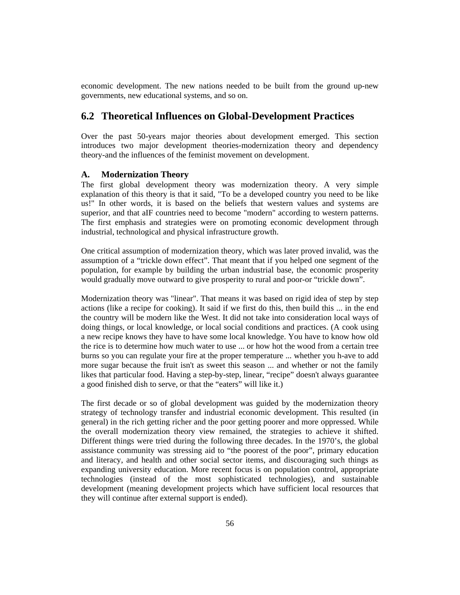economic development. The new nations needed to be built from the ground up-new governments, new educational systems, and so on.

## **6.2 Theoretical Influences on Global-Development Practices**

Over the past 50-years major theories about development emerged. This section introduces two major development theories-modernization theory and dependency theory-and the influences of the feminist movement on development.

#### **A. Modernization Theory**

The first global development theory was modernization theory. A very simple explanation of this theory is that it said, "To be a developed country you need to be like us!" In other words, it is based on the beliefs that western values and systems are superior, and that aIF countries need to become "modern" according to western patterns. The first emphasis and strategies were on promoting economic development through industrial, technological and physical infrastructure growth.

One critical assumption of modernization theory, which was later proved invalid, was the assumption of a "trickle down effect". That meant that if you helped one segment of the population, for example by building the urban industrial base, the economic prosperity would gradually move outward to give prosperity to rural and poor-or "trickle down".

Modernization theory was "linear". That means it was based on rigid idea of step by step actions (like a recipe for cooking). It said if we first do this, then build this ... in the end the country will be modern like the West. It did not take into consideration local ways of doing things, or local knowledge, or local social conditions and practices. (A cook using a new recipe knows they have to have some local knowledge. You have to know how old the rice is to determine how much water to use ... or how hot the wood from a certain tree burns so you can regulate your fire at the proper temperature ... whether you h-ave to add more sugar because the fruit isn't as sweet this season ... and whether or not the family likes that particular food. Having a step-by-step, linear, "recipe" doesn't always guarantee a good finished dish to serve, or that the "eaters" will like it.)

The first decade or so of global development was guided by the modernization theory strategy of technology transfer and industrial economic development. This resulted (in general) in the rich getting richer and the poor getting poorer and more oppressed. While the overall modernization theory view remained, the strategies to achieve it shifted. Different things were tried during the following three decades. In the 1970's, the global assistance community was stressing aid to "the poorest of the poor", primary education and literacy, and health and other social sector items, and discouraging such things as expanding university education. More recent focus is on population control, appropriate technologies (instead of the most sophisticated technologies), and sustainable development (meaning development projects which have sufficient local resources that they will continue after external support is ended).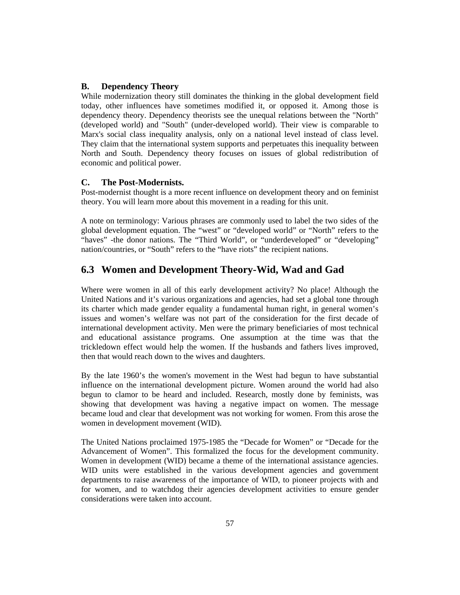## **B. Dependency Theory**

While modernization theory still dominates the thinking in the global development field today, other influences have sometimes modified it, or opposed it. Among those is dependency theory. Dependency theorists see the unequal relations between the "North" (developed world) and "South" (under-developed world). Their view is comparable to Marx's social class inequality analysis, only on a national level instead of class level. They claim that the international system supports and perpetuates this inequality between North and South. Dependency theory focuses on issues of global redistribution of economic and political power.

### **C. The Post-Modernists.**

Post-modernist thought is a more recent influence on development theory and on feminist theory. You will learn more about this movement in a reading for this unit.

A note on terminology: Various phrases are commonly used to label the two sides of the global development equation. The "west" or "developed world" or "North" refers to the "haves" -the donor nations. The "Third World", or "underdeveloped" or "developing" nation/countries, or "South" refers to the "have riots" the recipient nations.

# **6.3 Women and Development Theory-Wid, Wad and Gad**

Where were women in all of this early development activity? No place! Although the United Nations and it's various organizations and agencies, had set a global tone through its charter which made gender equality a fundamental human right, in general women's issues and women's welfare was not part of the consideration for the first decade of international development activity. Men were the primary beneficiaries of most technical and educational assistance programs. One assumption at the time was that the trickledown effect would help the women. If the husbands and fathers lives improved, then that would reach down to the wives and daughters.

By the late 1960's the women's movement in the West had begun to have substantial influence on the international development picture. Women around the world had also begun to clamor to be heard and included. Research, mostly done by feminists, was showing that development was having a negative impact on women. The message became loud and clear that development was not working for women. From this arose the women in development movement (WID).

The United Nations proclaimed 1975-1985 the "Decade for Women" or "Decade for the Advancement of Women". This formalized the focus for the development community. Women in development (WID) became a theme of the international assistance agencies. WID units were established in the various development agencies and government departments to raise awareness of the importance of WID, to pioneer projects with and for women, and to watchdog their agencies development activities to ensure gender considerations were taken into account.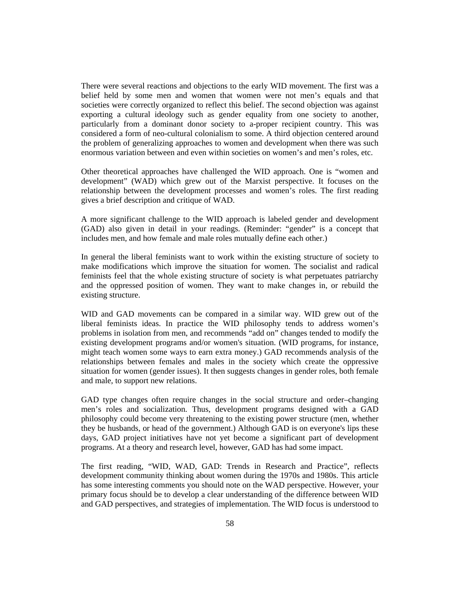There were several reactions and objections to the early WID movement. The first was a belief held by some men and women that women were not men's equals and that societies were correctly organized to reflect this belief. The second objection was against exporting a cultural ideology such as gender equality from one society to another, particularly from a dominant donor society to a-proper recipient country. This was considered a form of neo-cultural colonialism to some. A third objection centered around the problem of generalizing approaches to women and development when there was such enormous variation between and even within societies on women's and men's roles, etc.

Other theoretical approaches have challenged the WID approach. One is "women and development" (WAD) which grew out of the Marxist perspective. It focuses on the relationship between the development processes and women's roles. The first reading gives a brief description and critique of WAD.

A more significant challenge to the WID approach is labeled gender and development (GAD) also given in detail in your readings. (Reminder: "gender" is a concept that includes men, and how female and male roles mutually define each other.)

In general the liberal feminists want to work within the existing structure of society to make modifications which improve the situation for women. The socialist and radical feminists feel that the whole existing structure of society is what perpetuates patriarchy and the oppressed position of women. They want to make changes in, or rebuild the existing structure.

WID and GAD movements can be compared in a similar way. WID grew out of the liberal feminists ideas. In practice the WID philosophy tends to address women's problems in isolation from men, and recommends "add on" changes tended to modify the existing development programs and/or women's situation. (WID programs, for instance, might teach women some ways to earn extra money.) GAD recommends analysis of the relationships between females and males in the society which create the oppressive situation for women (gender issues). It then suggests changes in gender roles, both female and male, to support new relations.

GAD type changes often require changes in the social structure and order–changing men's roles and socialization. Thus, development programs designed with a GAD philosophy could become very threatening to the existing power structure (men, whether they be husbands, or head of the government.) Although GAD is on everyone's lips these days, GAD project initiatives have not yet become a significant part of development programs. At a theory and research level, however, GAD has had some impact.

The first reading, "WID, WAD, GAD: Trends in Research and Practice", reflects development community thinking about women during the 1970s and 1980s. This article has some interesting comments you should note on the WAD perspective. However, your primary focus should be to develop a clear understanding of the difference between WID and GAD perspectives, and strategies of implementation. The WID focus is understood to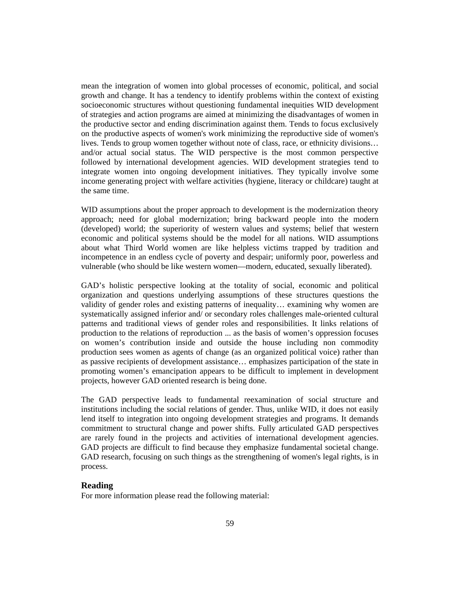mean the integration of women into global processes of economic, political, and social growth and change. It has a tendency to identify problems within the context of existing socioeconomic structures without questioning fundamental inequities WID development of strategies and action programs are aimed at minimizing the disadvantages of women in the productive sector and ending discrimination against them. Tends to focus exclusively on the productive aspects of women's work minimizing the reproductive side of women's lives. Tends to group women together without note of class, race, or ethnicity divisions… and/or actual social status. The WID perspective is the most common perspective followed by international development agencies. WID development strategies tend to integrate women into ongoing development initiatives. They typically involve some income generating project with welfare activities (hygiene, literacy or childcare) taught at the same time.

WID assumptions about the proper approach to development is the modernization theory approach; need for global modernization; bring backward people into the modern (developed) world; the superiority of western values and systems; belief that western economic and political systems should be the model for all nations. WID assumptions about what Third World women are like helpless victims trapped by tradition and incompetence in an endless cycle of poverty and despair; uniformly poor, powerless and vulnerable (who should be like western women—modern, educated, sexually liberated).

GAD's holistic perspective looking at the totality of social, economic and political organization and questions underlying assumptions of these structures questions the validity of gender roles and existing patterns of inequality… examining why women are systematically assigned inferior and/ or secondary roles challenges male-oriented cultural patterns and traditional views of gender roles and responsibilities. It links relations of production to the relations of reproduction ... as the basis of women's oppression focuses on women's contribution inside and outside the house including non commodity production sees women as agents of change (as an organized political voice) rather than as passive recipients of development assistance… emphasizes participation of the state in promoting women's emancipation appears to be difficult to implement in development projects, however GAD oriented research is being done.

The GAD perspective leads to fundamental reexamination of social structure and institutions including the social relations of gender. Thus, unlike WID, it does not easily lend itself to integration into ongoing development strategies and programs. It demands commitment to structural change and power shifts. Fully articulated GAD perspectives are rarely found in the projects and activities of international development agencies. GAD projects are difficult to find because they emphasize fundamental societal change. GAD research, focusing on such things as the strengthening of women's legal rights, is in process.

#### **Reading**

For more information please read the following material: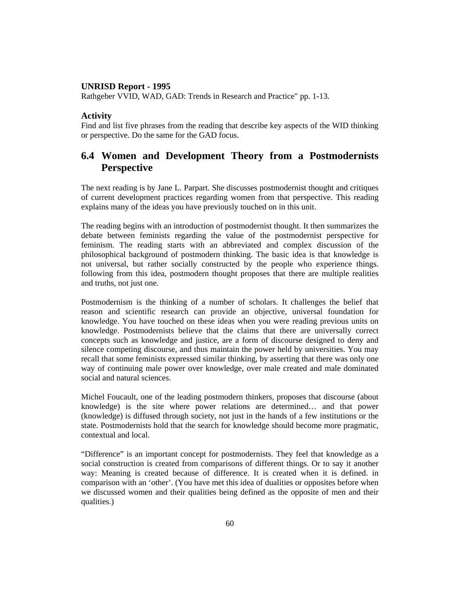#### **UNRISD Report - 1995**

Rathgeber VVID, WAD, GAD: Trends in Research and Practice" pp. 1-13.

#### **Activity**

Find and list five phrases from the reading that describe key aspects of the WID thinking or perspective. Do the same for the GAD focus.

# **6.4 Women and Development Theory from a Postmodernists Perspective**

The next reading is by Jane L. Parpart. She discusses postmodernist thought and critiques of current development practices regarding women from that perspective. This reading explains many of the ideas you have previously touched on in this unit.

The reading begins with an introduction of postmodernist thought. It then summarizes the debate between feminists regarding the value of the postmodernist perspective for feminism. The reading starts with an abbreviated and complex discussion of the philosophical background of postmodern thinking. The basic idea is that knowledge is not universal, but rather socially constructed by the people who experience things. following from this idea, postmodern thought proposes that there are multiple realities and truths, not just one.

Postmodernism is the thinking of a number of scholars. It challenges the belief that reason and scientific research can provide an objective, universal foundation for knowledge. You have touched on these ideas when you were reading previous units on knowledge. Postmodernists believe that the claims that there are universally correct concepts such as knowledge and justice, are a form of discourse designed to deny and silence competing discourse, and thus maintain the power held by universities. You may recall that some feminists expressed similar thinking, by asserting that there was only one way of continuing male power over knowledge, over male created and male dominated social and natural sciences.

Michel Foucault, one of the leading postmodern thinkers, proposes that discourse (about knowledge) is the site where power relations are determined… and that power (knowledge) is diffused through society, not just in the hands of a few institutions or the state. Postmodernists hold that the search for knowledge should become more pragmatic, contextual and local.

"Difference" is an important concept for postmodernists. They feel that knowledge as a social construction is created from comparisons of different things. Or to say it another way: Meaning is created because of difference. It is created when it is defined. in comparison with an 'other'. (You have met this idea of dualities or opposites before when we discussed women and their qualities being defined as the opposite of men and their qualities.)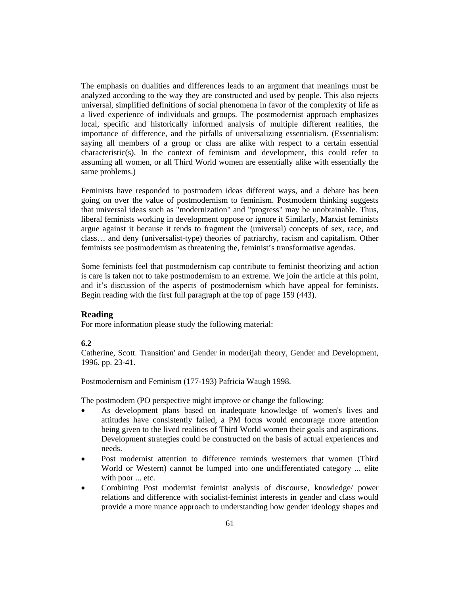The emphasis on dualities and differences leads to an argument that meanings must be analyzed according to the way they are constructed and used by people. This also rejects universal, simplified definitions of social phenomena in favor of the complexity of life as a lived experience of individuals and groups. The postmodernist approach emphasizes local, specific and historically informed analysis of multiple different realities, the importance of difference, and the pitfalls of universalizing essentialism. (Essentialism: saying all members of a group or class are alike with respect to a certain essential characteristic(s). In the context of feminism and development, this could refer to assuming all women, or all Third World women are essentially alike with essentially the same problems.)

Feminists have responded to postmodern ideas different ways, and a debate has been going on over the value of postmodernism to feminism. Postmodern thinking suggests that universal ideas such as "modernization" and "progress" may be unobtainable. Thus, liberal feminists working in development oppose or ignore it Similarly, Marxist feminists argue against it because it tends to fragment the (universal) concepts of sex, race, and class… and deny (universalist-type) theories of patriarchy, racism and capitalism. Other feminists see postmodernism as threatening the, feminist's transformative agendas.

Some feminists feel that postmodernism cap contribute to feminist theorizing and action is care is taken not to take postmodernism to an extreme. We join the article at this point, and it's discussion of the aspects of postmodernism which have appeal for feminists. Begin reading with the first full paragraph at the top of page 159 (443).

#### **Reading**

For more information please study the following material:

#### **6.2**

Catherine, Scott. Transition' and Gender in moderijah theory, Gender and Development, 1996. pp. 23-41.

Postmodernism and Feminism (177-193) Pafricia Waugh 1998.

The postmodern (PO perspective might improve or change the following:

- As development plans based on inadequate knowledge of women's lives and attitudes have consistently failed, a PM focus would encourage more attention being given to the lived realities of Third World women their goals and aspirations. Development strategies could be constructed on the basis of actual experiences and needs.
- Post modernist attention to difference reminds westerners that women (Third World or Western) cannot be lumped into one undifferentiated category ... elite with poor ... etc.
- Combining Post modernist feminist analysis of discourse, knowledge/ power relations and difference with socialist-feminist interests in gender and class would provide a more nuance approach to understanding how gender ideology shapes and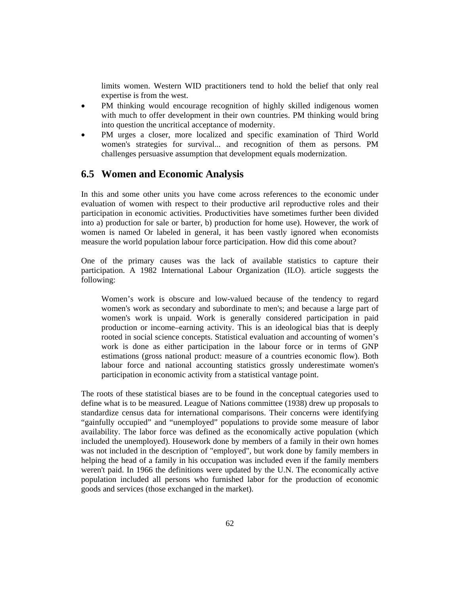limits women. Western WID practitioners tend to hold the belief that only real expertise is from the west.

- PM thinking would encourage recognition of highly skilled indigenous women with much to offer development in their own countries. PM thinking would bring into question the uncritical acceptance of modernity.
- PM urges a closer, more localized and specific examination of Third World women's strategies for survival... and recognition of them as persons. PM challenges persuasive assumption that development equals modernization.

## **6.5 Women and Economic Analysis**

In this and some other units you have come across references to the economic under evaluation of women with respect to their productive aril reproductive roles and their participation in economic activities. Productivities have sometimes further been divided into a) production for sale or barter, b) production for home use). However, the work of women is named Or labeled in general, it has been vastly ignored when economists measure the world population labour force participation. How did this come about?

One of the primary causes was the lack of available statistics to capture their participation. A 1982 International Labour Organization (ILO). article suggests the following:

 Women's work is obscure and low-valued because of the tendency to regard women's work as secondary and subordinate to men's; and because a large part of women's work is unpaid. Work is generally considered participation in paid production or income–earning activity. This is an ideological bias that is deeply rooted in social science concepts. Statistical evaluation and accounting of women's work is done as either participation in the labour force or in terms of GNP estimations (gross national product: measure of a countries economic flow). Both labour force and national accounting statistics grossly underestimate women's participation in economic activity from a statistical vantage point.

The roots of these statistical biases are to be found in the conceptual categories used to define what is to be measured. League of Nations committee (1938) drew up proposals to standardize census data for international comparisons. Their concerns were identifying "gainfully occupied" and "unemployed" populations to provide some measure of labor availability. The labor force was defined as the economically active population (which included the unemployed). Housework done by members of a family in their own homes was not included in the description of "employed", but work done by family members in helping the head of a family in his occupation was included even if the family members weren't paid. In 1966 the definitions were updated by the U.N. The economically active population included all persons who furnished labor for the production of economic goods and services (those exchanged in the market).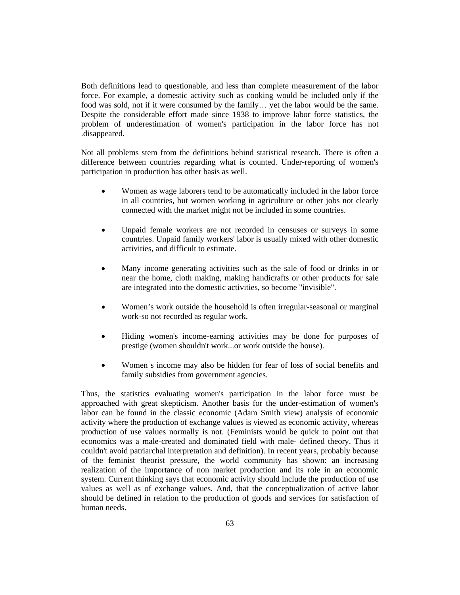Both definitions lead to questionable, and less than complete measurement of the labor force. For example, a domestic activity such as cooking would be included only if the food was sold, not if it were consumed by the family… yet the labor would be the same. Despite the considerable effort made since 1938 to improve labor force statistics, the problem of underestimation of women's participation in the labor force has not .disappeared.

Not all problems stem from the definitions behind statistical research. There is often a difference between countries regarding what is counted. Under-reporting of women's participation in production has other basis as well.

- Women as wage laborers tend to be automatically included in the labor force in all countries, but women working in agriculture or other jobs not clearly connected with the market might not be included in some countries.
- Unpaid female workers are not recorded in censuses or surveys in some countries. Unpaid family workers' labor is usually mixed with other domestic activities, and difficult to estimate.
- Many income generating activities such as the sale of food or drinks in or near the home, cloth making, making handicrafts or other products for sale are integrated into the domestic activities, so become "invisible".
- Women's work outside the household is often irregular-seasonal or marginal work-so not recorded as regular work.
- Hiding women's income-earning activities may be done for purposes of prestige (women shouldn't work...or work outside the house).
- Women s income may also be hidden for fear of loss of social benefits and family subsidies from government agencies.

Thus, the statistics evaluating women's participation in the labor force must be approached with great skepticism. Another basis for the under-estimation of women's labor can be found in the classic economic (Adam Smith view) analysis of economic activity where the production of exchange values is viewed as economic activity, whereas production of use values normally is not. (Feminists would be quick to point out that economics was a male-created and dominated field with male- defined theory. Thus it couldn't avoid patriarchal interpretation and definition). In recent years, probably because of the feminist theorist pressure, the world community has shown: an increasing realization of the importance of non market production and its role in an economic system. Current thinking says that economic activity should include the production of use values as well as of exchange values. And, that the conceptualization of active labor should be defined in relation to the production of goods and services for satisfaction of human needs.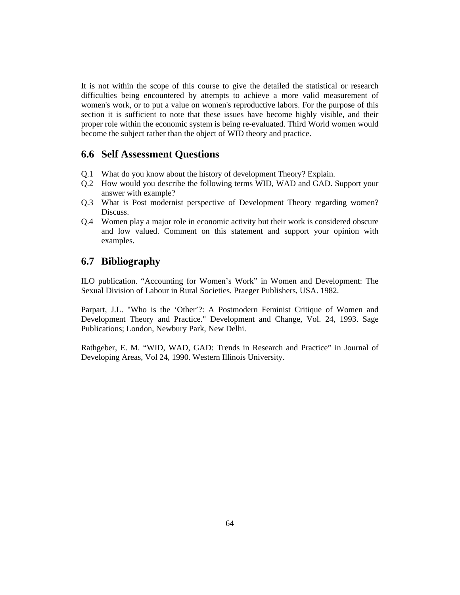It is not within the scope of this course to give the detailed the statistical or research difficulties being encountered by attempts to achieve a more valid measurement of women's work, or to put a value on women's reproductive labors. For the purpose of this section it is sufficient to note that these issues have become highly visible, and their proper role within the economic system is being re-evaluated. Third World women would become the subject rather than the object of WID theory and practice.

# **6.6 Self Assessment Questions**

- Q.1 What do you know about the history of development Theory? Explain.
- Q.2 How would you describe the following terms WID, WAD and GAD. Support your answer with example?
- Q.3 What is Post modernist perspective of Development Theory regarding women? Discuss.
- Q.4 Women play a major role in economic activity but their work is considered obscure and low valued. Comment on this statement and support your opinion with examples.

## **6.7 Bibliography**

ILO publication. "Accounting for Women's Work" in Women and Development: The Sexual Division of Labour in Rural Societies. Praeger Publishers, USA. 1982.

Parpart, J.L. "Who is the 'Other'?: A Postmodern Feminist Critique of Women and Development Theory and Practice." Development and Change, Vol. 24, 1993. Sage Publications; London, Newbury Park, New Delhi.

Rathgeber, E. M. "WID, WAD, GAD: Trends in Research and Practice" in Journal of Developing Areas, Vol 24, 1990. Western Illinois University.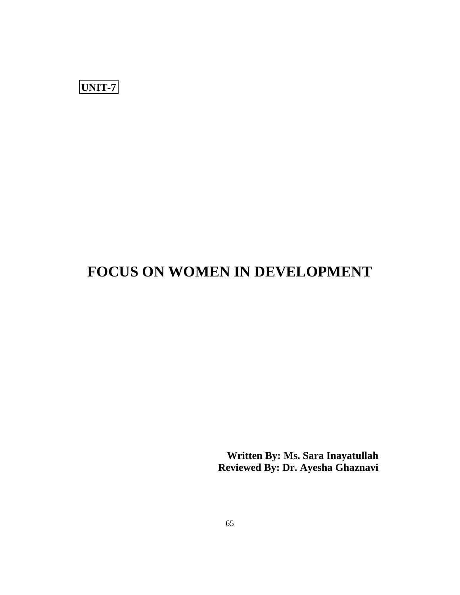

# **FOCUS ON WOMEN IN DEVELOPMENT**

**Written By: Ms. Sara Inayatullah Reviewed By: Dr. Ayesha Ghaznavi**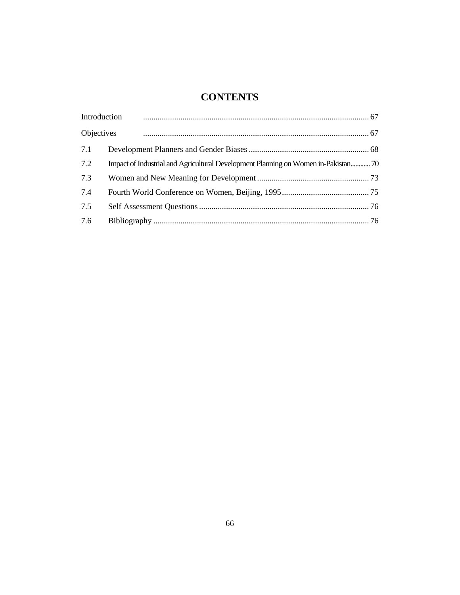# **CONTENTS**

| Introduction |  |
|--------------|--|
|              |  |
| 7.1          |  |
| 7.2          |  |
| 7.3          |  |
| 7.4          |  |
| 7.5          |  |
| 7.6          |  |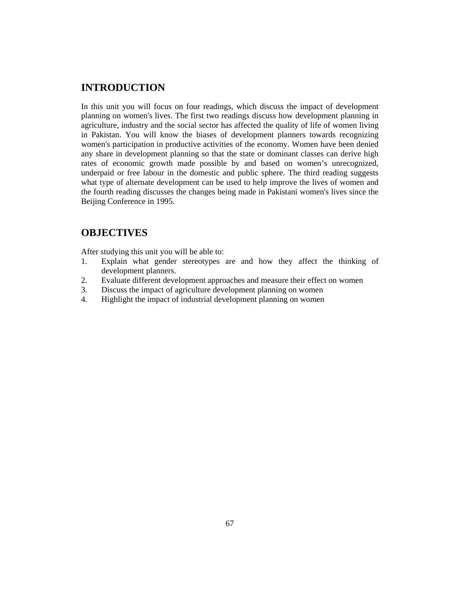# **INTRODUCTION**

In this unit you will focus on four readings, which discuss the impact of development planning on women's lives. The first two readings discuss how development planning in agriculture, industry and the social sector has affected the quality of life of women living in Pakistan. You will know the biases of development planners towards recognizing women's participation in productive activities of the economy. Women have been denied any share in development planning so that the state or dominant classes can derive high rates of economic growth made possible by and based on women's unrecognized, underpaid or free labour in the domestic and public sphere. The third reading suggests what type of alternate development can be used to help improve the lives of women and the fourth reading discusses the changes being made in Pakistani women's lives since the Beijing Conference in 1995.

# **OBJECTIVES**

After studying this unit you will be able to:

- 1. Explain what gender stereotypes are and how they affect the thinking of development planners.
- 2. Evaluate different development approaches and measure their effect on women
- 3. Discuss the impact of agriculture development planning on women
- 4. Highlight the impact of industrial development planning on women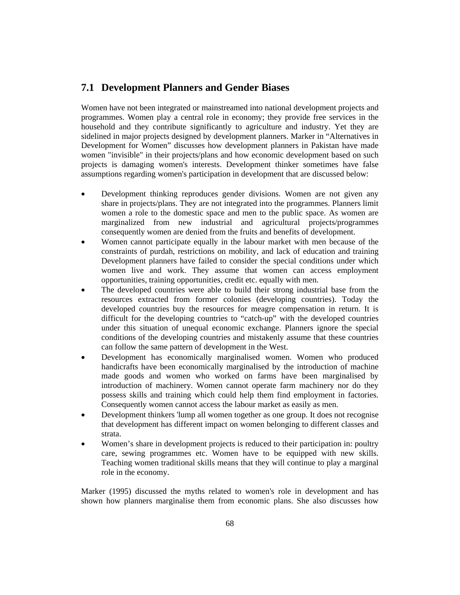## **7.1 Development Planners and Gender Biases**

Women have not been integrated or mainstreamed into national development projects and programmes. Women play a central role in economy; they provide free services in the household and they contribute significantly to agriculture and industry. Yet they are sidelined in major projects designed by development planners. Marker in "Alternatives in Development for Women" discusses how development planners in Pakistan have made women "invisible" in their projects/plans and how economic development based on such projects is damaging women's interests. Development thinker sometimes have false assumptions regarding women's participation in development that are discussed below:

- Development thinking reproduces gender divisions. Women are not given any share in projects/plans. They are not integrated into the programmes. Planners limit women a role to the domestic space and men to the public space. As women are marginalized from new industrial and agricultural projects/programmes consequently women are denied from the fruits and benefits of development.
- Women cannot participate equally in the labour market with men because of the constraints of purdah, restrictions on mobility, and lack of education and training Development planners have failed to consider the special conditions under which women live and work. They assume that women can access employment opportunities, training opportunities, credit etc. equally with men.
- The developed countries were able to build their strong industrial base from the resources extracted from former colonies (developing countries). Today the developed countries buy the resources for meagre compensation in return. It is difficult for the developing countries to "catch-up" with the developed countries under this situation of unequal economic exchange. Planners ignore the special conditions of the developing countries and mistakenly assume that these countries can follow the same pattern of development in the West.
- Development has economically marginalised women. Women who produced handicrafts have been economically marginalised by the introduction of machine made goods and women who worked on farms have been marginalised by introduction of machinery. Women cannot operate farm machinery nor do they possess skills and training which could help them find employment in factories. Consequently women cannot access the labour market as easily as men.
- Development thinkers 'lump all women together as one group. It does not recognise that development has different impact on women belonging to different classes and strata.
- Women's share in development projects is reduced to their participation in: poultry care, sewing programmes etc. Women have to be equipped with new skills. Teaching women traditional skills means that they will continue to play a marginal role in the economy.

Marker (1995) discussed the myths related to women's role in development and has shown how planners marginalise them from economic plans. She also discusses how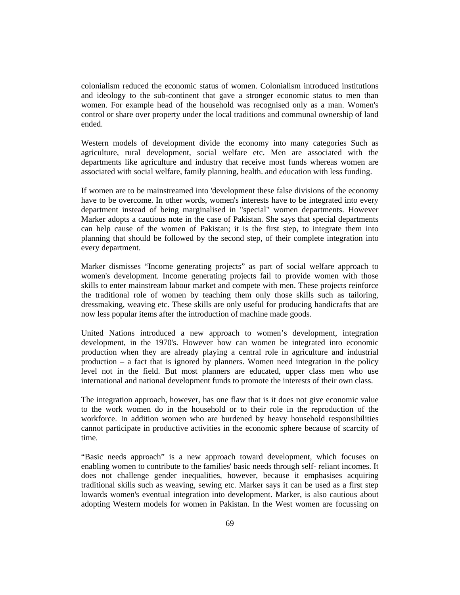colonialism reduced the economic status of women. Colonialism introduced institutions and ideology to the sub-continent that gave a stronger economic status to men than women. For example head of the household was recognised only as a man. Women's control or share over property under the local traditions and communal ownership of land ended.

Western models of development divide the economy into many categories Such as agriculture, rural development, social welfare etc. Men are associated with the departments like agriculture and industry that receive most funds whereas women are associated with social welfare, family planning, health. and education with less funding.

If women are to be mainstreamed into 'development these false divisions of the economy have to be overcome. In other words, women's interests have to be integrated into every department instead of being marginalised in "special" women departments. However Marker adopts a cautious note in the case of Pakistan. She says that special departments can help cause of the women of Pakistan; it is the first step, to integrate them into planning that should be followed by the second step, of their complete integration into every department.

Marker dismisses "Income generating projects" as part of social welfare approach to women's development. Income generating projects fail to provide women with those skills to enter mainstream labour market and compete with men. These projects reinforce the traditional role of women by teaching them only those skills such as tailoring, dressmaking, weaving etc. These skills are only useful for producing handicrafts that are now less popular items after the introduction of machine made goods.

United Nations introduced a new approach to women's development, integration development, in the 1970's. However how can women be integrated into economic production when they are already playing a central role in agriculture and industrial production – a fact that is ignored by planners. Women need integration in the policy level not in the field. But most planners are educated, upper class men who use international and national development funds to promote the interests of their own class.

The integration approach, however, has one flaw that is it does not give economic value to the work women do in the household or to their role in the reproduction of the workforce. In addition women who are burdened by heavy household responsibilities cannot participate in productive activities in the economic sphere because of scarcity of time.

"Basic needs approach" is a new approach toward development, which focuses on enabling women to contribute to the families' basic needs through self- reliant incomes. It does not challenge gender inequalities, however, because it emphasises acquiring traditional skills such as weaving, sewing etc. Marker says it can be used as a first step lowards women's eventual integration into development. Marker, is also cautious about adopting Western models for women in Pakistan. In the West women are focussing on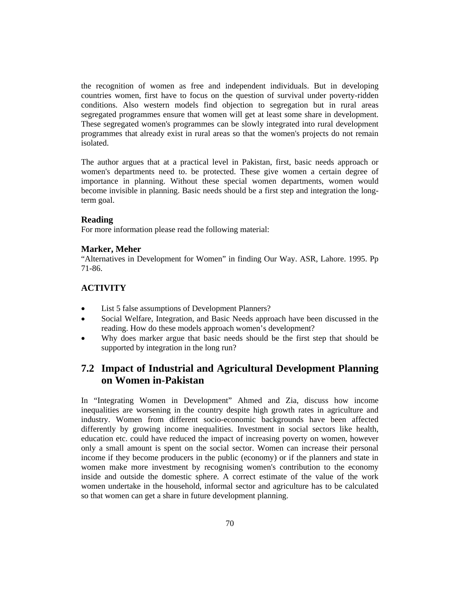the recognition of women as free and independent individuals. But in developing countries women, first have to focus on the question of survival under poverty-ridden conditions. Also western models find objection to segregation but in rural areas segregated programmes ensure that women will get at least some share in development. These segregated women's programmes can be slowly integrated into rural development programmes that already exist in rural areas so that the women's projects do not remain isolated.

The author argues that at a practical level in Pakistan, first, basic needs approach or women's departments need to. be protected. These give women a certain degree of importance in planning. Without these special women departments, women would become invisible in planning. Basic needs should be a first step and integration the longterm goal.

#### **Reading**

For more information please read the following material:

#### **Marker, Meher**

"Alternatives in Development for Women" in finding Our Way. ASR, Lahore. 1995. Pp 71-86.

#### **ACTIVITY**

- List 5 false assumptions of Development Planners?
- Social Welfare, Integration, and Basic Needs approach have been discussed in the reading. How do these models approach women's development?
- Why does marker argue that basic needs should be the first step that should be supported by integration in the long run?

# **7.2 Impact of Industrial and Agricultural Development Planning on Women in-Pakistan**

In "Integrating Women in Development" Ahmed and Zia, discuss how income inequalities are worsening in the country despite high growth rates in agriculture and industry. Women from different socio-economic backgrounds have been affected differently by growing income inequalities. Investment in social sectors like health, education etc. could have reduced the impact of increasing poverty on women, however only a small amount is spent on the social sector. Women can increase their personal income if they become producers in the public (economy) or if the planners and state in women make more investment by recognising women's contribution to the economy inside and outside the domestic sphere. A correct estimate of the value of the work women undertake in the household, informal sector and agriculture has to be calculated so that women can get a share in future development planning.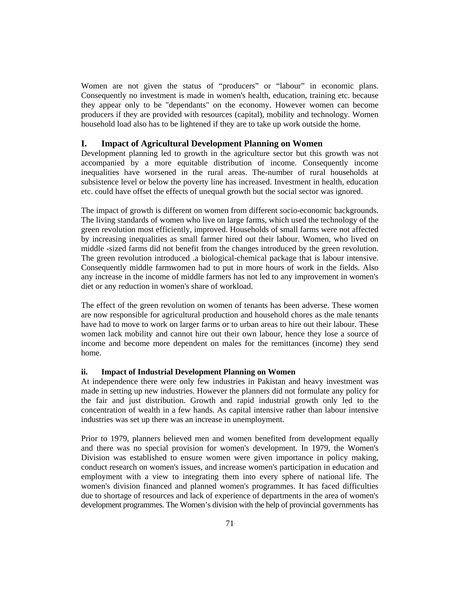Women are not given the status of "producers" or "labour" in economic plans. Consequently no investment is made in women's health, education, training etc. because they appear only to be "dependants" on the economy. However women can become producers if they are provided with resources (capital), mobility and technology. Women household load also has to be lightened if they are to take up work outside the home.

#### **I. Impact of Agricultural Development Planning on Women**

Development planning led to growth in the agriculture sector but this growth was not accompanied by a more equitable distribution of income. Consequently income inequalities have worsened in the rural areas. The-number of rural households at subsistence level or below the poverty line has increased. Investment in health, education etc. could have offset the effects of unequal growth but the social sector was ignored.

The impact of growth is different on women from different socio-economic backgrounds. The living standards of women who live on large farms, which used the technology of the green revolution most efficiently, improved. Households of small farms were not affected by increasing inequalities as small farmer hired out their labour. Women, who lived on middle -sized farms did not benefit from the changes introduced by the green revolution. The green revolution introduced .a biological-chemical package that is labour intensive. Consequently middle farmwomen had to put in more hours of work in the fields. Also any increase in the income of middle farmers has not led to any improvement in women's diet or any reduction in women's share of workload.

The effect of the green revolution on women of tenants has been adverse. These women are now responsible for agricultural production and household chores as the male tenants have had to move to work on larger farms or to urban areas to hire out their labour. These women lack mobility and cannot hire out their own labour, hence they lose a source of income and become more dependent on males for the remittances (income) they send home.

#### **ii. Impact of Industrial Development Planning on Women**

At independence there were only few industries in Pakistan and heavy investment was made in setting up new industries. However the planners did not formulate any policy for the fair and just distribution. Growth and rapid industrial growth only led to the concentration of wealth in a few hands. As capital intensive rather than labour intensive industries was set up there was an increase in unemployment.

Prior to 1979, planners believed men and women benefited from development equally and there was no special provision for women's development. In 1979, the Women's Division was established to ensure women were given importance in policy making, conduct research on women's issues, and increase women's participation in education and employment with a view to integrating them into every sphere of national life. The women's division financed and planned women's programmes. It has faced difficulties due to shortage of resources and lack of experience of departments in the area of women's development programmes. The Women's division with the help of provincial governments has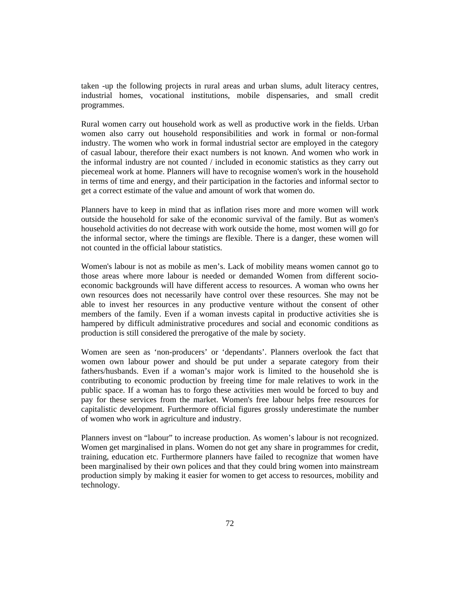taken -up the following projects in rural areas and urban slums, adult literacy centres, industrial homes, vocational institutions, mobile dispensaries, and small credit programmes.

Rural women carry out household work as well as productive work in the fields. Urban women also carry out household responsibilities and work in formal or non-formal industry. The women who work in formal industrial sector are employed in the category of casual labour, therefore their exact numbers is not known. And women who work in the informal industry are not counted / included in economic statistics as they carry out piecemeal work at home. Planners will have to recognise women's work in the household in terms of time and energy, and their participation in the factories and informal sector to get a correct estimate of the value and amount of work that women do.

Planners have to keep in mind that as inflation rises more and more women will work outside the household for sake of the economic survival of the family. But as women's household activities do not decrease with work outside the home, most women will go for the informal sector, where the timings are flexible. There is a danger, these women will not counted in the official labour statistics.

Women's labour is not as mobile as men's. Lack of mobility means women cannot go to those areas where more labour is needed or demanded Women from different socioeconomic backgrounds will have different access to resources. A woman who owns her own resources does not necessarily have control over these resources. She may not be able to invest her resources in any productive venture without the consent of other members of the family. Even if a woman invests capital in productive activities she is hampered by difficult administrative procedures and social and economic conditions as production is still considered the prerogative of the male by society.

Women are seen as 'non-producers' or 'dependants'. Planners overlook the fact that women own labour power and should be put under a separate category from their fathers/husbands. Even if a woman's major work is limited to the household she is contributing to economic production by freeing time for male relatives to work in the public space. If a woman has to forgo these activities men would be forced to buy and pay for these services from the market. Women's free labour helps free resources for capitalistic development. Furthermore official figures grossly underestimate the number of women who work in agriculture and industry.

Planners invest on "labour" to increase production. As women's labour is not recognized. Women get marginalised in plans. Women do not get any share in programmes for credit, training, education etc. Furthermore planners have failed to recognize that women have been marginalised by their own polices and that they could bring women into mainstream production simply by making it easier for women to get access to resources, mobility and technology.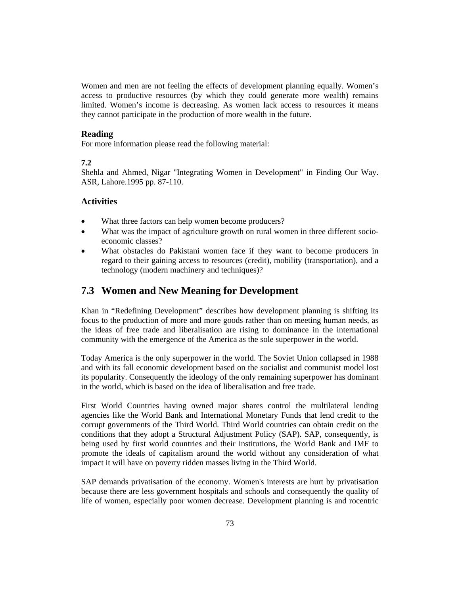Women and men are not feeling the effects of development planning equally. Women's access to productive resources (by which they could generate more wealth) remains limited. Women's income is decreasing. As women lack access to resources it means they cannot participate in the production of more wealth in the future.

#### **Reading**

For more information please read the following material:

#### **7.2**

Shehla and Ahmed, Nigar "Integrating Women in Development" in Finding Our Way. ASR, Lahore.1995 pp. 87-110.

#### **Activities**

- What three factors can help women become producers?
- What was the impact of agriculture growth on rural women in three different socioeconomic classes?
- What obstacles do Pakistani women face if they want to become producers in regard to their gaining access to resources (credit), mobility (transportation), and a technology (modern machinery and techniques)?

#### **7.3 Women and New Meaning for Development**

Khan in "Redefining Development" describes how development planning is shifting its focus to the production of more and more goods rather than on meeting human needs, as the ideas of free trade and liberalisation are rising to dominance in the international community with the emergence of the America as the sole superpower in the world.

Today America is the only superpower in the world. The Soviet Union collapsed in 1988 and with its fall economic development based on the socialist and communist model lost its popularity. Consequently the ideology of the only remaining superpower has dominant in the world, which is based on the idea of liberalisation and free trade.

First World Countries having owned major shares control the multilateral lending agencies like the World Bank and International Monetary Funds that lend credit to the corrupt governments of the Third World. Third World countries can obtain credit on the conditions that they adopt a Structural Adjustment Policy (SAP). SAP, consequently, is being used by first world countries and their institutions, the World Bank and IMF to promote the ideals of capitalism around the world without any consideration of what impact it will have on poverty ridden masses living in the Third World.

SAP demands privatisation of the economy. Women's interests are hurt by privatisation because there are less government hospitals and schools and consequently the quality of life of women, especially poor women decrease. Development planning is and rocentric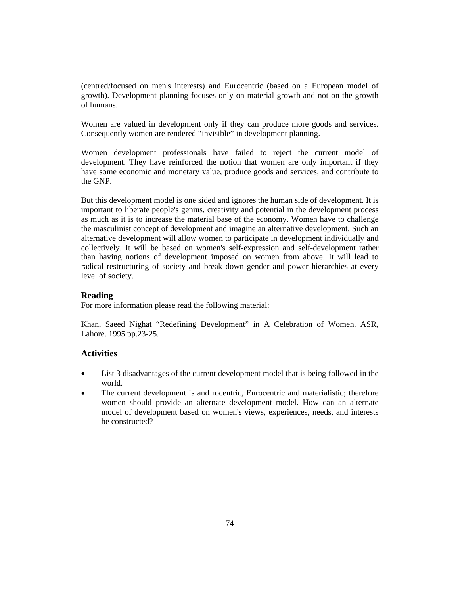(centred/focused on men's interests) and Eurocentric (based on a European model of growth). Development planning focuses only on material growth and not on the growth of humans.

Women are valued in development only if they can produce more goods and services. Consequently women are rendered "invisible" in development planning.

Women development professionals have failed to reject the current model of development. They have reinforced the notion that women are only important if they have some economic and monetary value, produce goods and services, and contribute to the GNP.

But this development model is one sided and ignores the human side of development. It is important to liberate people's genius, creativity and potential in the development process as much as it is to increase the material base of the economy. Women have to challenge the masculinist concept of development and imagine an alternative development. Such an alternative development will allow women to participate in development individually and collectively. It will be based on women's self-expression and self-development rather than having notions of development imposed on women from above. It will lead to radical restructuring of society and break down gender and power hierarchies at every level of society.

#### **Reading**

For more information please read the following material:

Khan, Saeed Nighat "Redefining Development" in A Celebration of Women. ASR, Lahore. 1995 pp.23-25.

#### **Activities**

- List 3 disadvantages of the current development model that is being followed in the world.
- The current development is and rocentric, Eurocentric and materialistic; therefore women should provide an alternate development model. How can an alternate model of development based on women's views, experiences, needs, and interests be constructed?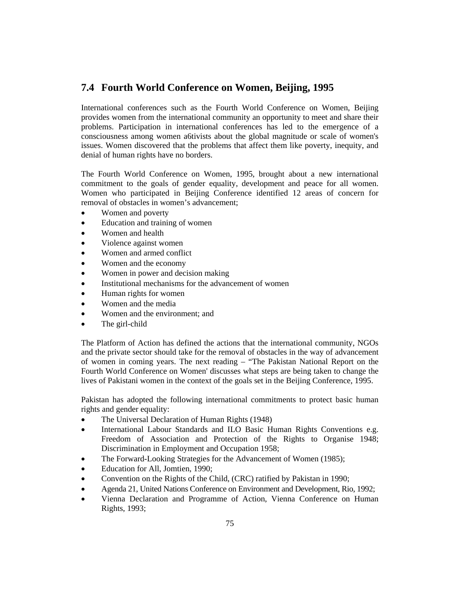# **7.4 Fourth World Conference on Women, Beijing, 1995**

International conferences such as the Fourth World Conference on Women, Beijing provides women from the international community an opportunity to meet and share their problems. Participation in international conferences has led to the emergence of a consciousness among women a6tivists about the global magnitude or scale of women's issues. Women discovered that the problems that affect them like poverty, inequity, and denial of human rights have no borders.

The Fourth World Conference on Women, 1995, brought about a new international commitment to the goals of gender equality, development and peace for all women. Women who participated in Beijing Conference identified 12 areas of concern for removal of obstacles in women's advancement;

- Women and poverty
- Education and training of women
- Women and health
- Violence against women
- Women and armed conflict
- Women and the economy
- Women in power and decision making
- Institutional mechanisms for the advancement of women
- Human rights for women
- Women and the media
- Women and the environment; and
- The girl-child

The Platform of Action has defined the actions that the international community, NGOs and the private sector should take for the removal of obstacles in the way of advancement of women in coming years. The next reading – "The Pakistan National Report on the Fourth World Conference on Women' discusses what steps are being taken to change the lives of Pakistani women in the context of the goals set in the Beijing Conference, 1995.

Pakistan has adopted the following international commitments to protect basic human rights and gender equality:

- The Universal Declaration of Human Rights (1948)
- International Labour Standards and ILO Basic Human Rights Conventions e.g. Freedom of Association and Protection of the Rights to Organise 1948; Discrimination in Employment and Occupation 1958;
- The Forward-Looking Strategies for the Advancement of Women (1985);
- Education for All, Jomtien, 1990;
- Convention on the Rights of the Child, (CRC) ratified by Pakistan in 1990;
- Agenda 21, United Nations Conference on Environment and Development, Rio, 1992;
- Vienna Declaration and Programme of Action, Vienna Conference on Human Rights, 1993;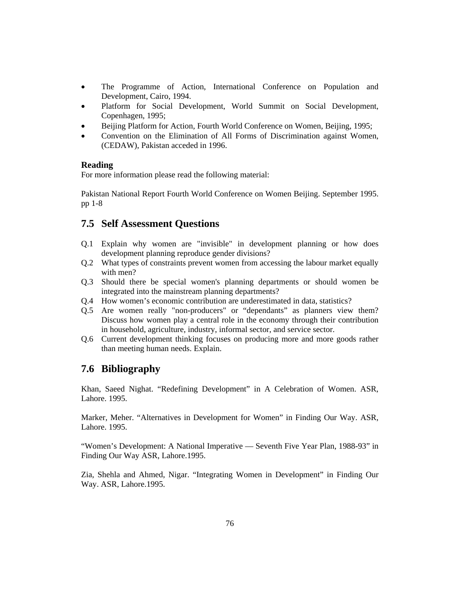- The Programme of Action, International Conference on Population and Development, Cairo, 1994.
- Platform for Social Development, World Summit on Social Development, Copenhagen, 1995;
- Beijing Platform for Action, Fourth World Conference on Women, Beijing, 1995;
- Convention on the Elimination of All Forms of Discrimination against Women, (CEDAW), Pakistan acceded in 1996.

#### **Reading**

For more information please read the following material:

Pakistan National Report Fourth World Conference on Women Beijing. September 1995. pp 1-8

#### **7.5 Self Assessment Questions**

- Q.1 Explain why women are "invisible" in development planning or how does development planning reproduce gender divisions?
- Q.2 What types of constraints prevent women from accessing the labour market equally with men?
- Q.3 Should there be special women's planning departments or should women be integrated into the mainstream planning departments?
- Q.4 How women's economic contribution are underestimated in data, statistics?
- Q.5 Are women really "non-producers" or "dependants" as planners view them? Discuss how women play a central role in the economy through their contribution in household, agriculture, industry, informal sector, and service sector.
- Q.6 Current development thinking focuses on producing more and more goods rather than meeting human needs. Explain.

## **7.6 Bibliography**

Khan, Saeed Nighat. "Redefining Development" in A Celebration of Women. ASR, Lahore. 1995.

Marker, Meher. "Alternatives in Development for Women" in Finding Our Way. ASR, Lahore. 1995.

"Women's Development: A National Imperative — Seventh Five Year Plan, 1988-93" in Finding Our Way ASR, Lahore.1995.

Zia, Shehla and Ahmed, Nigar. "Integrating Women in Development" in Finding Our Way. ASR, Lahore.1995.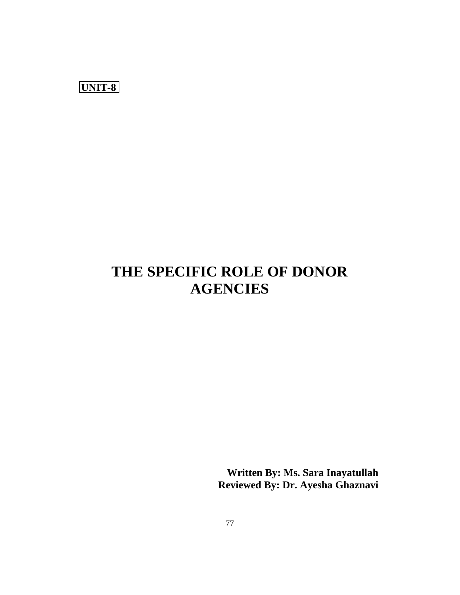**UNIT-8** 

# **THE SPECIFIC ROLE OF DONOR AGENCIES**

**Written By: Ms. Sara Inayatullah Reviewed By: Dr. Ayesha Ghaznavi**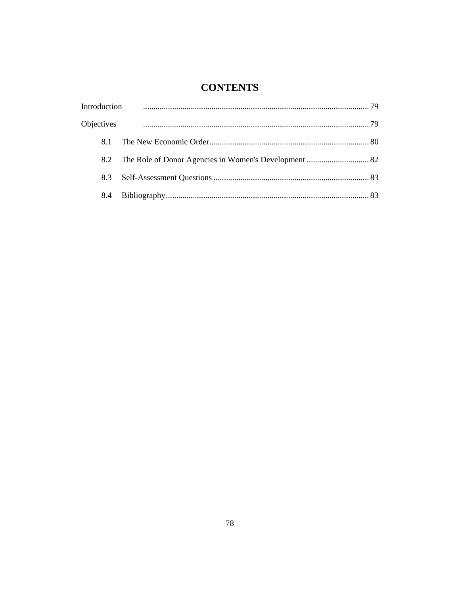# **CONTENTS**

| Introduction |  |
|--------------|--|
| Objectives   |  |
| 8.1          |  |
| 8.2          |  |
| 8.3          |  |
| 8.4          |  |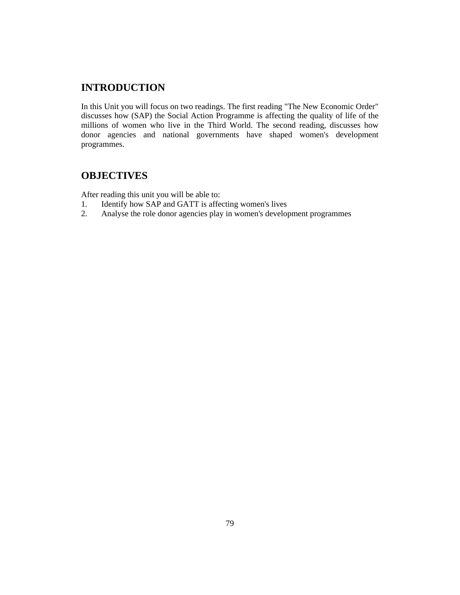# **INTRODUCTION**

In this Unit you will focus on two readings. The first reading "The New Economic Order" discusses how (SAP) the Social Action Programme is affecting the quality of life of the millions of women who live in the Third World. The second reading, discusses how donor agencies and national governments have shaped women's development programmes.

# **OBJECTIVES**

After reading this unit you will be able to:

- 1. Identify how SAP and GATT is affecting women's lives
- 2. Analyse the role donor agencies play in women's development programmes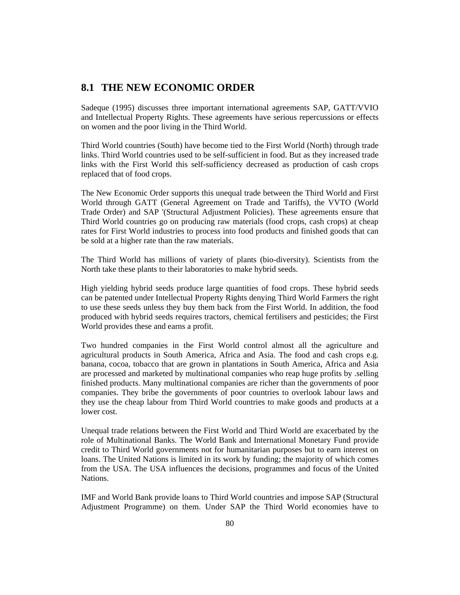# **8.1 THE NEW ECONOMIC ORDER**

Sadeque (1995) discusses three important international agreements SAP, GATT/VVIO and Intellectual Property Rights. These agreements have serious repercussions or effects on women and the poor living in the Third World.

Third World countries (South) have become tied to the First World (North) through trade links. Third World countries used to be self-sufficient in food. But as they increased trade links with the First World this self-sufficiency decreased as production of cash crops replaced that of food crops.

The New Economic Order supports this unequal trade between the Third World and First World through GATT (General Agreement on Trade and Tariffs), the VVTO (World Trade Order) and SAP '(Structural Adjustment Policies). These agreements ensure that Third World countries go on producing raw materials (food crops, cash crops) at cheap rates for First World industries to process into food products and finished goods that can be sold at a higher rate than the raw materials.

The Third World has millions of variety of plants (bio-diversity). Scientists from the North take these plants to their laboratories to make hybrid seeds.

High yielding hybrid seeds produce large quantities of food crops. These hybrid seeds can be patented under Intellectual Property Rights denying Third World Farmers the right to use these seeds unless they buy them back from the First World. In addition, the food produced with hybrid seeds requires tractors, chemical fertilisers and pesticides; the First World provides these and earns a profit.

Two hundred companies in the First World control almost all the agriculture and agricultural products in South America, Africa and Asia. The food and cash crops e.g. banana, cocoa, tobacco that are grown in plantations in South America, Africa and Asia are processed and marketed by multinational companies who reap huge profits by .selling finished products. Many multinational companies are richer than the governments of poor companies. They bribe the governments of poor countries to overlook labour laws and they use the cheap labour from Third World countries to make goods and products at a lower cost.

Unequal trade relations between the First World and Third World are exacerbated by the role of Multinational Banks. The World Bank and International Monetary Fund provide credit to Third World governments not for humanitarian purposes but to earn interest on loans. The United Nations is limited in its work by funding; the majority of which comes from the USA. The USA influences the decisions, programmes and focus of the United Nations.

IMF and World Bank provide loans to Third World countries and impose SAP (Structural Adjustment Programme) on them. Under SAP the Third World economies have to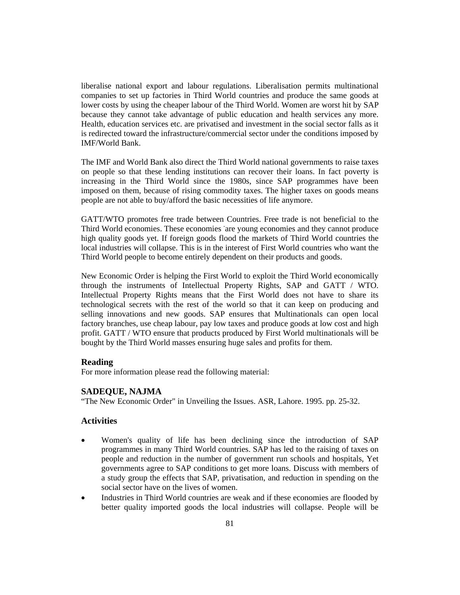liberalise national export and labour regulations. Liberalisation permits multinational companies to set up factories in Third World countries and produce the same goods at lower costs by using the cheaper labour of the Third World. Women are worst hit by SAP because they cannot take advantage of public education and health services any more. Health, education services etc. are privatised and investment in the social sector falls as it is redirected toward the infrastructure/commercial sector under the conditions imposed by IMF/World Bank.

The IMF and World Bank also direct the Third World national governments to raise taxes on people so that these lending institutions can recover their loans. In fact poverty is increasing in the Third World since the 1980s, since SAP programmes have been imposed on them, because of rising commodity taxes. The higher taxes on goods means people are not able to buy/afford the basic necessities of life anymore.

GATT/WTO promotes free trade between Countries. Free trade is not beneficial to the Third World economies. These economies are young economies and they cannot produce high quality goods yet. If foreign goods flood the markets of Third World countries the local industries will collapse. This is in the interest of First World countries who want the Third World people to become entirely dependent on their products and goods.

New Economic Order is helping the First World to exploit the Third World economically through the instruments of Intellectual Property Rights, SAP and GATT / WTO. Intellectual Property Rights means that the First World does not have to share its technological secrets with the rest of the world so that it can keep on producing and selling innovations and new goods. SAP ensures that Multinationals can open local factory branches, use cheap labour, pay low taxes and produce goods at low cost and high profit. GATT / WTO ensure that products produced by First World multinationals will be bought by the Third World masses ensuring huge sales and profits for them.

#### **Reading**

For more information please read the following material:

#### **SADEQUE, NAJMA**

"The New Economic Order" in Unveiling the Issues. ASR, Lahore. 1995. pp. 25-32.

#### **Activities**

- Women's quality of life has been declining since the introduction of SAP programmes in many Third World countries. SAP has led to the raising of taxes on people and reduction in the number of government run schools and hospitals, Yet governments agree to SAP conditions to get more loans. Discuss with members of a study group the effects that SAP, privatisation, and reduction in spending on the social sector have on the lives of women.
- Industries in Third World countries are weak and if these economies are flooded by better quality imported goods the local industries will collapse. People will be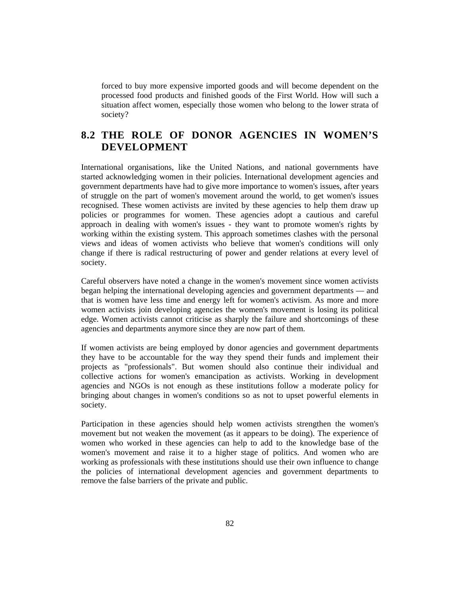forced to buy more expensive imported goods and will become dependent on the processed food products and finished goods of the First World. How will such a situation affect women, especially those women who belong to the lower strata of society?

# **8.2 THE ROLE OF DONOR AGENCIES IN WOMEN'S DEVELOPMENT**

International organisations, like the United Nations, and national governments have started acknowledging women in their policies. International development agencies and government departments have had to give more importance to women's issues, after years of struggle on the part of women's movement around the world, to get women's issues recognised. These women activists are invited by these agencies to help them draw up policies or programmes for women. These agencies adopt a cautious and careful approach in dealing with women's issues - they want to promote women's rights by working within the existing system. This approach sometimes clashes with the personal views and ideas of women activists who believe that women's conditions will only change if there is radical restructuring of power and gender relations at every level of society.

Careful observers have noted a change in the women's movement since women activists began helping the international developing agencies and government departments — and that is women have less time and energy left for women's activism. As more and more women activists join developing agencies the women's movement is losing its political edge. Women activists cannot criticise as sharply the failure and shortcomings of these agencies and departments anymore since they are now part of them.

If women activists are being employed by donor agencies and government departments they have to be accountable for the way they spend their funds and implement their projects as "professionals". But women should also continue their individual and collective actions for women's emancipation as activists. Working in development agencies and NGOs is not enough as these institutions follow a moderate policy for bringing about changes in women's conditions so as not to upset powerful elements in society.

Participation in these agencies should help women activists strengthen the women's movement but not weaken the movement (as it appears to be doing). The experience of women who worked in these agencies can help to add to the knowledge base of the women's movement and raise it to a higher stage of politics. And women who are working as professionals with these institutions should use their own influence to change the policies of international development agencies and government departments to remove the false barriers of the private and public.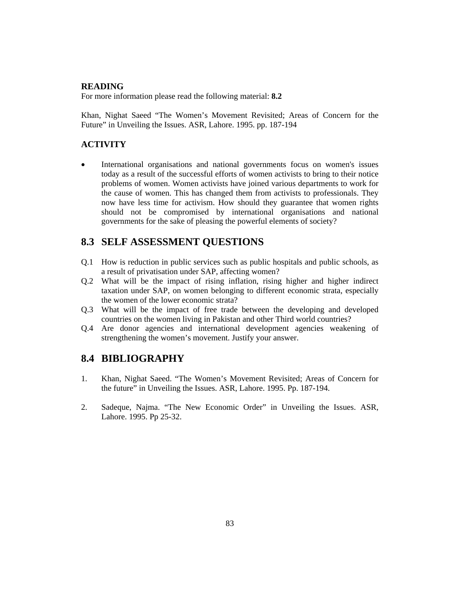#### **READING**

For more information please read the following material: **8.2** 

Khan, Nighat Saeed "The Women's Movement Revisited; Areas of Concern for the Future" in Unveiling the Issues. ASR, Lahore. 1995. pp. 187-194

#### **ACTIVITY**

 International organisations and national governments focus on women's issues today as a result of the successful efforts of women activists to bring to their notice problems of women. Women activists have joined various departments to work for the cause of women. This has changed them from activists to professionals. They now have less time for activism. How should they guarantee that women rights should not be compromised by international organisations and national governments for the sake of pleasing the powerful elements of society?

## **8.3 SELF ASSESSMENT QUESTIONS**

- Q.1 How is reduction in public services such as public hospitals and public schools, as a result of privatisation under SAP, affecting women?
- Q.2 What will be the impact of rising inflation, rising higher and higher indirect taxation under SAP, on women belonging to different economic strata, especially the women of the lower economic strata?
- Q.3 What will be the impact of free trade between the developing and developed countries on the women living in Pakistan and other Third world countries?
- Q.4 Are donor agencies and international development agencies weakening of strengthening the women's movement. Justify your answer.

# **8.4 BIBLIOGRAPHY**

- 1. Khan, Nighat Saeed. "The Women's Movement Revisited; Areas of Concern for the future" in Unveiling the Issues. ASR, Lahore. 1995. Pp. 187-194.
- 2. Sadeque, Najma. "The New Economic Order" in Unveiling the Issues. ASR, Lahore. 1995. Pp 25-32.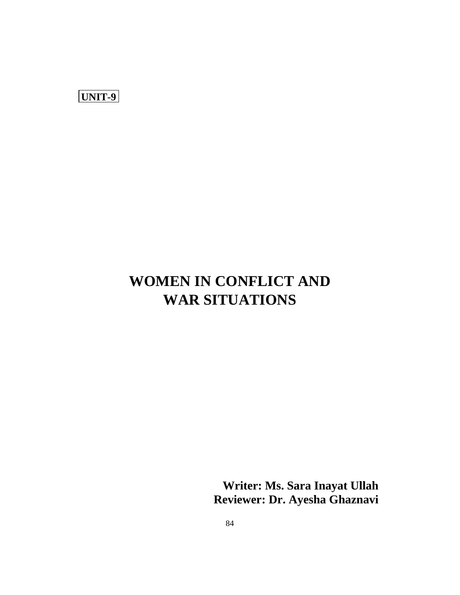

# **WOMEN IN CONFLICT AND WAR SITUATIONS**

**Writer: Ms. Sara Inayat Ullah Reviewer: Dr. Ayesha Ghaznavi**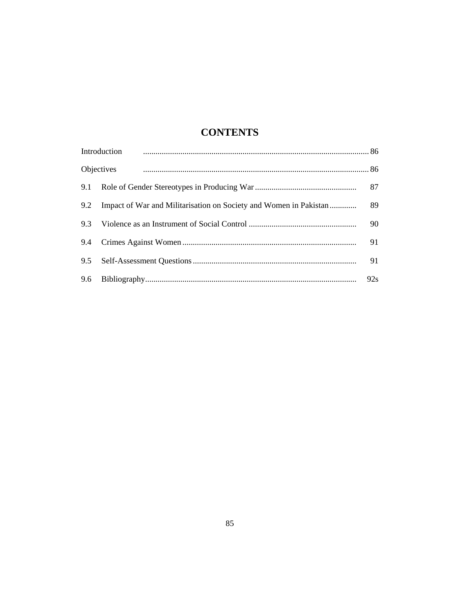# **CONTENTS**

|  | 90 |
|--|----|
|  | 91 |
|  | 91 |
|  |    |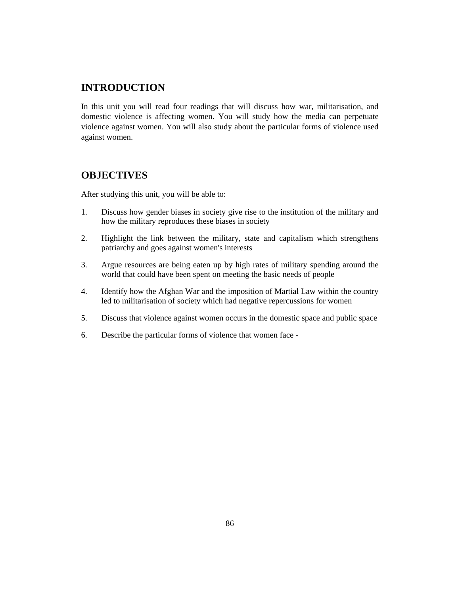# **INTRODUCTION**

In this unit you will read four readings that will discuss how war, militarisation, and domestic violence is affecting women. You will study how the media can perpetuate violence against women. You will also study about the particular forms of violence used against women.

# **OBJECTIVES**

After studying this unit, you will be able to:

- 1. Discuss how gender biases in society give rise to the institution of the military and how the military reproduces these biases in society
- 2. Highlight the link between the military, state and capitalism which strengthens patriarchy and goes against women's interests
- 3. Argue resources are being eaten up by high rates of military spending around the world that could have been spent on meeting the basic needs of people
- 4. Identify how the Afghan War and the imposition of Martial Law within the country led to militarisation of society which had negative repercussions for women
- 5. Discuss that violence against women occurs in the domestic space and public space
- 6. Describe the particular forms of violence that women face -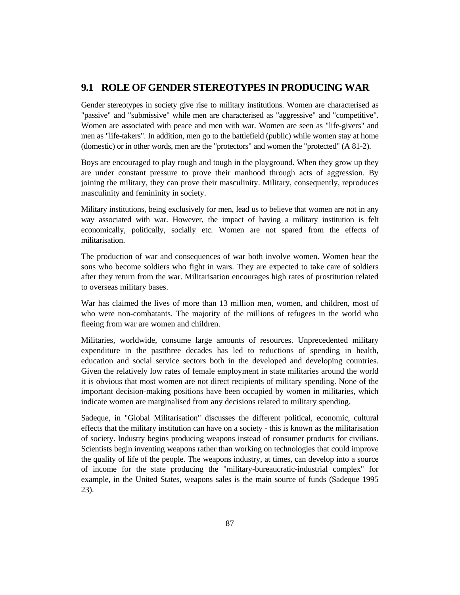### **9.1 ROLE OF GENDER STEREOTYPES IN PRODUCING WAR**

Gender stereotypes in society give rise to military institutions. Women are characterised as "passive" and "submissive" while men are characterised as "aggressive" and "competitive". Women are associated with peace and men with war. Women are seen as "life-givers" and men as "life-takers". In addition, men go to the battlefield (public) while women stay at home (domestic) or in other words, men are the "protectors" and women the "protected" (A 81-2).

Boys are encouraged to play rough and tough in the playground. When they grow up they are under constant pressure to prove their manhood through acts of aggression. By joining the military, they can prove their masculinity. Military, consequently, reproduces masculinity and femininity in society.

Military institutions, being exclusively for men, lead us to believe that women are not in any way associated with war. However, the impact of having a military institution is felt economically, politically, socially etc. Women are not spared from the effects of militarisation.

The production of war and consequences of war both involve women. Women bear the sons who become soldiers who fight in wars. They are expected to take care of soldiers after they return from the war. Militarisation encourages high rates of prostitution related to overseas military bases.

War has claimed the lives of more than 13 million men, women, and children, most of who were non-combatants. The majority of the millions of refugees in the world who fleeing from war are women and children.

Militaries, worldwide, consume large amounts of resources. Unprecedented military expenditure in the pastthree decades has led to reductions of spending in health, education and social service sectors both in the developed and developing countries. Given the relatively low rates of female employment in state militaries around the world it is obvious that most women are not direct recipients of military spending. None of the important decision-making positions have been occupied by women in militaries, which indicate women are marginalised from any decisions related to military spending.

Sadeque, in "Global Militarisation" discusses the different political, economic, cultural effects that the military institution can have on a society - this is known as the militarisation of society. Industry begins producing weapons instead of consumer products for civilians. Scientists begin inventing weapons rather than working on technologies that could improve the quality of life of the people. The weapons industry, at times, can develop into a source of income for the state producing the "military-bureaucratic-industrial complex" for example, in the United States, weapons sales is the main source of funds (Sadeque 1995 23).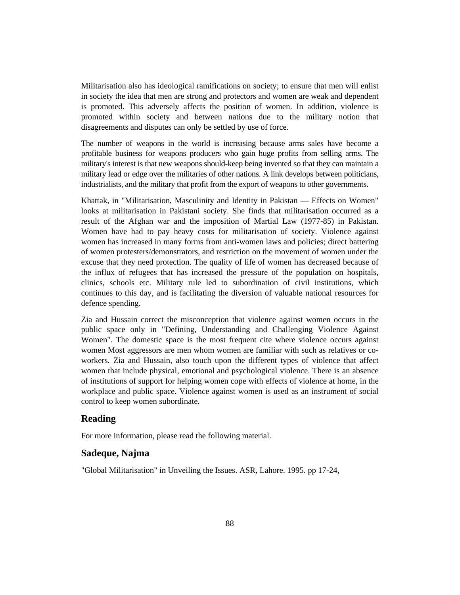Militarisation also has ideological ramifications on society; to ensure that men will enlist in society the idea that men are strong and protectors and women are weak and dependent is promoted. This adversely affects the position of women. In addition, violence is promoted within society and between nations due to the military notion that disagreements and disputes can only be settled by use of force.

The number of weapons in the world is increasing because arms sales have become a profitable business for weapons producers who gain huge profits from selling arms. The military's interest is that new weapons should-keep being invented so that they can maintain a military lead or edge over the militaries of other nations. A link develops between politicians, industrialists, and the military that profit from the export of weapons to other governments.

Khattak, in "Militarisation, Masculinity and Identity in Pakistan — Effects on Women" looks at militarisation in Pakistani society. She finds that militarisation occurred as a result of the Afghan war and the imposition of Martial Law (1977-85) in Pakistan. Women have had to pay heavy costs for militarisation of society. Violence against women has increased in many forms from anti-women laws and policies; direct battering of women protesters/demonstrators, and restriction on the movement of women under the excuse that they need protection. The quality of life of women has decreased because of the influx of refugees that has increased the pressure of the population on hospitals, clinics, schools etc. Military rule led to subordination of civil institutions, which continues to this day, and is facilitating the diversion of valuable national resources for defence spending.

Zia and Hussain correct the misconception that violence against women occurs in the public space only in "Defining, Understanding and Challenging Violence Against Women". The domestic space is the most frequent cite where violence occurs against women Most aggressors are men whom women are familiar with such as relatives or coworkers. Zia and Hussain, also touch upon the different types of violence that affect women that include physical, emotional and psychological violence. There is an absence of institutions of support for helping women cope with effects of violence at home, in the workplace and public space. Violence against women is used as an instrument of social control to keep women subordinate.

#### **Reading**

For more information, please read the following material.

#### **Sadeque, Najma**

"Global Militarisation" in Unveiling the Issues. ASR, Lahore. 1995. pp 17-24,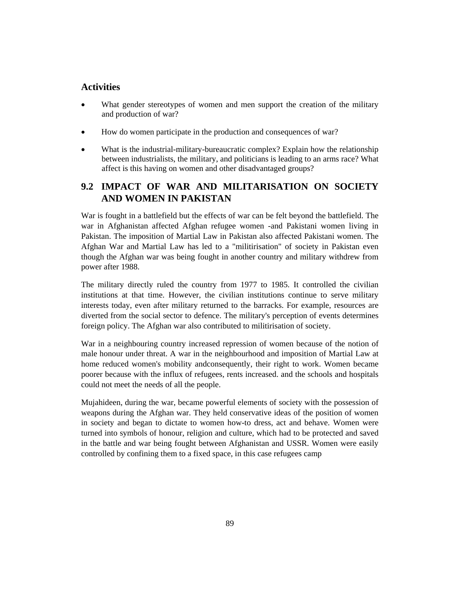#### **Activities**

- What gender stereotypes of women and men support the creation of the military and production of war?
- How do women participate in the production and consequences of war?
- What is the industrial-military-bureaucratic complex? Explain how the relationship between industrialists, the military, and politicians is leading to an arms race? What affect is this having on women and other disadvantaged groups?

# **9.2 IMPACT OF WAR AND MILITARISATION ON SOCIETY AND WOMEN IN PAKISTAN**

War is fought in a battlefield but the effects of war can be felt beyond the battlefield. The war in Afghanistan affected Afghan refugee women -and Pakistani women living in Pakistan. The imposition of Martial Law in Pakistan also affected Pakistani women. The Afghan War and Martial Law has led to a "militirisation" of society in Pakistan even though the Afghan war was being fought in another country and military withdrew from power after 1988.

The military directly ruled the country from 1977 to 1985. It controlled the civilian institutions at that time. However, the civilian institutions continue to serve military interests today, even after military returned to the barracks. For example, resources are diverted from the social sector to defence. The military's perception of events determines foreign policy. The Afghan war also contributed to militirisation of society.

War in a neighbouring country increased repression of women because of the notion of male honour under threat. A war in the neighbourhood and imposition of Martial Law at home reduced women's mobility andconsequently, their right to work. Women became poorer because with the influx of refugees, rents increased. and the schools and hospitals could not meet the needs of all the people.

Mujahideen, during the war, became powerful elements of society with the possession of weapons during the Afghan war. They held conservative ideas of the position of women in society and began to dictate to women how-to dress, act and behave. Women were turned into symbols of honour, religion and culture, which had to be protected and saved in the battle and war being fought between Afghanistan and USSR. Women were easily controlled by confining them to a fixed space, in this case refugees camp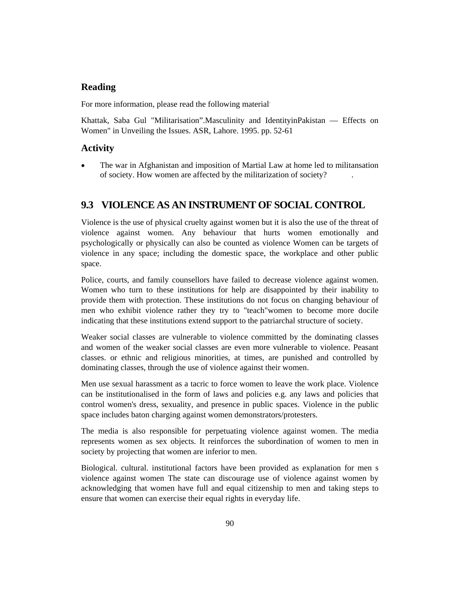#### **Reading**

For more information, please read the following material.

Khattak, Saba Gul "Militarisation".Masculinity and IdentityinPakistan — Effects on Women" in Unveiling the Issues. ASR, Lahore. 1995. pp. 52-61

#### **Activity**

 The war in Afghanistan and imposition of Martial Law at home led to militansation of society. How women are affected by the militarization of society? .

# **9.3 VIOLENCE AS AN INSTRUMENT OF SOCIAL CONTROL**

Violence is the use of physical cruelty against women but it is also the use of the threat of violence against women. Any behaviour that hurts women emotionally and psychologically or physically can also be counted as violence Women can be targets of violence in any space; including the domestic space, the workplace and other public space.

Police, courts, and family counsellors have failed to decrease violence against women. Women who turn to these institutions for help are disappointed by their inability to provide them with protection. These institutions do not focus on changing behaviour of men who exhibit violence rather they try to "teach"women to become more docile indicating that these institutions extend support to the patriarchal structure of society.

Weaker social classes are vulnerable to violence committed by the dominating classes and women of the weaker social classes are even more vulnerable to violence. Peasant classes. or ethnic and religious minorities, at times, are punished and controlled by dominating classes, through the use of violence against their women.

Men use sexual harassment as a tacric to force women to leave the work place. Violence can be institutionalised in the form of laws and policies e.g. any laws and policies that control women's dress, sexuality, and presence in public spaces. Violence in the public space includes baton charging against women demonstrators/protesters.

The media is also responsible for perpetuating violence against women. The media represents women as sex objects. It reinforces the subordination of women to men in society by projecting that women are inferior to men.

Biological. cultural. institutional factors have been provided as explanation for men s violence against women The state can discourage use of violence against women by acknowledging that women have full and equal citizenship to men and taking steps to ensure that women can exercise their equal rights in everyday life.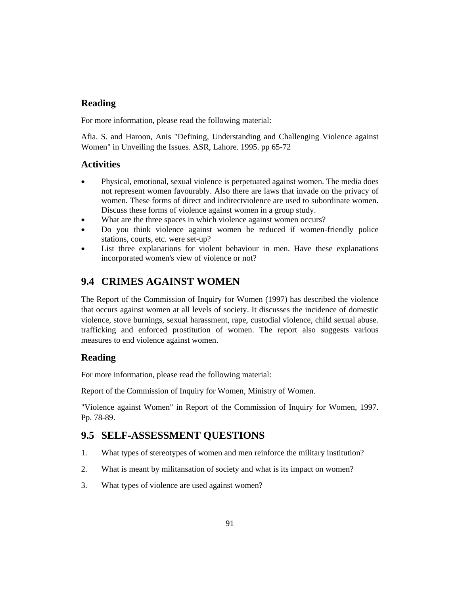# **Reading**

For more information, please read the following material:

Afia. S. and Haroon, Anis "Defining, Understanding and Challenging Violence against Women" in Unveiling the Issues. ASR, Lahore. 1995. pp 65-72

#### **Activities**

- Physical, emotional, sexual violence is perpetuated against women. The media does not represent women favourably. Also there are laws that invade on the privacy of women. These forms of direct and indirectviolence are used to subordinate women. Discuss these forms of violence against women in a group study.
- What are the three spaces in which violence against women occurs?
- Do you think violence against women be reduced if women-friendly police stations, courts, etc. were set-up?
- List three explanations for violent behaviour in men. Have these explanations incorporated women's view of violence or not?

# **9.4 CRIMES AGAINST WOMEN**

The Report of the Commission of Inquiry for Women (1997) has described the violence that occurs against women at all levels of society. It discusses the incidence of domestic violence, stove burnings, sexual harassment, rape, custodial violence, child sexual abuse. trafficking and enforced prostitution of women. The report also suggests various measures to end violence against women.

#### **Reading**

For more information, please read the following material:

Report of the Commission of Inquiry for Women, Ministry of Women.

"Violence against Women" in Report of the Commission of Inquiry for Women, 1997. Pp. 78-89.

# **9.5 SELF-ASSESSMENT QUESTIONS**

- 1. What types of stereotypes of women and men reinforce the military institution?
- 2. What is meant by militansation of society and what is its impact on women?
- 3. What types of violence are used against women?